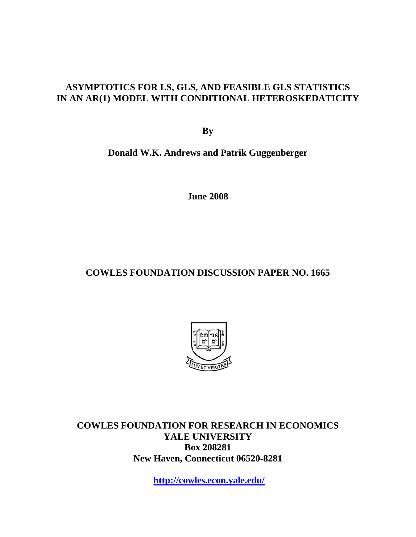# **ASYMPTOTICS FOR LS, GLS, AND FEASIBLE GLS STATISTICS IN AN AR(1) MODEL WITH CONDITIONAL HETEROSKEDATICITY**

**By** 

**Donald W.K. Andrews and Patrik Guggenberger** 

**June 2008** 

# **COWLES FOUNDATION DISCUSSION PAPER NO. 1665**



**COWLES FOUNDATION FOR RESEARCH IN ECONOMICS YALE UNIVERSITY Box 208281 New Haven, Connecticut 06520-8281** 

**http://cowles.econ.yale.edu/**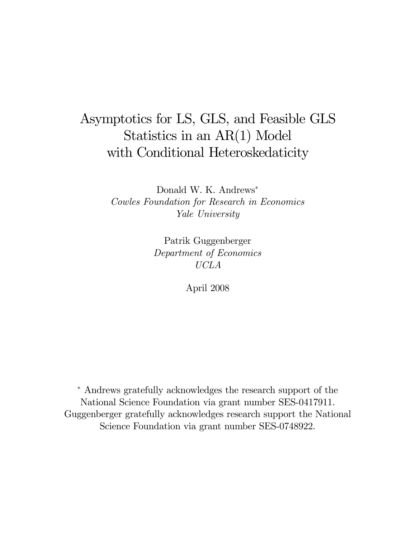# Asymptotics for LS, GLS, and Feasible GLS Statistics in an AR(1) Model with Conditional Heteroskedaticity

Donald W. K. Andrews<sup>∗</sup> Cowles Foundation for Research in Economics Yale University

> Patrik Guggenberger Department of Economics UCLA

> > April 2008

<sup>∗</sup> Andrews gratefully acknowledges the research support of the National Science Foundation via grant number SES-0417911. Guggenberger gratefully acknowledges research support the National Science Foundation via grant number SES-0748922.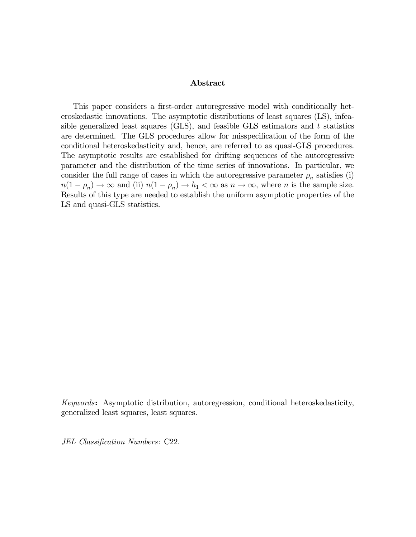#### Abstract

This paper considers a first-order autoregressive model with conditionally heteroskedastic innovations. The asymptotic distributions of least squares (LS), infeasible generalized least squares (GLS), and feasible GLS estimators and  $t$  statistics are determined. The GLS procedures allow for misspecification of the form of the conditional heteroskedasticity and, hence, are referred to as quasi-GLS procedures. The asymptotic results are established for drifting sequences of the autoregressive parameter and the distribution of the time series of innovations. In particular, we consider the full range of cases in which the autoregressive parameter  $\rho_n$  satisfies (i)  $n(1 - \rho_n) \to \infty$  and (ii)  $n(1 - \rho_n) \to h_1 < \infty$  as  $n \to \infty$ , where *n* is the sample size. Results of this type are needed to establish the uniform asymptotic properties of the LS and quasi-GLS statistics.

Keywords: Asymptotic distribution, autoregression, conditional heteroskedasticity, generalized least squares, least squares.

JEL Classification Numbers: C22.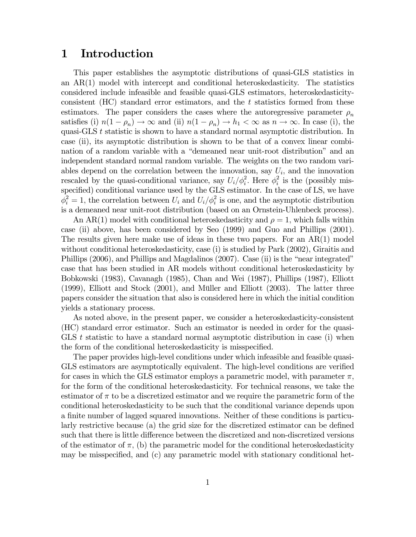# 1 Introduction

This paper establishes the asymptotic distributions of quasi-GLS statistics in an AR(1) model with intercept and conditional heteroskedasticity. The statistics considered include infeasible and feasible quasi-GLS estimators, heteroskedasticityconsistent (HC) standard error estimators, and the t statistics formed from these estimators. The paper considers the cases where the autoregressive parameter  $\rho_n$ satisfies (i)  $n(1 - \rho_n) \to \infty$  and (ii)  $n(1 - \rho_n) \to h_1 < \infty$  as  $n \to \infty$ . In case (i), the quasi-GLS t statistic is shown to have a standard normal asymptotic distribution. In case (ii), its asymptotic distribution is shown to be that of a convex linear combination of a random variable with a "demeaned near unit-root distribution" and an independent standard normal random variable. The weights on the two random variables depend on the correlation between the innovation, say  $U_i$ , and the innovation rescaled by the quasi-conditional variance, say  $U_i/\phi_i^2$ . Here  $\phi_i^2$  is the (possibly misspecified) conditional variance used by the GLS estimator. In the case of LS, we have  $\phi_i^2 = 1$ , the correlation between  $U_i$  and  $U_i/\phi_i^2$  is one, and the asymptotic distribution is a demeaned near unit-root distribution (based on an Ornstein-Uhlenbeck process).

An AR(1) model with conditional heteroskedasticity and  $\rho = 1$ , which falls within case (ii) above, has been considered by Seo (1999) and Guo and Phillips (2001). The results given here make use of ideas in these two papers. For an AR(1) model without conditional heteroskedasticity, case (i) is studied by Park (2002), Giraitis and Phillips (2006), and Phillips and Magdalinos (2007). Case (ii) is the "near integrated" case that has been studied in AR models without conditional heteroskedasticity by Bobkowski (1983), Cavanagh (1985), Chan and Wei (1987), Phillips (1987), Elliott (1999), Elliott and Stock (2001), and Müller and Elliott (2003). The latter three papers consider the situation that also is considered here in which the initial condition yields a stationary process.

As noted above, in the present paper, we consider a heteroskedasticity-consistent (HC) standard error estimator. Such an estimator is needed in order for the quasi-GLS  $t$  statistic to have a standard normal asymptotic distribution in case (i) when the form of the conditional heteroskedasticity is misspecified.

The paper provides high-level conditions under which infeasible and feasible quasi-GLS estimators are asymptotically equivalent. The high-level conditions are verified for cases in which the GLS estimator employs a parametric model, with parameter  $\pi$ , for the form of the conditional heteroskedasticity. For technical reasons, we take the estimator of  $\pi$  to be a discretized estimator and we require the parametric form of the conditional heteroskedasticity to be such that the conditional variance depends upon a finite number of lagged squared innovations. Neither of these conditions is particularly restrictive because (a) the grid size for the discretized estimator can be defined such that there is little difference between the discretized and non-discretized versions of the estimator of  $\pi$ , (b) the parametric model for the conditional heteroskedasticity may be misspecified, and (c) any parametric model with stationary conditional het-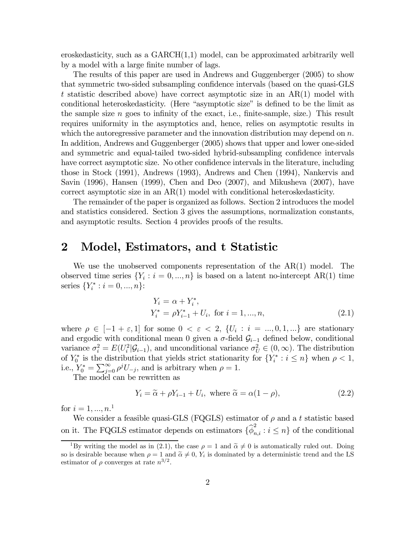eroskedasticity, such as a  $GARCH(1,1)$  model, can be approximated arbitrarily well by a model with a large finite number of lags.

The results of this paper are used in Andrews and Guggenberger (2005) to show that symmetric two-sided subsampling confidence intervals (based on the quasi-GLS t statistic described above) have correct asymptotic size in an AR(1) model with conditional heteroskedasticity. (Here "asymptotic size" is defined to be the limit as the sample size  $n$  goes to infinity of the exact, i.e., finite-sample, size.) This result requires uniformity in the asymptotics and, hence, relies on asymptotic results in which the autoregressive parameter and the innovation distribution may depend on  $n$ . In addition, Andrews and Guggenberger (2005) shows that upper and lower one-sided and symmetric and equal-tailed two-sided hybrid-subsampling confidence intervals have correct asymptotic size. No other confidence intervals in the literature, including those in Stock (1991), Andrews (1993), Andrews and Chen (1994), Nankervis and Savin (1996), Hansen (1999), Chen and Deo (2007), and Mikusheva (2007), have correct asymptotic size in an AR(1) model with conditional heteroskedasticity.

The remainder of the paper is organized as follows. Section 2 introduces the model and statistics considered. Section 3 gives the assumptions, normalization constants, and asymptotic results. Section 4 provides proofs of the results.

# 2 Model, Estimators, and t Statistic

We use the unobserved components representation of the AR(1) model. The observed time series  $\{Y_i : i = 0, ..., n\}$  is based on a latent no-intercept AR(1) time series  $\{Y_i^* : i = 0, ..., n\}$ :

$$
Y_i = \alpha + Y_i^*,
$$
  
\n
$$
Y_i^* = \rho Y_{i-1}^* + U_i, \text{ for } i = 1, ..., n,
$$
\n(2.1)

where  $\rho \in [-1 + \varepsilon, 1]$  for some  $0 < \varepsilon < 2$ ,  $\{U_i : i = ..., 0, 1, ...\}$  are stationary and ergodic with conditional mean 0 given a  $\sigma$ -field  $\mathcal{G}_{i-1}$  defined below, conditional variance  $\sigma_i^2 = E(U_i^2 | \mathcal{G}_{i-1})$ , and unconditional variance  $\sigma_U^2 \in (0, \infty)$ . The distribution of  $Y_0^*$  is the distribution that yields strict stationarity for  $\{Y_i^* : i \leq n\}$  when  $\rho < 1$ , i.e.,  $Y_0^* = \sum_{j=0}^{\infty} \rho^j U_{-j}$ , and is arbitrary when  $\rho = 1$ .

The model can be rewritten as

$$
Y_i = \tilde{\alpha} + \rho Y_{i-1} + U_i, \text{ where } \tilde{\alpha} = \alpha (1 - \rho), \tag{2.2}
$$

for  $i = 1, ..., n$ .<sup>1</sup>

We consider a feasible quasi-GLS (FQGLS) estimator of  $\rho$  and a t statistic based on it. The FQGLS estimator depends on estimators  $\{\widehat{\phi}_{n,i}^2 : i \leq n\}$  of the conditional

<sup>&</sup>lt;sup>1</sup>By writing the model as in (2.1), the case  $\rho = 1$  and  $\tilde{\alpha} \neq 0$  is automatically ruled out. Doing so is desirable because when  $\rho = 1$  and  $\tilde{\alpha} \neq 0$ , Y<sub>i</sub> is dominated by a deterministic trend and the LS estimator of  $\rho$  converges at rate  $n^{3/2}$ .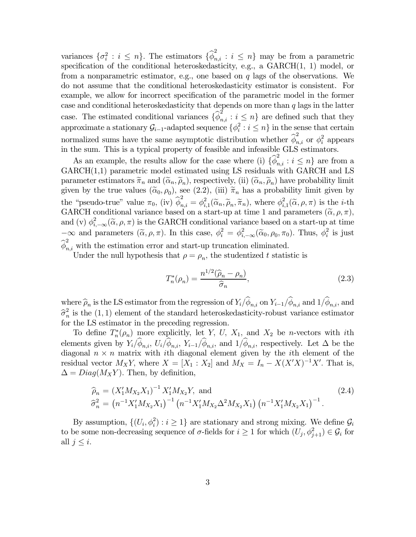variances  $\{\sigma_i^2 : i \leq n\}$ . The estimators  $\{\widehat{\phi}_{n,i}^2 : i \leq n\}$  may be from a parametric specification of the conditional heteroskedasticity, e.g., a GARCH(1, 1) model, or from a nonparametric estimator, e.g., one based on  $q$  lags of the observations. We do not assume that the conditional heteroskedasticity estimator is consistent. For example, we allow for incorrect specification of the parametric model in the former case and conditional heteroskedasticity that depends on more than  $q$  lags in the latter case. The estimated conditional variances  $\{\widehat{\phi}_{n,i}^2 : i \leq n\}$  are defined such that they approximate a stationary  $\mathcal{G}_{i-1}$ -adapted sequence  $\{\phi_i^2 : i \leq n\}$  in the sense that certain normalized sums have the same asymptotic distribution whether  $\hat{\phi}_{n,i}^2$  or  $\phi_i^2$  appears in the sum. This is a typical property of feasible and infeasible GLS estimators.

As an example, the results allow for the case where (i)  $\{\hat{\phi}_{n,i}^2 : i \leq n\}$  are from a  $GARCH(1,1)$  parametric model estimated using LS residuals with  $GARCH$  and LS parameter estimators  $\tilde{\pi}_n$  and  $(\tilde{\alpha}_n, \tilde{\rho}_n)$ , respectively, (ii)  $(\tilde{\alpha}_n, \tilde{\rho}_n)$  have probability limit given by the true values  $(\tilde{\alpha}_0, \rho_0)$ , see (2.2), (iii)  $\tilde{\pi}_n$  has a probability limit given by the "pseudo-true" value  $\pi_0$ , (iv)  $\hat{\phi}_{n,i}^2 = \phi_{i,1}^2(\tilde{\alpha}_n, \tilde{\rho}_n, \tilde{\pi}_n)$ , where  $\phi_{i,1}^2(\tilde{\alpha}, \rho, \pi)$  is the *i*-th<br>CAPCU soultimed reviewes head as a start we at time 1 and recovating  $(\tilde{\chi}_{n,n})$ GARCH conditional variance based on a start-up at time 1 and parameters  $(\tilde{\alpha}, \rho, \pi)$ , and (v)  $\phi_{i,-\infty}^2(\tilde{\alpha}, \rho, \pi)$  is the GARCH conditional variance based on a start-up at time  $-\infty$  and parameters  $(\tilde{\alpha}, \rho, \pi)$ . In this case,  $\phi_i^2 = \phi_{i, -\infty}^2(\tilde{\alpha}_0, \rho_0, \pi_0)$ . Thus,  $\phi_i^2$  is just  $\widehat{\phi}_{n,i}^2$  with the estimation error and start-up truncation eliminated.

Under the null hypothesis that  $\rho = \rho_n$ , the studentized t statistic is

$$
T_n^*(\rho_n) = \frac{n^{1/2}(\widehat{\rho}_n - \rho_n)}{\widehat{\sigma}_n},\tag{2.3}
$$

where  $\widehat{\rho}_n$  is the LS estimator from the regression of  $Y_i/\widehat{\phi}_{n,i}$  on  $Y_{i-1}/\widehat{\phi}_{n,i}$  and  $1/\widehat{\phi}_{n,i}$ , and  $\hat{\sigma}_n^2$  is the (1, 1) element of the standard heteroskedasticity-robust variance estimator for the LS estimator in the preceding regression.

To define  $T_n^*(\rho_n)$  more explicitly, let Y, U, X<sub>1</sub>, and X<sub>2</sub> be *n*-vectors with *i*th elements given by  $Y_i/\hat{\phi}_{n,i}$ ,  $U_i/\hat{\phi}_{n,i}$ ,  $Y_{i-1}/\hat{\phi}_{n,i}$ , and  $1/\hat{\phi}_{n,i}$ , respectively. Let  $\Delta$  be the diagonal  $n \times n$  matrix with *i*th diagonal element given by the *i*th element of the residual vector  $M_X Y$ , where  $X = [X_1 : X_2]$  and  $M_X = I_n - X(X'X)^{-1}X'$ . That is,  $\Delta = Diag(M_XY)$ . Then, by definition,

$$
\widehat{\rho}_n = \left(X_1' M_{X_2} X_1\right)^{-1} X_1' M_{X_2} Y, \text{ and } \qquad (2.4)
$$
\n
$$
\widehat{\sigma}_n^2 = \left(n^{-1} X_1' M_{X_2} X_1\right)^{-1} \left(n^{-1} X_1' M_{X_2} \Delta^2 M_{X_2} X_1\right) \left(n^{-1} X_1' M_{X_2} X_1\right)^{-1}.
$$

By assumption,  $\{(U_i, \phi_i^2) : i \geq 1\}$  are stationary and strong mixing. We define  $\mathcal{G}_i$ to be some non-decreasing sequence of  $\sigma$ -fields for  $i \geq 1$  for which  $(U_j, \phi_{j+1}^2) \in \mathcal{G}_i$  for all  $j \leq i$ .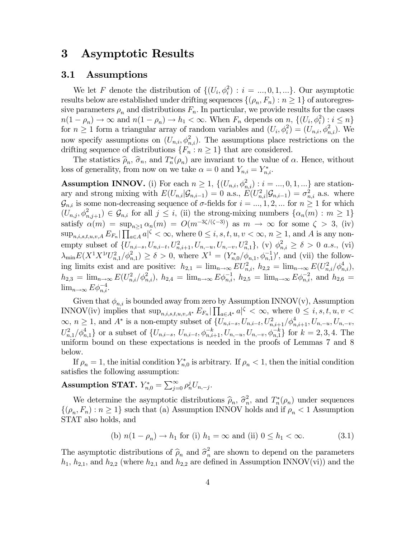# 3 Asymptotic Results

#### 3.1 Assumptions

We let F denote the distribution of  $\{(U_i, \phi_i^2) : i = ..., 0, 1, ...\}$ . Our asymptotic results below are established under drifting sequences  $\{(\rho_n, F_n) : n \geq 1\}$  of autoregressive parameters  $\rho_n$  and distributions  $F_n$ . In particular, we provide results for the cases  $n(1-\rho_n) \to \infty$  and  $n(1-\rho_n) \to h_1 < \infty$ . When  $F_n$  depends on  $n, \{ (U_i, \phi_i^2) : i \leq n \}$ for  $n \geq 1$  form a triangular array of random variables and  $(U_i, \phi_i^2) = (U_{n,i}, \phi_{n,i}^2)$ . We now specify assumptions on  $(U_{n,i}, \phi_{n,i}^2)$ . The assumptions place restrictions on the drifting sequence of distributions  $\{F_n : n \geq 1\}$  that are considered.

The statistics  $\hat{\rho}_n$ ,  $\hat{\sigma}_n$ , and  $T_n^*(\rho_n)$  are invariant to the value of  $\alpha$ . Hence, without loss of generality, from now on we take  $\alpha = 0$  and  $Y_{n,i} = Y_{n,i}^*$ .

**Assumption INNOV.** (i) For each  $n \geq 1$ ,  $\{(U_{n,i}, \phi_{n,i}^2) : i = ..., 0, 1, ...\}$  are stationary and strong mixing with  $E(U_{n,i}|\mathcal{G}_{n,i-1})=0$  a.s.,  $E(U_{n,i}^2|\mathcal{G}_{n,i-1})=\sigma_{n,i}^2$  a.s. where  $\mathcal{G}_{n,i}$  is some non-decreasing sequence of  $\sigma$ -fields for  $i = ..., 1, 2, ...$  for  $n \geq 1$  for which  $(U_{n,j}, \phi_{n,j+1}^2) \in \mathcal{G}_{n,i}$  for all  $j \leq i$ , (ii) the strong-mixing numbers  $\{\alpha_n(m) : m \geq 1\}$ satisfy  $\alpha(m) = \sup_{n>1} \alpha_n(m) = O(m^{-3\zeta/(\zeta-3)})$  as  $m \to \infty$  for some  $\zeta > 3$ , (iv)  $\sup_{n,i,s,t,u,v,A} E_{F_n} | \prod_{a \in A} a | \zeta < \infty$ , where  $0 \leq i, s, t, u, v < \infty$ ,  $n \geq 1$ , and A is any nonempty subset of  $\{U_{n,i-s}, U_{n,i-t}, U_{n,i+1}^2, U_{n,-u}, U_{n,-v}, U_{n,1}^2\}$ , (v)  $\phi_{n,i}^2 \ge \delta > 0$  a.s., (vi)  $\lambda_{\min} E(X^1 X^{1} U_{n,1}^2/\phi_{n,1}^2) \ge \delta > 0$ , where  $X^1 = (Y_{n,0}^*/\phi_{n,1}, \phi_{n,1}^{-1})'$ , and (vii) the following limits exist and are positive:  $h_{2,1} = \lim_{n \to \infty} EU_{n,i}^2$ ,  $h_{2,2} = \lim_{n \to \infty} E(U_{n,i}^2/\phi_{n,i}^4)$ ,  $h_{2,3} = \lim_{n \to \infty} E(U_{n,i}^2/\phi_{n,i}^2), h_{2,4} = \lim_{n \to \infty} E\phi_{n,i}^{-1}, h_{2,5} = \lim_{n \to \infty} E\phi_{n,i}^{-2},$  and  $h_{2,6} =$  $\lim_{n\to\infty} E\phi_{n,i}^{-4}$ .

Given that  $\phi_{n,i}$  is bounded away from zero by Assumption INNOV(v), Assumption INNOV(iv) implies that  $\sup_{n,i,s,t,u,v,A^*} E_{F_n} \left| \prod_{a \in A^*} a \right|^\zeta < \infty$ , where  $0 \leq i, s, t, u, v <$  $\infty, n \ge 1$ , and  $A^*$  is a non-empty subset of  $\{U_{n,i-s}, U_{n,i-t}, U_{n,i+1}^2/\phi_{n,i+1}^4, U_{n,-u}, U_{n,-v},\}$  $U_{n,1}^2/\phi_{n,1}^4$  or a subset of  $\{U_{n,i-s}, U_{n,i-t}, \phi_{n,i+1}^{-k}, U_{n,-u}, U_{n,-v}, \phi_{n,1}^{-k}\}\)$  for  $k=2,3,4$ . The uniform bound on these expectations is needed in the proofs of Lemmas 7 and 8 below.

If  $\rho_n = 1$ , the initial condition  $Y_{n,0}^*$  is arbitrary. If  $\rho_n < 1$ , then the initial condition satisfies the following assumption:

# Assumption STAT.  $Y_{n,0}^* = \sum_{j=0}^{\infty} \rho_n^j U_{n,-j}$ .

We determine the asymptotic distributions  $\hat{\rho}_n$ ,  $\hat{\sigma}_n^2$ , and  $T_n^*(\rho_n)$  under sequences  $\{(\rho_n, F_n) : n \geq 1\}$  such that (a) Assumption INNOV holds and if  $\rho_n < 1$  Assumption STAT also holds, and

(b) 
$$
n(1 - \rho_n) \to h_1
$$
 for (i)  $h_1 = \infty$  and (ii)  $0 \le h_1 < \infty$ . (3.1)

The asymptotic distributions of  $\hat{\rho}_n$  and  $\hat{\sigma}_n^2$  are shown to depend on the parameters  $h_1, h_{2,1}$ , and  $h_{2,2}$  (where  $h_{2,1}$  and  $h_{2,2}$  are defined in Assumption INNOV(vi)) and the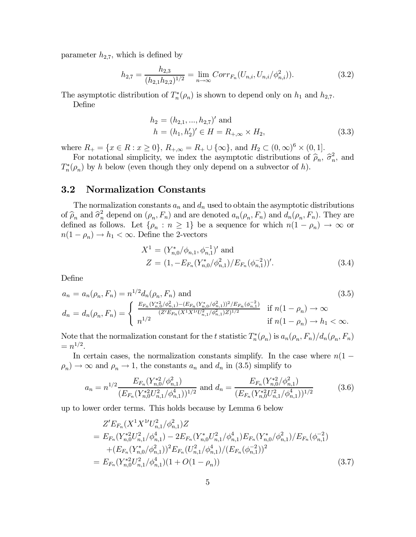parameter  $h_{2,7}$ , which is defined by

$$
h_{2,7} = \frac{h_{2,3}}{(h_{2,1}h_{2,2})^{1/2}} = \lim_{n \to \infty} Corr_{F_n}(U_{n,i}, U_{n,i}/\phi_{n,i}^2)).
$$
\n(3.2)

The asymptotic distribution of  $T_n^*(\rho_n)$  is shown to depend only on  $h_1$  and  $h_{2,7}$ .

Define

$$
h_2 = (h_{2,1}, ..., h_{2,7})' \text{ and}
$$
  
\n
$$
h = (h_1, h'_2)' \in H = R_{+,\infty} \times H_2,
$$
\n(3.3)

where  $R_+ = \{x \in R : x \ge 0\}$ ,  $R_{+,\infty} = R_+ \cup \{\infty\}$ , and  $H_2 \subset (0,\infty)^6 \times (0,1]$ .

For notational simplicity, we index the asymptotic distributions of  $\hat{\rho}_n$ ,  $\hat{\sigma}_n^2$ , and  $T_n^*(\rho_n)$  by h below (even though they only depend on a subvector of h).

#### 3.2 Normalization Constants

The normalization constants  $a_n$  and  $d_n$  used to obtain the asymptotic distributions of  $\widehat{\rho}_n$  and  $\widehat{\sigma}_n^2$  depend on  $(\rho_n, F_n)$  and are denoted  $a_n(\rho_n, F_n)$  and  $d_n(\rho_n, F_n)$ . They are defined as follows. Let  $\{\rho_n : n \geq 1\}$  be a sequence for which  $n(1 - \rho_n) \to \infty$  or  $n(1 - \rho_n) \to h_1 < \infty$ . Define the 2-vectors

$$
X^{1} = (Y_{n,0}^{*}/\phi_{n,1}, \phi_{n,1}^{-1})' \text{ and}
$$
  
\n
$$
Z = (1, -E_{F_n}(Y_{n,0}^{*}/\phi_{n,1}^{2})/E_{F_n}(\phi_{n,1}^{-2}))'. \qquad (3.4)
$$

Define

$$
a_n = a_n(\rho_n, F_n) = n^{1/2} d_n(\rho_n, F_n) \text{ and}
$$
\n
$$
d_n = d_n(\rho_n, F_n) = \begin{cases} \frac{E_{F_n}(Y_{n,0}^*/\phi_{n,1}^2) - (E_{F_n}(Y_{n,0}^*/\phi_{n,1}^2))^2 / E_{F_n}(\phi_{n,1}^{-2})}{(Z' E_{F_n}(X^1 X^1 U_{n,1}^2 / \phi_{n,1}^2) Z)^{1/2}} & \text{if } n(1 - \rho_n) \to \infty\\ n^{1/2} & \text{if } n(1 - \rho_n) \to h_1 < \infty. \end{cases}
$$
\n
$$
(3.5)
$$

Note that the normalization constant for the t statistic  $T_n^*(\rho_n)$  is  $a_n(\rho_n, F_n)/d_n(\rho_n, F_n)$  $=n^{1/2}.$ 

In certain cases, the normalization constants simplify. In the case where  $n(1 \rho_n$   $\rightarrow \infty$  and  $\rho_n \rightarrow 1$ , the constants  $a_n$  and  $d_n$  in (3.5) simplify to

$$
a_n = n^{1/2} \frac{E_{F_n}(Y_{n,0}^{*2}/\phi_{n,1}^2)}{(E_{F_n}(Y_{n,0}^{*2}U_{n,1}^2/\phi_{n,1}^4))^{1/2}} \text{ and } d_n = \frac{E_{F_n}(Y_{n,0}^{*2}/\phi_{n,1}^2)}{(E_{F_n}(Y_{n,0}^{*2}U_{n,1}^2/\phi_{n,1}^4))^{1/2}}
$$
(3.6)

up to lower order terms. This holds because by Lemma 6 below

$$
Z'E_{F_n}(X^1X^{1\prime}U_{n,1}^2/\phi_{n,1}^2)Z
$$
  
=  $E_{F_n}(Y_{n,0}^{*2}U_{n,1}^2/\phi_{n,1}^4) - 2E_{F_n}(Y_{n,0}^{*}U_{n,1}^2/\phi_{n,1}^4)E_{F_n}(Y_{n,0}^{*}/\phi_{n,1}^2)/E_{F_n}(\phi_{n,1}^{-2})$   
+ $(E_{F_n}(Y_{n,0}^{*}/\phi_{n,1}^2))^2E_{F_n}(U_{n,1}^2/\phi_{n,1}^4)/(E_{F_n}(\phi_{n,1}^{-2}))^2$   
=  $E_{F_n}(Y_{n,0}^{*2}U_{n,1}^2/\phi_{n,1}^4)(1+O(1-\rho_n))$  (3.7)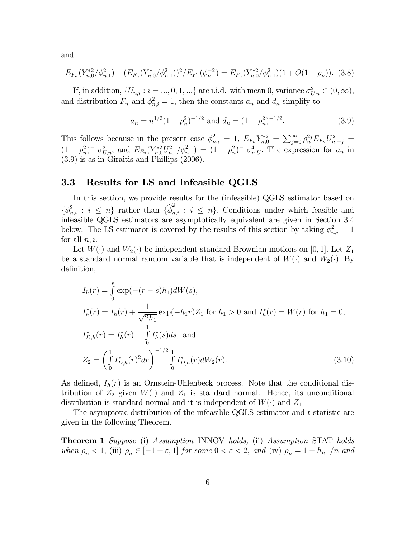and

$$
E_{F_n}(Y_{n,0}^{*2}/\phi_{n,1}^2) - (E_{F_n}(Y_{n,0}^{*}/\phi_{n,1}^2))^2 / E_{F_n}(\phi_{n,1}^{-2}) = E_{F_n}(Y_{n,0}^{*2}/\phi_{n,1}^2)(1 + O(1 - \rho_n)).
$$
 (3.8)

If, in addition,  $\{U_{n,i} : i = ..., 0, 1, ...\}$  are i.i.d. with mean 0, variance  $\sigma_{U,n}^2 \in (0, \infty)$ , and distribution  $F_n$  and  $\phi_{n,i}^2 = 1$ , then the constants  $a_n$  and  $d_n$  simplify to

$$
a_n = n^{1/2} (1 - \rho_n^2)^{-1/2} \text{ and } d_n = (1 - \rho_n^2)^{-1/2}.
$$
 (3.9)

This follows because in the present case  $\phi_{n,i}^2 = 1$ ,  $E_{F_n} Y_{n,0}^{*2} = \sum_{j=0}^{\infty} \rho_n^{2j} E_{F_n} U_{n,-j}^2 =$  $(1-\rho_n^2)^{-1}\sigma_{U,n}^2$ , and  $E_{F_n}(Y_{n,0}^{*2}U_{n,1}^2/\phi_{n,1}^2) = (1-\rho_n^2)^{-1}\sigma_{n,U}^4$ . The expression for  $a_n$  in (3.9) is as in Giraitis and Phillips (2006).

#### 3.3 Results for LS and Infeasible QGLS

In this section, we provide results for the (infeasible) QGLS estimator based on  $\{\phi_{n,i}^2 : i \leq n\}$  rather than  $\{\widehat{\phi}_{n,i}^2 : i \leq n\}$ . Conditions under which feasible and infeasible QGLS estimators are asymptotically equivalent are given in Section 3.4 below. The LS estimator is covered by the results of this section by taking  $\phi_{n,i}^2 = 1$ for all  $n, i$ .

Let  $W(\cdot)$  and  $W_2(\cdot)$  be independent standard Brownian motions on [0, 1]. Let  $Z_1$ be a standard normal random variable that is independent of  $W(\cdot)$  and  $W_2(\cdot)$ . By definition,

$$
I_h(r) = \int_0^r \exp(-(r - s)h_1)dW(s),
$$
  
\n
$$
I_h^*(r) = I_h(r) + \frac{1}{\sqrt{2h_1}} \exp(-h_1r)Z_1 \text{ for } h_1 > 0 \text{ and } I_h^*(r) = W(r) \text{ for } h_1 = 0,
$$
  
\n
$$
I_{D,h}^*(r) = I_h^*(r) - \int_0^1 I_h^*(s)ds, \text{ and }
$$
  
\n
$$
Z_2 = \left(\int_0^1 I_{D,h}^*(r)^2 dr\right)^{-1/2} \int_0^1 I_{D,h}^*(r) dW_2(r).
$$
\n(3.10)

As defined,  $I_h(r)$  is an Ornstein-Uhlenbeck process. Note that the conditional distribution of  $Z_2$  given  $W(\cdot)$  and  $Z_1$  is standard normal. Hence, its unconditional distribution is standard normal and it is independent of  $W(\cdot)$  and  $Z_1$ .

The asymptotic distribution of the infeasible QGLS estimator and t statistic are given in the following Theorem.

**Theorem 1** Suppose (i) Assumption INNOV holds, (ii) Assumption STAT holds when  $\rho_n < 1$ , (iii)  $\rho_n \in [-1 + \varepsilon, 1]$  for some  $0 < \varepsilon < 2$ , and (iv)  $\rho_n = 1 - h_{n,1}/n$  and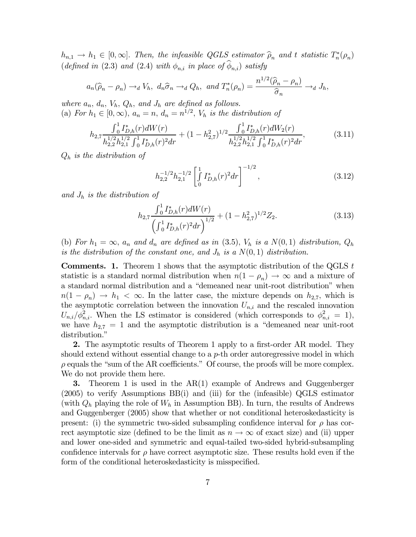$h_{n,1} \to h_1 \in [0,\infty]$ . Then, the infeasible QGLS estimator  $\widehat{\rho}_n$  and t statistic  $T_n^*(\rho_n)$ (defined in (2.3) and (2.4) with  $\phi_{n,i}$  in place of  $\widehat{\phi}_{n,i}$ ) satisfy

$$
a_n(\widehat{\rho}_n - \rho_n) \to_d V_h, \ d_n\widehat{\sigma}_n \to_d Q_h, \ and \ T_n^*(\rho_n) = \frac{n^{1/2}(\widehat{\rho}_n - \rho_n)}{\widehat{\sigma}_n} \to_d J_h,
$$

where  $a_n$ ,  $d_n$ ,  $V_h$ ,  $Q_h$ , and  $J_h$  are defined as follows. (a) For  $h_1 \in [0,\infty)$ ,  $a_n = n$ ,  $d_n = n^{1/2}$ ,  $V_h$  is the distribution of

$$
h_{2,7} \frac{\int_0^1 I_{D,h}^*(r) dW(r)}{h_{2,2}^{1/2} h_{2,1}^{1/2} \int_0^1 I_{D,h}^*(r)^2 dr} + (1 - h_{2,7}^2)^{1/2} \frac{\int_0^1 I_{D,h}^*(r) dW_2(r)}{h_{2,2}^{1/2} h_{2,1}^{1/2} \int_0^1 I_{D,h}^*(r)^2 dr},
$$
(3.11)

 $Q_h$  is the distribution of

$$
h_{2,2}^{-1/2}h_{2,1}^{-1/2}\left[\int\limits_{0}^{1}I_{D,h}^{*}(r)^{2}dr\right]^{-1/2},\tag{3.12}
$$

and  $J_h$  is the distribution of

$$
h_{2,7} \frac{\int_0^1 I_{D,h}^*(r) dW(r)}{\left(\int_0^1 I_{D,h}^*(r)^2 dr\right)^{1/2}} + (1 - h_{2,7}^2)^{1/2} Z_2.
$$
 (3.13)

(b) For  $h_1 = \infty$ ,  $a_n$  and  $d_n$  are defined as in (3.5),  $V_h$  is a  $N(0, 1)$  distribution,  $Q_h$ is the distribution of the constant one, and  $J_h$  is a  $N(0, 1)$  distribution.

**Comments.** 1. Theorem 1 shows that the asymptotic distribution of the QGLS  $t$ statistic is a standard normal distribution when  $n(1 - \rho_n) \to \infty$  and a mixture of a standard normal distribution and a "demeaned near unit-root distribution" when  $n(1 - \rho_n) \to h_1 < \infty$ . In the latter case, the mixture depends on  $h_{2,7}$ , which is the asymptotic correlation between the innovation  $U_{n,i}$  and the rescaled innovation  $U_{n,i}/\phi_{n,i}^2$ . When the LS estimator is considered (which corresponds to  $\phi_{n,i}^2 = 1$ ), we have  $h_{2,7} = 1$  and the asymptotic distribution is a "demeaned near unit-root distribution."

2. The asymptotic results of Theorem 1 apply to a first-order AR model. They should extend without essential change to a  $p$ -th order autoregressive model in which  $\rho$  equals the "sum of the AR coefficients." Of course, the proofs will be more complex. We do not provide them here.

3. Theorem 1 is used in the AR(1) example of Andrews and Guggenberger (2005) to verify Assumptions BB(i) and (iii) for the (infeasible) QGLS estimator (with  $Q_h$  playing the role of  $W_h$  in Assumption BB). In turn, the results of Andrews and Guggenberger (2005) show that whether or not conditional heteroskedasticity is present: (i) the symmetric two-sided subsampling confidence interval for  $\rho$  has correct asymptotic size (defined to be the limit as  $n \to \infty$  of exact size) and (ii) upper and lower one-sided and symmetric and equal-tailed two-sided hybrid-subsampling confidence intervals for  $\rho$  have correct asymptotic size. These results hold even if the form of the conditional heteroskedasticity is misspecified.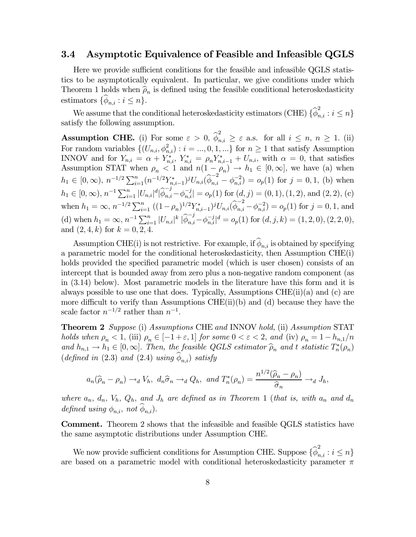#### 3.4 Asymptotic Equivalence of Feasible and Infeasible QGLS

Here we provide sufficient conditions for the feasible and infeasible QGLS statistics to be asymptotically equivalent. In particular, we give conditions under which Theorem 1 holds when  $\hat{\rho}_n$  is defined using the feasible conditional heteroskedasticity estimators  $\{\phi_{n,i} : i \leq n\}.$ 

We assume that the conditional heteroskedasticity estimators (CHE)  $\{\widehat{\phi}_{n,i}^2 : i \leq n\}$ satisfy the following assumption.

**Assumption CHE.** (i) For some  $\varepsilon > 0$ ,  $\hat{\phi}_{n,i}^2 \geq \varepsilon$  a.s. for all  $i \leq n, n \geq 1$ . (ii) For random variables  $\{(U_{n,i}, \phi_{n,i}^2) : i = ..., 0, 1, ...\}$  for  $n \ge 1$  that satisfy Assumption INNOV and for  $Y_{n,i} = \alpha + Y_{n,i}^*$ ,  $Y_{n,i}^* = \rho_n Y_{n,i-1}^* + U_{n,i}$ , with  $\alpha = 0$ , that satisfies Assumption STAT when  $\rho_n < 1$  and  $n(1 - \rho_n) \to h_1 \in [0, \infty]$ , we have (a) when  $h_1 \in [0, \infty)$ ,  $n^{-1/2} \sum_{i=1}^n (n^{-1/2} Y_{n,i-1}^*)^j U_{n,i} (\widehat{\phi}_{n,i}^{-2} - \phi_{n,i}^{-2}) = o_p(1)$  for  $j = 0, 1$ , (b) when  $h_1 \in [0, \infty), n^{-1} \sum_{i=1}^n |U_{n,i}|^d |\widehat{\phi}_{n,i}^{-j} - \phi_{n,i}^{-j}| = o_p(1)$  for  $(d, j) = (0, 1), (1, 2),$  and  $(2, 2), (c)$ when  $h_1 = \infty$ ,  $n^{-1/2} \sum_{i=1}^n ((1-\rho_n)^{1/2} Y_{n,i-1}^*)^j U_{n,i}(\widehat{\phi}_{n,i}^{-2} - \phi_{n,i}^{-2}) = o_p(1)$  for  $j = 0, 1$ , and (d) when  $h_1 = \infty$ ,  $n^{-1} \sum_{i=1}^n |U_{n,i}|^k |\widehat{\phi}_{n,i}^{-j} - \phi_{n,i}^{-j}|^d = o_p(1)$  for  $(d, j, k) = (1, 2, 0), (2, 2, 0),$ and  $(2, 4, k)$  for  $k = 0, 2, 4$ .

Assumption CHE(i) is not restrictive. For example, if  $\widehat{\phi}_{n,i}$  is obtained by specifying a parametric model for the conditional heteroskedasticity, then Assumption CHE(i) holds provided the specified parametric model (which is user chosen) consists of an intercept that is bounded away from zero plus a non-negative random component (as in (3.14) below). Most parametric models in the literature have this form and it is always possible to use one that does. Typically, Assumptions CHE $(ii)(a)$  and  $(c)$  are more difficult to verify than Assumptions CHE(ii)(b) and (d) because they have the scale factor  $n^{-1/2}$  rather than  $n^{-1}$ .

Theorem 2 Suppose (i) Assumptions CHE and INNOV hold, (ii) Assumption STAT holds when  $\rho_n < 1$ , (iii)  $\rho_n \in [-1 + \varepsilon, 1]$  for some  $0 < \varepsilon < 2$ , and (iv)  $\rho_n = 1 - h_{n,1}/n$ and  $h_{n,1} \to h_1 \in [0,\infty]$ . Then, the feasible QGLS estimator  $\widehat{\rho}_n$  and t statistic  $T_n^*(\rho_n)$ (defined in (2.3) and (2.4) using  $\phi_{n,i}$ ) satisfy

$$
a_n(\widehat{\rho}_n - \rho_n) \to_d V_h
$$
,  $d_n\widehat{\sigma}_n \to_d Q_h$ , and  $T_n^*(\rho_n) = \frac{n^{1/2}(\widehat{\rho}_n - \rho_n)}{\widehat{\sigma}_n} \to_d J_h$ ,

where  $a_n$ ,  $d_n$ ,  $V_h$ ,  $Q_h$ , and  $J_h$  are defined as in Theorem 1 (that is, with  $a_n$  and  $d_n$ defined using  $\phi_{n,i}$ , not  $\widehat{\phi}_{n,i}$ ).

Comment. Theorem 2 shows that the infeasible and feasible QGLS statistics have the same asymptotic distributions under Assumption CHE.

We now provide sufficient conditions for Assumption CHE. Suppose  $\{\widehat{\phi}_{n,i}^2 : i \leq n\}$ are based on a parametric model with conditional heteroskedasticity parameter  $\pi$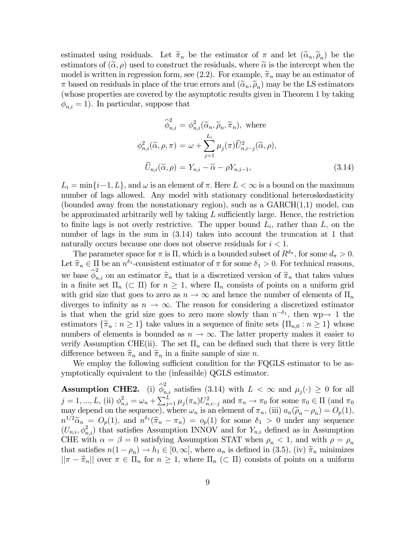estimated using residuals. Let  $\tilde{\pi}_n$  be the estimator of  $\pi$  and let  $(\tilde{\alpha}_n, \tilde{\rho}_n)$  be the estimators of  $(\tilde{\alpha}, \rho)$  used to construct the residuals, where  $\tilde{\alpha}$  is the intercept when the model is written in regression form, see (2.2). For example,  $\tilde{\pi}_n$  may be an estimator of  $\pi$  based on residuals in place of the true errors and  $(\tilde{\alpha}_n, \tilde{\rho}_n)$  may be the LS estimators (whose properties are covered by the asymptotic results given in Theorem 1 by taking  $\phi_{n,i} = 1$ ). In particular, suppose that

$$
\widehat{\phi}_{n,i}^2 = \phi_{n,i}^2(\widetilde{\alpha}_n, \widetilde{\rho}_n, \widetilde{\pi}_n), \text{ where}
$$

$$
\phi_{n,i}^2(\widetilde{\alpha}, \rho, \pi) = \omega + \sum_{j=1}^{L_i} \mu_j(\pi) \widehat{U}_{n,i-j}^2(\widetilde{\alpha}, \rho),
$$

$$
\widehat{U}_{n,i}(\widetilde{\alpha}, \rho) = Y_{n,i} - \widetilde{\alpha} - \rho Y_{n,i-1},
$$
\n(3.14)

 $L_i = \min\{i-1, L\}$ , and  $\omega$  is an element of  $\pi$ . Here  $L < \infty$  is a bound on the maximum number of lags allowed. Any model with stationary conditional heteroskedasticity (bounded away from the nonstationary region), such as a  $GARCH(1,1)$  model, can be approximated arbitrarily well by taking  $L$  sufficiently large. Hence, the restriction to finite lags is not overly restrictive. The upper bound  $L_i$ , rather than  $L$ , on the number of lags in the sum in (3.14) takes into account the truncation at 1 that naturally occurs because one does not observe residuals for  $i < 1$ .

The parameter space for  $\pi$  is  $\Pi$ , which is a bounded subset of  $R^{d_{\pi}}$ , for some  $d_{\pi} > 0$ . Let  $\hat{\pi}_n \in \Pi$  be an  $n^{\hat{\delta}_1}$ -consistent estimator of  $\pi$  for some  $\delta_1 > 0$ . For technical reasons, we base  $\hat{\phi}_{n,i}^2$  on an estimator  $\tilde{\pi}_n$  that is a discretized version of  $\hat{\pi}_n$  that takes values in a finite set  $\Pi_n$  ( $\subset \Pi$ ) for  $n \geq 1$ , where  $\Pi_n$  consists of points on a uniform grid with grid size that goes to zero as  $n \to \infty$  and hence the number of elements of  $\Pi_n$ diverges to infinity as  $n \to \infty$ . The reason for considering a discretized estimator is that when the grid size goes to zero more slowly than  $n^{-\delta_1}$ , then wp→ 1 the estimators  $\{\widetilde{\pi}_n : n \geq 1\}$  take values in a sequence of finite sets  $\{\Pi_{n,0} : n \geq 1\}$  whose numbers of elements is bounded as  $n \to \infty$ . The latter property makes it easier to verify Assumption CHE(ii). The set  $\Pi_n$  can be defined such that there is very little difference between  $\hat{\pi}_n$  and  $\tilde{\pi}_n$  in a finite sample of size *n*.

We employ the following sufficient condition for the FQGLS estimator to be asymptotically equivalent to the (infeasible) QGLS estimator.

**Assumption CHE2.** (i)  $\hat{\phi}_{n,i}^2$  satisfies (3.14) with  $L < \infty$  and  $\mu_j(\cdot) \geq 0$  for all  $j = 1, ..., L$ , (ii)  $\phi_{n,i}^2 = \omega_n + \sum_{j=1}^L \mu_j(\pi_n) U_{n,i-j}^2$  and  $\pi_n \to \pi_0$  for some  $\pi_0 \in \Pi$  (and  $\pi_0$ ) may depend on the sequence), where  $\omega_n$  is an element of  $\pi_n$ , (iii)  $a_n(\tilde{\rho}_n-\rho_n)=O_p(1)$ ,  $n^{1/2}\widetilde{\alpha}_n = O_p(1)$ , and  $n^{\delta_1}(\widehat{\pi}_n - \pi_n) = o_p(1)$  for some  $\delta_1 > 0$  under any sequence  $(U_{n,i}, \phi_{n,i}^2)$  that satisfies Assumption INNOV and for  $Y_{n,i}$  defined as in Assumption CHE with  $\alpha = \beta = 0$  satisfying Assumption STAT when  $\rho_n < 1$ , and with  $\rho = \rho_n$ that satisfies  $n(1 - \rho_n) \to h_1 \in [0, \infty]$ , where  $a_n$  is defined in (3.5), (iv)  $\tilde{\pi}_n$  minimizes  $||\pi - \hat{\pi}_n||$  over  $\pi \in \Pi_n$  for  $n \geq 1$ , where  $\Pi_n \subset \Pi$  consists of points on a uniform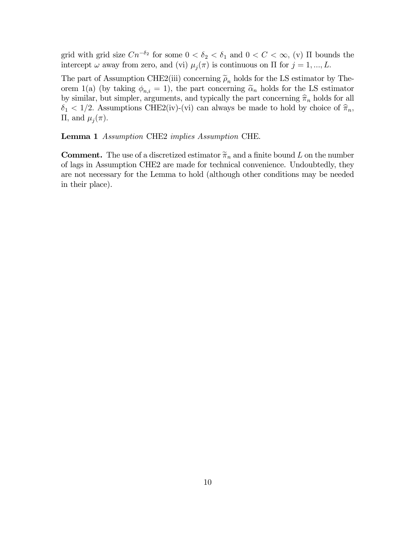grid with grid size  $Cn^{-\delta_2}$  for some  $0 < \delta_2 < \delta_1$  and  $0 < C < \infty$ , (v)  $\Pi$  bounds the intercept  $\omega$  away from zero, and (vi)  $\mu_i(\pi)$  is continuous on  $\Pi$  for  $j = 1, ..., L$ .

The part of Assumption CHE2(iii) concerning  $\tilde{\rho}_n$  holds for the LS estimator by Theorem 1(a) (by taking  $\phi_{n,i} = 1$ ), the part concerning  $\tilde{\alpha}_n$  holds for the LS estimator by similar, but simpler, arguments, and typically the part concerning  $\hat{\pi}_n$  holds for all  $\delta_1$  < 1/2. Assumptions CHE2(iv)-(vi) can always be made to hold by choice of  $\hat{\pi}_n$ , Π, and  $\mu_j(\pi)$ .

Lemma 1 Assumption CHE2 implies Assumption CHE.

**Comment.** The use of a discretized estimator  $\tilde{\pi}_n$  and a finite bound L on the number of lags in Assumption CHE2 are made for technical convenience. Undoubtedly, they are not necessary for the Lemma to hold (although other conditions may be needed in their place).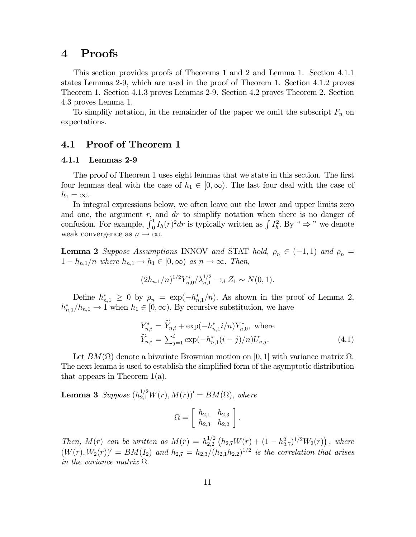### 4 Proofs

This section provides proofs of Theorems 1 and 2 and Lemma 1. Section 4.1.1 states Lemmas 2-9, which are used in the proof of Theorem 1. Section 4.1.2 proves Theorem 1. Section 4.1.3 proves Lemmas 2-9. Section 4.2 proves Theorem 2. Section 4.3 proves Lemma 1.

To simplify notation, in the remainder of the paper we omit the subscript  $F_n$  on expectations.

#### 4.1 Proof of Theorem 1

#### 4.1.1 Lemmas 2-9

The proof of Theorem 1 uses eight lemmas that we state in this section. The first four lemmas deal with the case of  $h_1 \in [0,\infty)$ . The last four deal with the case of  $h_1 = \infty$ .

In integral expressions below, we often leave out the lower and upper limits zero and one, the argument  $r$ , and  $dr$  to simplify notation when there is no danger of confusion. For example,  $\int_0^1 I_h(r)^2 dr$  is typically written as  $\int I_h^2$ . By "  $\Rightarrow$  " we denote weak convergence as  $n \to \infty$ .

**Lemma 2** Suppose Assumptions INNOV and STAT hold,  $\rho_n \in (-1,1)$  and  $\rho_n =$  $1-h_{n,1}/n$  where  $h_{n,1} \to h_1 \in [0,\infty)$  as  $n \to \infty$ . Then,

$$
(2h_{n,1}/n)^{1/2}Y_{n,0}^*/\lambda_{n,1}^{1/2}\to_d Z_1\sim N(0,1).
$$

Define  $h_{n,1}^* \geq 0$  by  $\rho_n = \exp(-h_{n,1}^*/n)$ . As shown in the proof of Lemma 2,  $h_{n,1}^*/h_{n,1} \to 1$  when  $h_1 \in [0,\infty)$ . By recursive substitution, we have

$$
Y_{n,i}^{*} = \tilde{Y}_{n,i} + \exp(-h_{n,1}^{*}i/n)Y_{n,0}^{*}, \text{ where}
$$
  
\n
$$
\tilde{Y}_{n,i} = \sum_{j=1}^{i} \exp(-h_{n,1}^{*}(i-j)/n)U_{n,j}.
$$
\n(4.1)

Let  $BM(\Omega)$  denote a bivariate Brownian motion on [0, 1] with variance matrix  $\Omega$ . The next lemma is used to establish the simplified form of the asymptotic distribution that appears in Theorem 1(a).

**Lemma 3** Suppose  $(h_{2,1}^{1/2}W(r), M(r))' = BM(\Omega)$ , where

$$
\Omega = \left[ \begin{array}{cc} h_{2,1} & h_{2,3} \\ h_{2,3} & h_{2,2} \end{array} \right].
$$

Then,  $M(r)$  can be written as  $M(r) = h_{2,2}^{1/2} (h_{2,7} W(r) + (1 - h_{2,7}^2)^{1/2} W_2(r))$ , where  $(W(r), W_2(r))' = BM(I_2)$  and  $h_{2,7} = h_{2,3}/(h_{2,1}h_{2,2})^{1/2}$  is the correlation that arises in the variance matrix  $\Omega$ .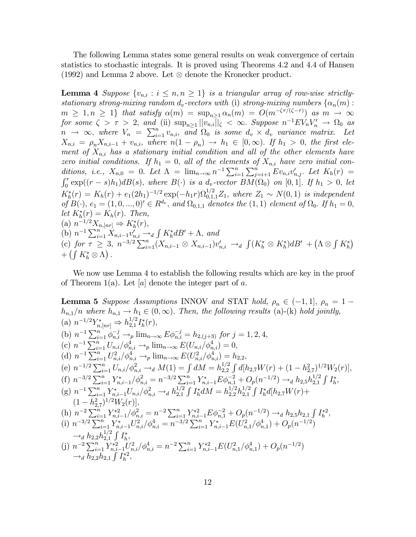The following Lemma states some general results on weak convergence of certain statistics to stochastic integrals. It is proved using Theorems 4.2 and 4.4 of Hansen (1992) and Lemma 2 above. Let ⊗ denote the Kronecker product.

**Lemma 4** Suppose  $\{v_{n,i} : i \leq n, n \geq 1\}$  is a triangular array of row-wise strictlystationary strong-mixing random  $d_v$ -vectors with (i) strong-mixing numbers  $\{\alpha_n(m):$  $m \geq 1, n \geq 1$  that satisfy  $\alpha(m) = \sup_{n \geq 1} \alpha_n(m) = O(m^{-\zeta \tau/(\zeta - \tau)})$  as  $m \to \infty$ for some  $\zeta > \tau > 2$ , and (ii)  $\sup_{n\geq 1} ||v_{n,i}||_{\zeta} < \infty$ . Suppose  $n^{-1}EV_nV_n' \to \Omega_0$  as  $n \rightarrow \infty$ , where  $V_n = \sum_{i=1}^n v_{n,i}$ , and  $\Omega_0$  is some  $d_v \times d_v$  variance matrix. Let  $X_{n,i} = \rho_n X_{n,i-1} + v_{n,i}$ , where  $n(1 - \rho_n) \to h_1 \in [0, \infty)$ . If  $h_1 > 0$ , the first element of  $X_{n,i}$  has a stationary initial condition and all of the other elements have zero initial conditions. If  $h_1 = 0$ , all of the elements of  $X_{n,i}$  have zero initial conditions, i.e.,  $X_{n,0} = 0$ . Let  $\Lambda = \lim_{n \to \infty} n^{-1} \sum_{i=1}^{n} \sum_{j=i+1}^{n} E v_{n,i} v'_{n,j}$ . Let  $K_h(r) =$  $\int_0^r \exp((r-s)h_1)dB(s)$ , where  $B(\cdot)$  is a  $d_v$ -vector  $\overline{BM}(\Omega_0)$  on  $[0,1]$ . If  $h_1 > 0$ , let  $K_h^*(r) = K_h(r) + e_1(2h_1)^{-1/2} \exp(-h_1r) \Omega_{0,1,1}^{1/2} Z_1$ , where  $Z_1 \sim N(0, 1)$  is independent of  $B(\cdot), e_1 = (1, 0, ..., 0)' \in R^{d_v}$ , and  $\Omega_{0,1,1}$  denotes the  $(1, 1)$  element of  $\Omega_0$ . If  $h_1 = 0$ , let  $K_h^*(r) = K_h(r)$ . Then, (a)  $n^{-1/2}X_{n,[nr]} \Rightarrow K_h^*(r),$ (b)  $n^{-1} \sum_{i=1}^{n} X_{n,i-1} v'_{n,i} \rightarrow_d \int K_h^* dB' + \Lambda$ , and (c) for  $\tau \geq 3$ ,  $n^{-3/2} \sum_{i=1}^{n} (X_{n,i-1} \otimes X_{n,i-1}) v'_{n,i}$  →  $\int (K_h^* \otimes K_h^*) d^{i}$  +  $(\Lambda \otimes \int K_h^*)$  $+\left(\int K_h^*\otimes \Lambda\right)$ .

We now use Lemma 4 to establish the following results which are key in the proof of Theorem 1(a). Let  $[a]$  denote the integer part of a.

**Lemma 5** Suppose Assumptions INNOV and STAT hold,  $\rho_n \in (-1, 1], \rho_n = 1$  $h_{n,1}/n$  where  $h_{n,1} \to h_1 \in (0,\infty)$ . Then, the following results (a)-(k) hold jointly, (a)  $n^{-1/2} Y_{n,[nr]}^* \Rightarrow h_{2,1}^{1/2} I_h^*(r)$ , (b)  $n^{-1} \sum_{i=1}^{n} \phi_{n,i}^{-j} \rightarrow_{p} \lim_{n \to \infty} E \phi_{n,i}^{-j} = h_{2,(j+3)}$  for  $j = 1, 2, 4$ , (c)  $n^{-1} \sum_{i=1}^{n} U_{n,i} / \phi_{n,i}^4 \rightarrow_p \lim_{n \to \infty} E(U_{n,i} / \phi_{n,i}^4) = 0,$ (d)  $n^{-1} \sum_{i=1}^{n} U_{n,i}^{2} / \phi_{n,i}^{4} \rightarrow_{p} \lim_{n \to \infty} E(U_{n,i}^{2} / \phi_{n,i}^{4}) = h_{2,2},$ (e)  $n^{-1/2} \sum_{i=1}^{n} U_{n,i} / \phi_{n,i}^2 \rightarrow_d M(1) = \int dM = h_{2,2}^{1/2} \int d[h_{2,7}W(r) + (1-h_{2,7}^2)^{1/2}W_2(r)],$ (f)  $n^{-3/2} \sum_{i=1}^n Y_{n,i-1}^* / \phi_{n,i}^2 = n^{-3/2} \sum_{i=1}^n Y_{n,i-1}^* E \phi_{n,i}^{-2} + O_p(n^{-1/2}) \longrightarrow_d h_{2,5} h_{2,1}^{1/2} \int I_h^*,$ (g)  $n^{-1} \sum_{i=1}^{n} Y_{n,i-1}^{*} U_{n,i} / \phi_{n,i}^2 \rightarrow_d h_{2,1}^{1/2} \int I_h^* dM = h_{2,2}^{1/2} h_{2,1}^{1/2} \int I_h^* d[h_{2,7}W(r) +$  $(1-h_{2,7}^2)^{1/2}W_2(r)$ (h)  $n^{-2} \sum_{i=1}^{n} Y_{n,i-1}^{*2} / \phi_{n,i}^2 = n^{-2} \sum_{i=1}^{n} Y_{n,i-1}^{*2} E \phi_{n,1}^{-2} + O_p(n^{-1/2}) \rightarrow_d h_{2,5} h_{2,1} \int I_n^{*2}$ (i)  $n^{-3/2} \sum_{i=1}^n Y^*_{n,i-1} U_{n,i}^2 / \phi_{n,i}^4 = n^{-3/2} \sum_{i=1}^n Y^*_{n,i-1} E(U_{n,1}^2 / \phi_{n,1}^4) + O_p(n^{-1/2})$  $\rightarrow_d h_{2,2} h_{2,1}^{1/2} \int_{a} I_h^*$  $\begin{aligned} \n\rightarrow d \, & \mu_{2,2} \mu_{2,1} \, \int I_h, \\
\text{(j)} \, & n^{-2} \sum_{i=1}^n Y_{n,i-1}^{*2} U_{n,i}^2 / \phi_{n,i}^4 = n^{-2} \sum_{i=1}^n Y_{n,i-1}^{*2} E(U_{n,1}^2 / \phi_{n,1}^4) + O_p(n^{-1/2})\n\end{aligned}$  $\rightarrow_d \overline{h_{2,2}h_{2,1}} \int I_h^{*2}$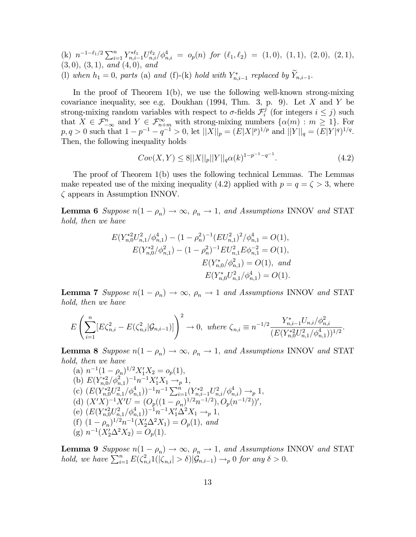(k)  $n^{-1-\ell_1/2} \sum_{i=1}^n Y_{n,i-1}^{*\ell_1} U_{n,i}^{\ell_2} / \phi_{n,i}^4 = o_p(n)$  for  $(\ell_1, \ell_2) = (1, 0), (1, 1), (2, 0), (2, 1),$  $(3,0), (3,1), and (4,0), and$ (l) when  $h_1 = 0$ , parts (a) and (f)-(k) hold with  $Y^*_{n,i-1}$  replaced by  $Y_{n,i-1}$ .

In the proof of Theorem 1(b), we use the following well-known strong-mixing covariance inequality, see e.g. Doukhan  $(1994, Thm. 3, p. 9)$ . Let X and Y be strong-mixing random variables with respect to  $\sigma$ -fields  $\mathcal{F}^j_i$  (for integers  $i \leq j$ ) such that  $X \in \mathcal{F}_{-\infty}^n$  and  $Y \in \mathcal{F}_{n+m}^{\infty}$  with strong-mixing numbers  $\{\alpha(m) : m \geq 1\}$ . For  $p, q > 0$  such that  $1 - p^{-1} - q^{-1} > 0$ , let  $||X||_p = (E|X|^p)^{1/p}$  and  $||Y||_q = (E|Y|^q)^{1/q}$ . Then, the following inequality holds

$$
Cov(X,Y) \le 8||X||_p||Y||_q \alpha(k)^{1-p^{-1}-q^{-1}}.
$$
\n(4.2)

The proof of Theorem 1(b) uses the following technical Lemmas. The Lemmas make repeated use of the mixing inequality (4.2) applied with  $p = q = \zeta > 3$ , where ζ appears in Assumption INNOV.

**Lemma 6** Suppose  $n(1 - \rho_n) \to \infty$ ,  $\rho_n \to 1$ , and Assumptions INNOV and STAT hold, then we have

$$
E(Y_{n,0}^{*2}U_{n,1}^{2}/\phi_{n,1}^{4}) - (1 - \rho_{n}^{2})^{-1}(EU_{n,1}^{2})^{2}/\phi_{n,1}^{4} = O(1),
$$
  
\n
$$
E(Y_{n,0}^{*2}/\phi_{n,1}^{2}) - (1 - \rho_{n}^{2})^{-1}EU_{n,1}^{2}E\phi_{n,1}^{-2} = O(1),
$$
  
\n
$$
E(Y_{n,0}^{*}/\phi_{n,1}^{2}) = O(1), \text{ and}
$$
  
\n
$$
E(Y_{n,0}^{*}U_{n,1}^{2}/\phi_{n,1}^{4}) = O(1).
$$

**Lemma 7** Suppose  $n(1 - \rho_n) \to \infty$ ,  $\rho_n \to 1$  and Assumptions INNOV and STAT hold, then we have

$$
E\left(\sum_{i=1}^n [E\zeta_{n,i}^2 - E(\zeta_{n,i}^2 | \mathcal{G}_{n,i-1})] \right)^2 \to 0, \text{ where } \zeta_{n,i} \equiv n^{-1/2} \frac{Y_{n,i-1}^* U_{n,i} / \phi_{n,i}^2}{(E(Y_{n,0}^{*2} U_{n,1}^2 / \phi_{n,1}^4))^{1/2}}.
$$

**Lemma 8** Suppose  $n(1 - \rho_n) \to \infty$ ,  $\rho_n \to 1$ , and Assumptions INNOV and STAT hold, then we have

(a)  $n^{-1}(1-\rho_n)^{1/2}X_1'X_2 = o_p(1),$ (b)  $E(Y_{n,0}^{*2}/\phi_{n,1}^2)^{-1}n^{-1}X_1'X_1 \to_p 1$ , (c)  $(E(Y_{n,0}^{*2}U_{n,1}^2/\phi_{n,1}^4))^{-1}n^{-1}\sum_{i=1}^n (Y_{n,i-1}^{*2}U_{n,i}^2/\phi_{n,i}^4) \to_p 1$ (d)  $(X'X)^{-1}X'U = (O_p((1-\rho_n)^{1/2}n^{-1/2}), O_p(n^{-1/2}))',$ (e)  $(E(Y_{n,0}^{*2}U_{n,1}^2/\phi_{n,1}^4))^{-1}n^{-1}X_1'\Delta^2 X_1 \to_p 1$ , (f)  $(1 - \rho_n)^{1/2} n^{-1} (X_2' \Delta^2 X_1) = O_p(1)$ , and (g)  $n^{-1}(X_2'\Delta^2 X_2) = O_p(1)$ .

**Lemma 9** Suppose  $n(1 - \rho_n) \to \infty$ ,  $\rho_n \to 1$ , and Assumptions INNOV and STAT hold, we have  $\sum_{i=1}^{n} E(\zeta_{n,i}^2 1(|\zeta_{n,i}| > \delta) | \mathcal{G}_{n,i-1}) \to_p 0$  for any  $\delta > 0$ .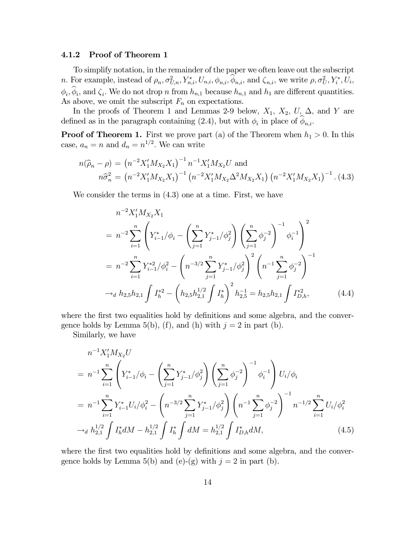#### 4.1.2 Proof of Theorem 1

To simplify notation, in the remainder of the paper we often leave out the subscript *n*. For example, instead of  $\rho_n$ ,  $\sigma_{U,n}^2$ ,  $Y_{n,i}^*$ ,  $U_{n,i}$ ,  $\phi_{n,i}$ ,  $\phi_{n,i}$ , and  $\zeta_{n,i}$ , we write  $\rho$ ,  $\sigma_U^2$ ,  $Y_i^*$ ,  $U_i$ ,  $\phi_i, \hat{\phi}_i$ , and  $\zeta_i$ . We do not drop n from  $h_{n,1}$  because  $h_{n,1}$  and  $h_1$  are different quantities. As above, we omit the subscript  $F_n$  on expectations.

In the proofs of Theorem 1 and Lemmas 2-9 below,  $X_1$ ,  $X_2$ ,  $U$ ,  $\Delta$ , and Y are defined as in the paragraph containing (2.4), but with  $\phi_i$  in place of  $\phi_{n,i}$ .

**Proof of Theorem 1.** First we prove part (a) of the Theorem when  $h_1 > 0$ . In this case,  $a_n = n$  and  $d_n = n^{1/2}$ . We can write

$$
n(\widehat{\rho}_n - \rho) = \left(n^{-2} X_1' M_{X_2} X_1\right)^{-1} n^{-1} X_1' M_{X_2} U \text{ and}
$$
  

$$
n\widehat{\sigma}_n^2 = \left(n^{-2} X_1' M_{X_2} X_1\right)^{-1} \left(n^{-2} X_1' M_{X_2} \Delta^2 M_{X_2} X_1\right) \left(n^{-2} X_1' M_{X_2} X_1\right)^{-1} .
$$
 (4.3)

We consider the terms in  $(4.3)$  one at a time. First, we have

$$
n^{-2}X_1'M_{X_2}X_1
$$
  
=  $n^{-2}\sum_{i=1}^n \left(Y_{i-1}^*/\phi_i - \left(\sum_{j=1}^n Y_{j-1}^*/\phi_j^2\right) \left(\sum_{j=1}^n \phi_j^{-2}\right)^{-1} \phi_i^{-1}\right)^2$   
=  $n^{-2}\sum_{i=1}^n Y_{i-1}^{*2}/\phi_i^2 - \left(n^{-3/2}\sum_{j=1}^n Y_{j-1}^*/\phi_j^2\right)^2 \left(n^{-1}\sum_{j=1}^n \phi_j^{-2}\right)^{-1}$   
 $\rightarrow_d h_{2,5}h_{2,1} \int I_h^{*2} - \left(h_{2,5}h_{2,1}^{1/2} \int I_h^*\right)^2 h_{2,5}^{-1} = h_{2,5}h_{2,1} \int I_{D,h}^{*2},$  (4.4)

where the first two equalities hold by definitions and some algebra, and the convergence holds by Lemma 5(b), (f), and (h) with  $j = 2$  in part (b).

Similarly, we have

$$
n^{-1}X_1'M_{X_2}U
$$
  
=  $n^{-1}\sum_{i=1}^n \left(Y_{i-1}^*/\phi_i - \left(\sum_{j=1}^n Y_{j-1}^*/\phi_j^2\right) \left(\sum_{j=1}^n \phi_j^{-2}\right)^{-1} \phi_i^{-1}\right) U_i/\phi_i$   
=  $n^{-1}\sum_{i=1}^n Y_{i-1}^* U_i/\phi_i^2 - \left(n^{-3/2}\sum_{j=1}^n Y_{j-1}^*/\phi_j^2\right) \left(n^{-1}\sum_{j=1}^n \phi_j^{-2}\right)^{-1} n^{-1/2} \sum_{i=1}^n U_i/\phi_i^2$   
 $\rightarrow_d h_{2,1}^{1/2} \int I_h^* dM - h_{2,1}^{1/2} \int I_h^* \int dM = h_{2,1}^{1/2} \int I_{D,h}^* dM,$  (4.5)

where the first two equalities hold by definitions and some algebra, and the convergence holds by Lemma 5(b) and (e)-(g) with  $j = 2$  in part (b).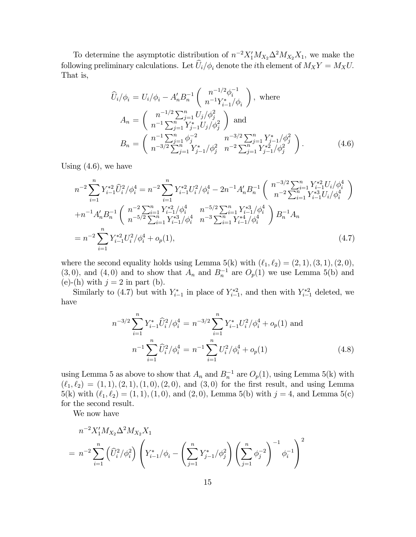To determine the asymptotic distribution of  $n^{-2} X_1' M_{X_2} \Delta^2 M_{X_2} X_1$ , we make the following preliminary calculations. Let  $\widehat{U}_i/\phi_i$  denote the *i*th element of  $M_X Y = M_X U$ . That is,

$$
\widehat{U}_{i}/\phi_{i} = U_{i}/\phi_{i} - A'_{n}B_{n}^{-1}\left(\frac{n^{-1/2}\phi_{i}^{-1}}{n^{-1}Y_{i-1}^{*}/\phi_{i}}\right), \text{ where}
$$
\n
$$
A_{n} = \left(\frac{n^{-1/2}\sum_{j=1}^{n}U_{j}/\phi_{j}^{2}}{n^{-1}\sum_{j=1}^{n}Y_{j-1}^{*}U_{j}/\phi_{j}^{2}}\right) \text{ and}
$$
\n
$$
B_{n} = \left(\frac{n^{-1}\sum_{j=1}^{n}\phi_{j}^{-2}}{n^{-3/2}\sum_{j=1}^{n}Y_{j-1}^{*}/\phi_{j}^{2}}\right).
$$
\n(4.6)

Using  $(4.6)$ , we have

$$
n^{-2} \sum_{i=1}^{n} Y_{i-1}^{*2} \hat{U}_{i}^{2} / \phi_{i}^{4} = n^{-2} \sum_{i=1}^{n} Y_{i-1}^{*2} U_{i}^{2} / \phi_{i}^{4} - 2n^{-1} A'_{n} B_{n}^{-1} \left( \begin{array}{c} n^{-3/2} \sum_{i=1}^{n} Y_{i-1}^{*2} U_{i} / \phi_{i}^{4} \\ n^{-2} \sum_{i=1}^{n} Y_{i-1}^{*3} U_{i} / \phi_{i}^{4} \end{array} \right) + n^{-1} A'_{n} B_{n}^{-1} \left( \begin{array}{c} n^{-2} \sum_{i=1}^{n} Y_{i-1}^{*2} / \phi_{i}^{4} & n^{-5/2} \sum_{i=1}^{n} Y_{i-1}^{*3} / \phi_{i}^{4} \\ n^{-5/2} \sum_{i=1}^{n} Y_{i-1}^{*3} / \phi_{i}^{4} & n^{-3} \sum_{i=1}^{n} Y_{i-1}^{*3} / \phi_{i}^{4} \end{array} \right) B_{n}^{-1} A_{n}
$$
  
= 
$$
n^{-2} \sum_{i=1}^{n} Y_{i-1}^{*2} U_{i}^{2} / \phi_{i}^{4} + o_{p}(1),
$$
 (4.7)

where the second equality holds using Lemma  $5(k)$  with  $(\ell_1, \ell_2) = (2, 1), (3, 1), (2, 0),$ (3,0), and (4,0) and to show that  $A_n$  and  $B_n^{-1}$  are  $O_p(1)$  we use Lemma 5(b) and (e)-(h) with  $j = 2$  in part (b).

Similarly to (4.7) but with  $Y_{i-1}^*$  in place of  $Y_{i-1}^{*2}$ , and then with  $Y_{i-1}^{*2}$  deleted, we have

$$
n^{-3/2} \sum_{i=1}^{n} Y_{i-1}^{*} \widehat{U}_{i}^{2} / \phi_{i}^{4} = n^{-3/2} \sum_{i=1}^{n} Y_{i-1}^{*} U_{i}^{2} / \phi_{i}^{4} + o_{p}(1) \text{ and}
$$

$$
n^{-1} \sum_{i=1}^{n} \widehat{U}_{i}^{2} / \phi_{i}^{4} = n^{-1} \sum_{i=1}^{n} U_{i}^{2} / \phi_{i}^{4} + o_{p}(1) \tag{4.8}
$$

using Lemma 5 as above to show that  $A_n$  and  $B_n^{-1}$  are  $O_p(1)$ , using Lemma 5(k) with  $(\ell_1, \ell_2) = (1, 1), (2, 1), (1, 0), (2, 0),$  and  $(3, 0)$  for the first result, and using Lemma 5(k) with  $(\ell_1, \ell_2) = (1, 1), (1, 0)$ , and  $(2, 0)$ , Lemma 5(b) with  $j = 4$ , and Lemma 5(c) for the second result.

We now have

$$
n^{-2} X_1' M_{X_2} \Delta^2 M_{X_2} X_1
$$
  
=  $n^{-2} \sum_{i=1}^n \left( \widehat{U}_i^2 / \phi_i^2 \right) \left( Y_{i-1}^* / \phi_i - \left( \sum_{j=1}^n Y_{j-1}^* / \phi_j^2 \right) \left( \sum_{j=1}^n \phi_j^{-2} \right)^{-1} \phi_i^{-1} \right)^2$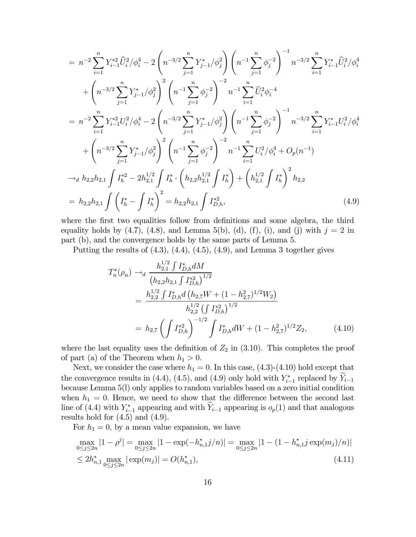$$
= n^{-2} \sum_{i=1}^{n} Y_{i-1}^{*2} \hat{U}_{i}^{2} / \phi_{i}^{4} - 2 \left( n^{-3/2} \sum_{j=1}^{n} Y_{j-1}^{*} / \phi_{j}^{2} \right) \left( n^{-1} \sum_{j=1}^{n} \phi_{j}^{-2} \right)^{-1} n^{-3/2} \sum_{i=1}^{n} Y_{i-1}^{*} \hat{U}_{i}^{2} / \phi_{i}^{4} + \left( n^{-3/2} \sum_{j=1}^{n} Y_{j-1}^{*} / \phi_{j}^{2} \right)^{2} \left( n^{-1} \sum_{j=1}^{n} \phi_{j}^{-2} \right)^{-2} n^{-1} \sum_{i=1}^{n} \hat{U}_{i}^{2} \phi_{i}^{-4} = n^{-2} \sum_{i=1}^{n} Y_{i-1}^{*2} U_{i}^{2} / \phi_{i}^{4} - 2 \left( n^{-3/2} \sum_{j=1}^{n} Y_{j-1}^{*} / \phi_{j}^{2} \right) \left( n^{-1} \sum_{j=1}^{n} \phi_{j}^{-2} \right)^{-1} n^{-3/2} \sum_{i=1}^{n} Y_{i-1}^{*} U_{i}^{2} / \phi_{i}^{4} + \left( n^{-3/2} \sum_{j=1}^{n} Y_{j-1}^{*} / \phi_{j}^{2} \right)^{2} \left( n^{-1} \sum_{j=1}^{n} \phi_{j}^{-2} \right)^{-2} n^{-1} \sum_{i=1}^{n} U_{i}^{2} / \phi_{i}^{4} + O_{p}(n^{-1}) \rightarrow a h_{2,2} h_{2,1} \int I_{h}^{*2} - 2h_{2,1}^{1/2} \int I_{h}^{*} \cdot \left( h_{2,2} h_{2,1}^{1/2} \int I_{h}^{*} \right) + \left( h_{2,1}^{1/2} \int I_{h}^{*} \right)^{2} h_{2,2} = h_{2,2} h_{2,1} \int \left( I_{h}^{*} - \int I_{h}^{*} \right)^{2} = h_{2,2} h_{2,1} \int I_{D,h}^{*2}, \tag{4.9}
$$

where the first two equalities follow from definitions and some algebra, the third equality holds by  $(4.7)$ ,  $(4.8)$ , and Lemma 5(b), (d), (f), (i), and (j) with  $j = 2$  in part (b), and the convergence holds by the same parts of Lemma 5.

Putting the results of (4.3), (4.4), (4.5), (4.9), and Lemma 3 together gives

$$
T_n^*(\rho_n) \to_d \frac{h_{2,1}^{1/2} \int I_{D,h}^* dM}{(h_{2,2}h_{2,1} \int I_{D,h}^{*2})^{1/2}}
$$
  
= 
$$
\frac{h_{2,2}^{1/2} \int I_{D,h}^* d\left(h_{2,7}W + (1 - h_{2,7}^2)^{1/2}W_2\right)}{h_{2,2}^{1/2} \left(\int I_{D,h}^{*2}\right)^{1/2}}
$$
  
= 
$$
h_{2,7} \left(\int I_{D,h}^{*2}\right)^{-1/2} \int I_{D,h}^* dW + (1 - h_{2,7}^2)^{1/2} Z_2,
$$
 (4.10)

where the last equality uses the definition of  $Z_2$  in (3.10). This completes the proof of part (a) of the Theorem when  $h_1 > 0$ .

Next, we consider the case where  $h_1 = 0$ . In this case, (4.3)-(4.10) hold except that the convergence results in (4.4), (4.5), and (4.9) only hold with  $Y_{i-1}^*$  replaced by  $Y_{i-1}$ because Lemma 5(l) only applies to random variables based on a zero initial condition when  $h_1 = 0$ . Hence, we need to show that the difference between the second last line of (4.4) with  $Y_{i-1}^*$  appearing and with  $Y_{i-1}$  appearing is  $o_p(1)$  and that analogous results hold for  $(4.5)$  and  $(4.9)$ .

For  $h_1 = 0$ , by a mean value expansion, we have

$$
\max_{0 \le j \le 2n} |1 - \rho^j| = \max_{0 \le j \le 2n} |1 - \exp(-h_{n,1}^* j/n)| = \max_{0 \le j \le 2n} |1 - (1 - h_{n,1}^* j \exp(m_j)/n)|
$$
  
\n
$$
\le 2h_{n,1}^* \max_{0 \le j \le 2n} |\exp(m_j)| = O(h_{n,1}^*),
$$
\n(4.11)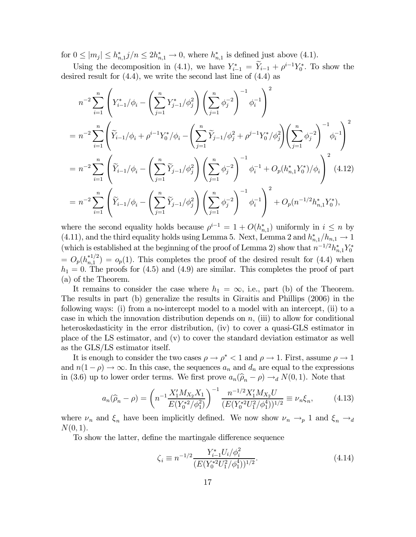for  $0 \leq |m_j| \leq h_{n,1}^* j/n \leq 2h_{n,1}^* \to 0$ , where  $h_{n,1}^*$  is defined just above (4.1).

Using the decomposition in (4.1), we have  $Y_{i-1}^* = \overline{Y}_{i-1} + \rho^{i-1}Y_0^*$ . To show the desired result for (4.4), we write the second last line of (4.4) as

$$
n^{-2} \sum_{i=1}^{n} \left( Y_{i-1}^{*} / \phi_i - \left( \sum_{j=1}^{n} Y_{j-1}^{*} / \phi_j^{2} \right) \left( \sum_{j=1}^{n} \phi_j^{-2} \right)^{-1} \phi_i^{-1} \right)^{2}
$$
  
\n
$$
= n^{-2} \sum_{i=1}^{n} \left( \widetilde{Y}_{i-1} / \phi_i + \rho^{i-1} Y_0^{*} / \phi_i - \left( \sum_{j=1}^{n} \widetilde{Y}_{j-1} / \phi_j^{2} + \rho^{j-1} Y_0^{*} / \phi_j^{2} \right) \left( \sum_{j=1}^{n} \phi_j^{-2} \right)^{-1} \phi_i^{-1} \right)^{2}
$$
  
\n
$$
= n^{-2} \sum_{i=1}^{n} \left( \widetilde{Y}_{i-1} / \phi_i - \left( \sum_{j=1}^{n} \widetilde{Y}_{j-1} / \phi_j^{2} \right) \left( \sum_{j=1}^{n} \phi_j^{-2} \right)^{-1} \phi_i^{-1} + O_p(h_{n,1}^{*} Y_0^{*}) / \phi_i \right)^{2} (4.12)
$$
  
\n
$$
= n^{-2} \sum_{i=1}^{n} \left( \widetilde{Y}_{i-1} / \phi_i - \left( \sum_{j=1}^{n} \widetilde{Y}_{j-1} / \phi_j^{2} \right) \left( \sum_{j=1}^{n} \phi_j^{-2} \right)^{-1} \phi_i^{-1} \right)^{2} + O_p(n^{-1/2} h_{n,1}^{*} Y_0^{*}),
$$

where the second equality holds because  $\rho^{i-1} = 1 + O(h_{n,1}^*)$  uniformly in  $i \leq n$  by (4.11), and the third equality holds using Lemma 5. Next, Lemma 2 and  $h_{n,1}^*/h_{n,1} \to 1$ (which is established at the beginning of the proof of Lemma 2) show that  $n^{-1/2} h_{n,1}^* Y_0^*$  $= O_p(h_{n,1}^{*1/2}) = o_p(1)$ . This completes the proof of the desired result for (4.4) when  $h_1 = 0$ . The proofs for (4.5) and (4.9) are similar. This completes the proof of part (a) of the Theorem.

It remains to consider the case where  $h_1 = \infty$ , i.e., part (b) of the Theorem. The results in part (b) generalize the results in Giraitis and Phillips (2006) in the following ways: (i) from a no-intercept model to a model with an intercept, (ii) to a case in which the innovation distribution depends on  $n$ , (iii) to allow for conditional heteroskedasticity in the error distribution, (iv) to cover a quasi-GLS estimator in place of the LS estimator, and (v) to cover the standard deviation estimator as well as the GLS/LS estimator itself.

It is enough to consider the two cases  $\rho \to \rho^*$  < 1 and  $\rho \to 1$ . First, assume  $\rho \to 1$ and  $n(1-\rho) \to \infty$ . In this case, the sequences  $a_n$  and  $d_n$  are equal to the expressions in (3.6) up to lower order terms. We first prove  $a_n(\hat{\rho}_n - \rho) \rightarrow_d N(0, 1)$ . Note that

$$
a_n(\widehat{\rho}_n - \rho) = \left(n^{-1} \frac{X_1' M_{X_2} X_1}{E(Y_0^{*2} / \phi_1^2)}\right)^{-1} \frac{n^{-1/2} X_1' M_{X_2} U}{(E(Y_0^{*2} U_1^2 / \phi_1^4))^{1/2}} \equiv \nu_n \xi_n, \tag{4.13}
$$

where  $\nu_n$  and  $\xi_n$  have been implicitly defined. We now show  $\nu_n \to_p 1$  and  $\xi_n \to_d$  $N(0, 1)$ .

To show the latter, define the martingale difference sequence

$$
\zeta_i \equiv n^{-1/2} \frac{Y_{i-1}^* U_i / \phi_i^2}{(E(Y_0^{*2} U_1^2 / \phi_1^4))^{1/2}}.
$$
\n(4.14)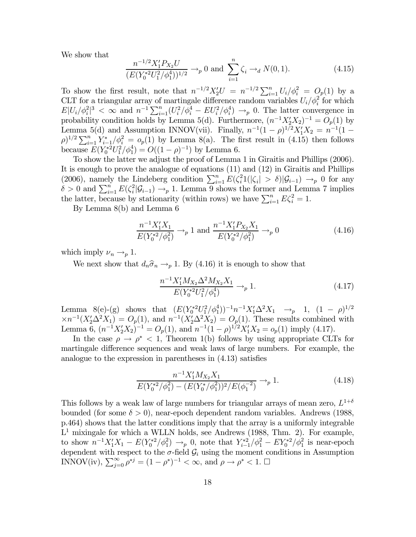We show that

$$
\frac{n^{-1/2}X_1'P_{X_2}U}{(E(Y_0^{*2}U_1^2/\phi_1^4))^{1/2}} \to_p 0 \text{ and } \sum_{i=1}^n \zeta_i \to_d N(0,1). \tag{4.15}
$$

To show the first result, note that  $n^{-1/2}X_2'U = n^{-1/2}\sum_{i=1}^n U_i/\phi_i^2 = O_p(1)$  by a CLT for a triangular array of martingale difference random variables  $U_i/\phi_i^2$  for which  $E|U_i/\phi_i^2|^3 < \infty$  and  $n^{-1}\sum_{i=1}^n (U_i^2/\phi_i^4 - EU_i^2/\phi_i^4) \to_p 0$ . The latter convergence in probability condition holds by Lemma 5(d). Furthermore,  $(n^{-1}X_2'X_2)^{-1} = O_p(1)$  by Lemma 5(d) and Assumption INNOV(vii). Finally,  $n^{-1}(1-\rho)^{1/2}X_1'X_2 = n^{-1}(1-\rho)^{1/2}X_2'X_3'$  $(\rho)^{1/2} \sum_{i=1}^{n} Y_{i-1}^* / \phi_i^2 = o_p(1)$  by Lemma 8(a). The first result in (4.15) then follows because  $E(Y_0^{*2}U_1^2/\phi_1^4) = O((1 - \rho)^{-1})$  by Lemma 6.

To show the latter we adjust the proof of Lemma 1 in Giraitis and Phillips (2006). It is enough to prove the analogue of equations (11) and (12) in Giraitis and Phillips (2006), namely the Lindeberg condition  $\sum_{i=1}^{n} E(\zeta_i^2 1(|\zeta_i| > \delta) | \mathcal{G}_{i-1}) \to_p 0$  for any  $\delta > 0$  and  $\sum_{i=1}^{n} E(\zeta_i^2 | \mathcal{G}_{i-1}) \to_p 1$ . Lemma 9 shows the former and Lemma 7 implies the latter, because by stationarity (within rows) we have  $\sum_{i=1}^{n} E \zeta_i^2 = 1$ .

By Lemma 8(b) and Lemma 6

$$
\frac{n^{-1}X_1'X_1}{E(Y_0^{*2}/\phi_1^2)} \to_p 1 \text{ and } \frac{n^{-1}X_1'P_{X_2}X_1}{E(Y_0^{*2}/\phi_1^2)} \to_p 0 \tag{4.16}
$$

which imply  $\nu_n \rightarrow_p 1$ .

We next show that  $d_n\hat{\sigma}_n \rightarrow_p 1$ . By (4.16) it is enough to show that

$$
\frac{n^{-1}X_1'M_{X_2}\Delta^2 M_{X_2}X_1}{E(Y_0^{*2}U_1^2/\phi_1^4)} \to_p 1.
$$
\n(4.17)

Lemma 8(e)-(g) shows that  $(E(Y_0^{*2}U_1^2/\phi_1^4))^{-1}n^{-1}X_1^{\prime}\Delta^2X_1 \rightarrow_p 1$ ,  $(1-\rho)^{1/2}$  $\times n^{-1}(X_2'\Delta^2 X_1) = O_p(1)$ , and  $n^{-1}(X_2'\Delta^2 X_2) = O_p(1)$ . These results combined with Lemma 6,  $(n^{-1}X_2'X_2)^{-1} = O_p(1)$ , and  $n^{-1}(1-\rho)^{1/2}X_1'X_2 = o_p(1)$  imply (4.17).

In the case  $\rho \to \rho^*$  < 1, Theorem 1(b) follows by using appropriate CLTs for martingale difference sequences and weak laws of large numbers. For example, the analogue to the expression in parentheses in (4.13) satisfies

$$
\frac{n^{-1}X_1'M_{X_2}X_1}{E(Y_0^{*2}/\phi_1^2) - (E(Y_0^*/\phi_1^2))^2/E(\phi_1^{-2})} \to_p 1.
$$
\n(4.18)

This follows by a weak law of large numbers for triangular arrays of mean zero,  $L^{1+\delta}$ bounded (for some  $\delta > 0$ ), near-epoch dependent random variables. Andrews (1988, p.464) shows that the latter conditions imply that the array is a uniformly integrable  $L<sup>1</sup>$  mixingale for which a WLLN holds, see Andrews (1988, Thm. 2). For example, to show  $n^{-1}X_1'X_1 - E(Y_0^{*2}/\phi_1^2) \to_p 0$ , note that  $Y_{i-1}^{*2}/\phi_1^2 - EY_0^{*2}/\phi_1^2$  is near-epoch dependent with respect to the  $\sigma$ -field  $\mathcal{G}_i$  using the moment conditions in Assumption INNOV(iv),  $\sum_{j=0}^{\infty} \rho^{*j} = (1 - \rho^*)^{-1} < \infty$ , and  $\rho \to \rho^* < 1$ .  $\Box$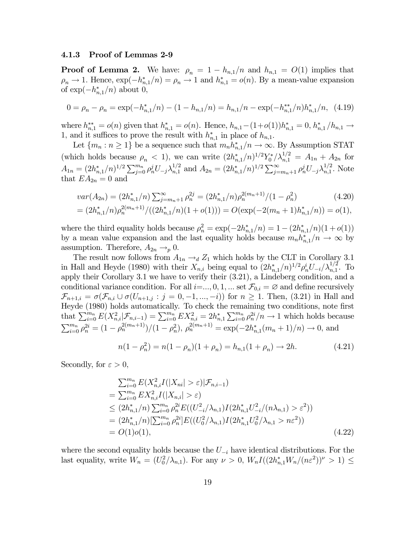#### 4.1.3 Proof of Lemmas 2-9

**Proof of Lemma 2.** We have:  $\rho_n = 1 - h_{n,1}/n$  and  $h_{n,1} = O(1)$  implies that  $\rho_n \to 1$ . Hence,  $\exp(-h_{n,1}^*/n) = \rho_n \to 1$  and  $h_{n,1}^* = o(n)$ . By a mean-value expansion of  $\exp(-h_{n,1}^*/n)$  about 0,

$$
0 = \rho_n - \rho_n = \exp(-h_{n,1}^*/n) - (1 - h_{n,1}/n) = h_{n,1}/n - \exp(-h_{n,1}^{**}/n)h_{n,1}^*/n, \tag{4.19}
$$

where  $h_{n,1}^{**} = o(n)$  given that  $h_{n,1}^{*} = o(n)$ . Hence,  $h_{n,1} - (1+o(1))h_{n,1}^{*} = 0$ ,  $h_{n,1}^{*}/h_{n,1} \to$ 1, and it suffices to prove the result with  $h_{n,1}^*$  in place of  $h_{n,1}$ .

Let  $\{m_n : n \geq 1\}$  be a sequence such that  $m_n h_{n,1}^*/n \to \infty$ . By Assumption STAT (which holds because  $\rho_n < 1$ ), we can write  $(2h_{n,1}^*/n)^{1/2} Y_0^* / \lambda_{n,1}^{1/2} = A_{1n} + A_{2n}$  for  $A_{1n} = (2h_{n,1}^*/n)^{1/2} \sum_{j=0}^{m_n} \rho_n^j U_{-j} \lambda_{n,1}^{1/2}$  and  $A_{2n} = (2h_{n,1}^*/n)^{1/2} \sum_{j=m_n+1}^{\infty} \rho_n^j U_{-j} \lambda_{n,1}^{1/2}$ . Note that  $EA_{2n} = 0$  and

$$
var(A_{2n}) = (2h_{n,1}^*/n) \sum_{j=m_n+1}^{\infty} \rho_n^{2j} = (2h_{n,1}^*/n)\rho_n^{2(m_n+1)}/(1-\rho_n^2)
$$
(4.20)  
=  $(2h_{n,1}^*/n)\rho_n^{2(m_n+1)}/((2h_{n,1}^*/n)(1+o(1))) = O(\exp(-2(m_n+1)h_{n,1}^*/n)) = o(1),$ 

where the third equality holds because 
$$
\rho_n^2 = \exp(-2h_{n,1}^*/n) = 1 - (2h_{n,1}^*/n)(1 + o(1))
$$
  
by a mean value expansion and the last equality holds because  $m_n h_{n,1}^*/n \to \infty$  by assumption. Therefore,  $A_{2n} \to_p 0$ .

The result now follows from  $A_{1n} \rightarrow d Z_1$  which holds by the CLT in Corollary 3.1 in Hall and Heyde (1980) with their  $X_{n,i}$  being equal to  $(2h_{n,1}^*/n)^{1/2} \rho_n^i U_{-i}/\lambda_{n,1}^{1/2}$ . To apply their Corollary 3.1 we have to verify their (3.21), a Lindeberg condition, and a conditional variance condition. For all  $i=..., 0, 1, ...$  set  $\mathcal{F}_{0,i} = \emptyset$  and define recursively  $\mathcal{F}_{n+1,i} = \sigma(\mathcal{F}_{n,i} \cup \sigma(U_{n+1,j} : j = 0, -1, ..., -i))$  for  $n \ge 1$ . Then, (3.21) in Hall and Heyde (1980) holds automatically. To check the remaining two conditions, note first that  $\sum_{i=0}^{m_n} E(X_{n,i}^2 | \mathcal{F}_{n,i-1}) = \sum_{i=0}^{m_n} E(X_{n,i}^2) = 2h_{n,1}^* \sum_{i=0}^{m_n} \rho_n^{2i} / n \to 1$  which holds because  $\sum_{i=0}^{m_n} \rho_n^{2i} = (1 - \rho_n^{2(m_n+1)})/(1 - \rho_n^2), \ \rho_n^{2(m_n+1)} = \exp(-2h_{n,1}^*(m_n+1)/n) \to 0,$  and

$$
n(1 - \rho_n^2) = n(1 - \rho_n)(1 + \rho_n) = h_{n,1}(1 + \rho_n) \to 2h. \tag{4.21}
$$

Secondly, for  $\varepsilon > 0$ ,

$$
\sum_{i=0}^{m_n} E(X_{n,i}^2 I(|X_{ni}| > \varepsilon) | \mathcal{F}_{n,i-1})
$$
\n
$$
= \sum_{i=0}^{m_n} E(X_{n,i}^2 I(|X_{n,i}| > \varepsilon)
$$
\n
$$
\leq (2h_{n,1}^*/n) \sum_{i=0}^{m_n} \rho_n^{2i} E((U_{-i}^2/\lambda_{n,1}) I(2h_{n,1}^* U_{-i}^2/(n\lambda_{n,1}) > \varepsilon^2))
$$
\n
$$
= (2h_{n,1}^*/n) [\sum_{i=0}^{m_n} \rho_n^{2i}] E((U_0^2/\lambda_{n,1}) I(2h_{n,1}^* U_0^2/\lambda_{n,1} > n\varepsilon^2))
$$
\n
$$
= O(1)o(1), \qquad (4.22)
$$

where the second equality holds because the  $U_{-i}$  have identical distributions. For the last equality, write  $W_n = (U_0^2/\lambda_{n,1})$ . For any  $\nu > 0$ ,  $W_n I((2h_{n,1}^*W_n/(n\varepsilon^2))^{\nu} > 1) \le$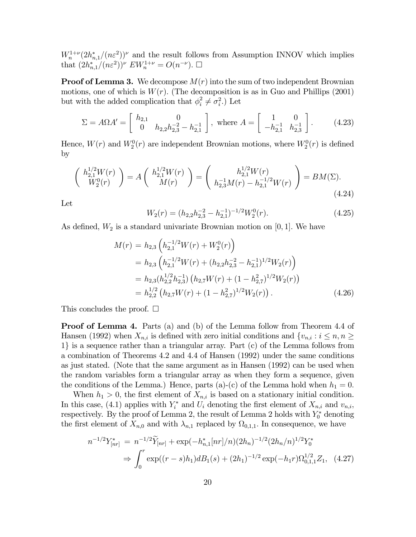$W_n^{1+\nu}(2h_{n,1}^*/(n\varepsilon^2))^{\nu}$  and the result follows from Assumption INNOV which implies that  $(2h_{n,1}^*/(n\varepsilon^2))^{\nu} E W_n^{1+\nu} = O(n^{-\nu}).$   $\Box$ 

**Proof of Lemma 3.** We decompose  $M(r)$  into the sum of two independent Brownian motions, one of which is  $W(r)$ . (The decomposition is as in Guo and Phillips (2001) but with the added complication that  $\phi_i^2 \neq \sigma_i^2$ .) Let

$$
\Sigma = A\Omega A' = \begin{bmatrix} h_{2,1} & 0 \\ 0 & h_{2,2}h_{2,3}^{-2} - h_{2,1}^{-1} \end{bmatrix}, \text{ where } A = \begin{bmatrix} 1 & 0 \\ -h_{2,1}^{-1} & h_{2,3}^{-1} \end{bmatrix}. \tag{4.23}
$$

Hence,  $W(r)$  and  $W_2^0(r)$  are independent Brownian motions, where  $W_2^0(r)$  is defined by

$$
\begin{pmatrix} h_{2,1}^{1/2}W(r) \\ W_2^0(r) \end{pmatrix} = A \begin{pmatrix} h_{2,1}^{1/2}W(r) \\ M(r) \end{pmatrix} = \begin{pmatrix} h_{2,1}^{1/2}W(r) \\ h_{2,3}^{-1}M(r) - h_{2,1}^{-1/2}W(r) \end{pmatrix} = BM(\Sigma). \tag{4.24}
$$

Let

$$
W_2(r) = (h_{2,2}h_{2,3}^{-2} - h_{2,1}^{-1})^{-1/2}W_2^0(r). \tag{4.25}
$$

As defined,  $W_2$  is a standard univariate Brownian motion on [0, 1]. We have

$$
M(r) = h_{2,3} \left( h_{2,1}^{-1/2} W(r) + W_2^0(r) \right)
$$
  
=  $h_{2,3} \left( h_{2,1}^{-1/2} W(r) + (h_{2,2} h_{2,3}^{-2} - h_{2,1}^{-1})^{1/2} W_2(r) \right)$   
=  $h_{2,3} (h_{2,2}^{1/2} h_{2,3}^{-1}) \left( h_{2,7} W(r) + (1 - h_{2,7}^2)^{1/2} W_2(r) \right)$   
=  $h_{2,2}^{1/2} \left( h_{2,7} W(r) + (1 - h_{2,7}^2)^{1/2} W_2(r) \right).$  (4.26)

This concludes the proof.  $\square$ 

**Proof of Lemma 4.** Parts (a) and (b) of the Lemma follow from Theorem 4.4 of Hansen (1992) when  $X_{n,i}$  is defined with zero initial conditions and  $\{v_{n,i}: i \leq n, n \geq n\}$ 1} is a sequence rather than a triangular array. Part (c) of the Lemma follows from a combination of Theorems 4.2 and 4.4 of Hansen (1992) under the same conditions as just stated. (Note that the same argument as in Hansen (1992) can be used when the random variables form a triangular array as when they form a sequence, given the conditions of the Lemma.) Hence, parts (a)-(c) of the Lemma hold when  $h_1 = 0$ .

When  $h_1 > 0$ , the first element of  $X_{n,i}$  is based on a stationary initial condition. In this case, (4.1) applies with  $Y_i^*$  and  $U_i$  denoting the first element of  $X_{n,i}$  and  $v_{n,i}$ , respectively. By the proof of Lemma 2, the result of Lemma 2 holds with  $Y_0^*$  denoting the first element of  $X_{n,0}$  and with  $\lambda_{n,1}$  replaced by  $\Omega_{0,1,1}$ . In consequence, we have

$$
n^{-1/2}Y_{[nr]}^* = n^{-1/2}\widetilde{Y}_{[nr]} + \exp(-h_{n,1}^*[nr]/n)(2h_n)^{-1/2}(2h_n/n)^{1/2}Y_0^*
$$
  
\n
$$
\Rightarrow \int_0^r \exp((r-s)h_1)dB_1(s) + (2h_1)^{-1/2}\exp(-h_1r)\Omega_{0,1,1}^{1/2}Z_1, \quad (4.27)
$$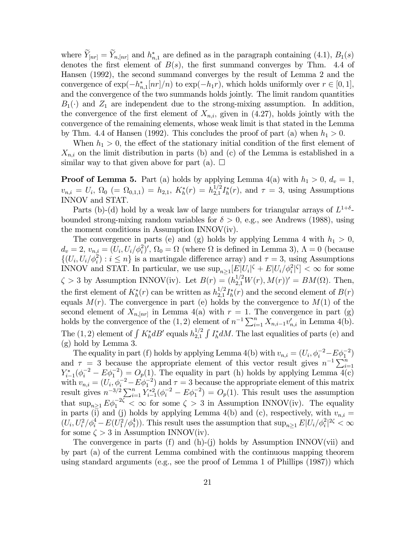where  $Y_{[nr]} = Y_{n,[nr]}$  and  $h_{n,1}^*$  are defined as in the paragraph containing (4.1),  $B_1(s)$ denotes the first element of  $B(s)$ , the first summand converges by Thm. 4.4 of Hansen (1992), the second summand converges by the result of Lemma 2 and the convergence of  $\exp(-h_{n,1}^*[nr]/n)$  to  $\exp(-h_1r)$ , which holds uniformly over  $r \in [0,1]$ , and the convergence of the two summands holds jointly. The limit random quantities  $B_1(\cdot)$  and  $Z_1$  are independent due to the strong-mixing assumption. In addition, the convergence of the first element of  $X_{n,i}$ , given in (4.27), holds jointly with the convergence of the remaining elements, whose weak limit is that stated in the Lemma by Thm. 4.4 of Hansen (1992). This concludes the proof of part (a) when  $h_1 > 0$ .

When  $h_1 > 0$ , the effect of the stationary initial condition of the first element of  $X_{n,i}$  on the limit distribution in parts (b) and (c) of the Lemma is established in a similar way to that given above for part (a).  $\square$ 

**Proof of Lemma 5.** Part (a) holds by applying Lemma 4(a) with  $h_1 > 0$ ,  $d_v = 1$ ,  $v_{n,i} = U_i$ ,  $\Omega_0$  (=  $\Omega_{0,1,1}$ ) =  $h_{2,1}$ ,  $K_h^*(r) = h_{2,1}^{1/2} I_h^*(r)$ , and  $\tau = 3$ , using Assumptions INNOV and STAT.

Parts (b)-(d) hold by a weak law of large numbers for triangular arrays of  $L^{1+\delta}$ bounded strong-mixing random variables for  $\delta > 0$ , e.g., see Andrews (1988), using the moment conditions in Assumption INNOV(iv).

The convergence in parts (e) and (g) holds by applying Lemma 4 with  $h_1 > 0$ ,  $d_v = 2, v_{n,i} = (U_i, U_i/\phi_i^2)'$ ,  $\Omega_0 = \Omega$  (where  $\Omega$  is defined in Lemma 3),  $\Lambda = 0$  (because  $\{(U_i, U_i/\phi_i^2) : i \leq n\}$  is a martingale difference array) and  $\tau = 3$ , using Assumptions INNOV and STAT. In particular, we use  $\sup_{n\geq 1} [E|U_i|^{\zeta} + E|U_i/\phi_i^2|^{\zeta}] < \infty$  for some  $\zeta > 3$  by Assumption INNOV(iv). Let  $B(r) = (h_{2,1}^{1/2} W(r), M(r))' = BM(\Omega)$ . Then, the first element of  $K_h^*(r)$  can be written as  $h_{2,1}^{1/2} I_h^*(r)$  and the second element of  $B(r)$ equals  $M(r)$ . The convergence in part (e) holds by the convergence to  $M(1)$  of the second element of  $X_{n,[nr]}$  in Lemma 4(a) with  $r=1$ . The convergence in part (g) holds by the convergence of the (1,2) element of  $n^{-1} \sum_{i=1}^{n} X_{n,i-1} v'_{n,i}$  in Lemma 4(b). The (1, 2) element of  $\int K_h^* dB'$  equals  $h_{2,1}^{1/2} \int I_h^* dM$ . The last equalities of parts (e) and (g) hold by Lemma 3.

The equality in part (f) holds by applying Lemma 4(b) with  $v_{n,i} = (U_i, \phi_i^{-2} - E\phi_1^{-2})$ and  $\tau = 3$  because the appropriate element of this vector result gives  $n^{-1} \sum_{i=1}^{n}$  $Y_{i-1}^*(\phi_i^{-2} - E\phi_1^{-2}) = O_p(1)$ . The equality in part (h) holds by applying Lemma 4(c) with  $v_{n,i} = (U_i, \phi_i^{-2} - E\phi_1^{-2})$  and  $\tau = 3$  because the appropriate element of this matrix result gives  $n^{-3/2} \sum_{i=1}^n \hat{Y}_{i-1}^{*2} (\phi_i^{-2} - E \phi_1^{-2}) = O_p(1)$ . This result uses the assumption that  $\sup_{n\geq 1} E\phi_1^{-2\zeta} < \infty$  for some  $\zeta > 3$  in Assumption INNOV(iv). The equality in parts (i) and (j) holds by applying Lemma 4(b) and (c), respectively, with  $v_{n,i} =$  $(U_i, U_i^2/\phi_i^4 - E(U_1^2/\phi_1^4))$ . This result uses the assumption that  $\sup_{n\geq 1} E|U_i/\phi_i^2|^{2\zeta} < \infty$ for some  $\zeta > 3$  in Assumption INNOV(iv).

The convergence in parts (f) and (h)-(j) holds by Assumption INNOV(vii) and by part (a) of the current Lemma combined with the continuous mapping theorem using standard arguments (e.g., see the proof of Lemma 1 of Phillips (1987)) which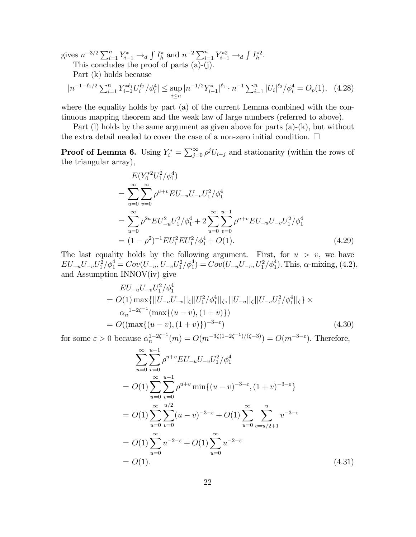gives  $n^{-3/2} \sum_{i=1}^{n} Y_{i-1}^* \to_d \int I_h^*$  and  $n^{-2} \sum_{i=1}^{n} Y_{i-1}^{*2} \to_d \int I_h^{*2}$ .

This concludes the proof of parts (a)-(j).

Part (k) holds because

$$
|n^{-1-\ell_1/2} \sum_{i=1}^n Y_{i-1}^{*\ell_1} U_i^{\ell_2} / \phi_i^4| \le \sup_{i \le n} |n^{-1/2} Y_{i-1}^*|^{\ell_1} \cdot n^{-1} \sum_{i=1}^n |U_i|^{\ell_2} / \phi_i^4 = O_p(1), \quad (4.28)
$$

where the equality holds by part (a) of the current Lemma combined with the continuous mapping theorem and the weak law of large numbers (referred to above).

Part (l) holds by the same argument as given above for parts (a)-(k), but without the extra detail needed to cover the case of a non-zero initial condition.  $\Box$ 

**Proof of Lemma 6.** Using  $Y_i^* = \sum_{j=0}^{\infty} \rho^j U_{i-j}$  and stationarity (within the rows of the triangular array),

$$
E(Y_0^{*2}U_1^2/\phi_1^4)
$$
  
= 
$$
\sum_{u=0}^{\infty} \sum_{v=0}^{\infty} \rho^{u+v} EU_{-u}U_{-v}U_1^2/\phi_1^4
$$
  
= 
$$
\sum_{u=0}^{\infty} \rho^{2u} EU_{-u}^2U_1^2/\phi_1^4 + 2 \sum_{u=0}^{\infty} \sum_{v=0}^{u-1} \rho^{u+v} EU_{-u}U_{-v}U_1^2/\phi_1^4
$$
  
= 
$$
(1 - \rho^2)^{-1}EU_1^2EU_1^2/\phi_1^4 + O(1).
$$
 (4.29)

The last equality holds by the following argument. First, for  $u > v$ , we have  $EU_{-u}U_{-v}U_1^2/\phi_1^4 = Cov(U_{-u}, U_{-v}U_1^2/\phi_1^4) = Cov(U_{-u}U_{-v}, U_1^2/\phi_1^4)$ . This,  $\alpha$ -mixing, (4.2), and Assumption INNOV(iv) give

$$
EU_{-u}U_{-v}U_1^2/\phi_1^4
$$
  
=  $O(1) \max\{||U_{-u}U_{-v}||_{\zeta}||U_1^2/\phi_1^4||_{\zeta}, ||U_{-u}||_{\zeta}||U_{-v}U_1^2/\phi_1^4||_{\zeta}\}\times$   
 $\alpha_n^{-1-2\zeta^{-1}}(\max\{(u-v),(1+v)\})$   
=  $O((\max\{(u-v),(1+v)\})^{-3-\epsilon})$  (4.30)

for some  $\varepsilon > 0$  because  $\alpha_n^{1-2\zeta^{-1}}(m) = O(m^{-3\zeta(1-2\zeta^{-1})/(\zeta-3)}) = O(m^{-3-\varepsilon})$ . Therefore,

$$
\sum_{u=0}^{\infty} \sum_{v=0}^{u-1} \rho^{u+v} EU_{-u} U_{-v} U_1^2 / \phi_1^4
$$
  
=  $O(1) \sum_{u=0}^{\infty} \sum_{v=0}^{u-1} \rho^{u+v} \min\{(u-v)^{-3-\epsilon}, (1+v)^{-3-\epsilon}\}\$   
=  $O(1) \sum_{u=0}^{\infty} \sum_{v=0}^{u/2} (u-v)^{-3-\epsilon} + O(1) \sum_{u=0}^{\infty} \sum_{v=u/2+1}^{u} v^{-3-\epsilon}$   
=  $O(1) \sum_{u=0}^{\infty} u^{-2-\epsilon} + O(1) \sum_{u=0}^{\infty} u^{-2-\epsilon}$   
=  $O(1)$ . (4.31)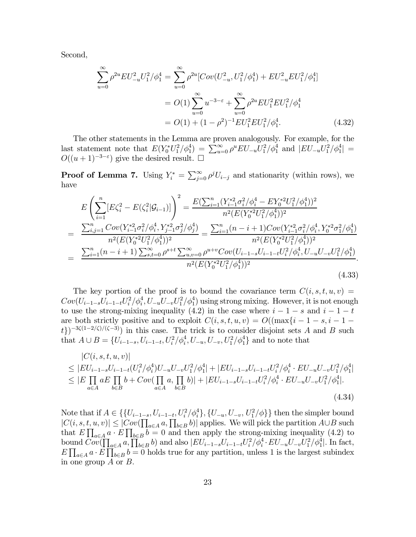Second,

$$
\sum_{u=0}^{\infty} \rho^{2u} EU_{-u}^{2} U_{1}^{2} / \phi_{1}^{4} = \sum_{u=0}^{\infty} \rho^{2u} [Cov(U_{-u}^{2}, U_{1}^{2} / \phi_{1}^{4}) + EU_{-u}^{2} EU_{1}^{2} / \phi_{1}^{4}]
$$
  
=  $O(1) \sum_{u=0}^{\infty} u^{-3-\epsilon} + \sum_{u=0}^{\infty} \rho^{2u} EU_{1}^{2} EU_{1}^{2} / \phi_{1}^{4}$   
=  $O(1) + (1 - \rho^{2})^{-1} EU_{1}^{2} EU_{1}^{2} / \phi_{1}^{4}$ . (4.32)

The other statements in the Lemma are proven analogously. For example, for the last statement note that  $E(Y_0^* U_1^2 / \phi_1^4) = \sum_{u=0}^{\infty} \rho^u E U_{-u} U_1^2 / \phi_1^4$  and  $|E U_{-u} U_1^2 / \phi_1^4| =$  $O((u+1)^{-3-\epsilon})$  give the desired result.  $\Box$ 

**Proof of Lemma 7.** Using  $Y_i^* = \sum_{j=0}^{\infty} \rho^j U_{i-j}$  and stationarity (within rows), we have

$$
E\left(\sum_{i=1}^{n} [E\zeta_{i}^{2} - E(\zeta_{i}^{2}|\mathcal{G}_{i-1})] \right)^{2} = \frac{E(\sum_{i=1}^{n} (Y_{i-1}^{*2}\sigma_{i}^{2}/\phi_{i}^{4} - EY_{0}^{*2}U_{1}^{2}/\phi_{1}^{4}))^{2}}{n^{2}(E(Y_{0}^{*2}U_{1}^{2}/\phi_{1}^{4}))^{2}}
$$
  
\n
$$
= \frac{\sum_{i,j=1}^{n} Cov(Y_{i-1}^{*2}\sigma_{i}^{2}/\phi_{i}^{4}, Y_{j-1}^{*2}\sigma_{j}^{2}/\phi_{j}^{4})}{n^{2}(E(Y_{0}^{*2}U_{1}^{2}/\phi_{1}^{4}))^{2}} = \frac{\sum_{i=1}^{n} (n-i+1)Cov(Y_{i-1}^{*2}\sigma_{i}^{2}/\phi_{i}^{4}, Y_{0}^{*2}\sigma_{1}^{2}/\phi_{1}^{4})}{n^{2}(E(Y_{0}^{*2}U_{1}^{2}/\phi_{1}^{4}))^{2}}
$$
  
\n
$$
= \frac{\sum_{i=1}^{n} (n-i+1) \sum_{s,t=0}^{\infty} \rho^{s+t} \sum_{u,v=0}^{\infty} \rho^{u+v}Cov(U_{i-1-s}U_{i-1-t}U_{i}^{2}/\phi_{i}^{4}, U_{-u}U_{-v}U_{1}^{2}/\phi_{1}^{4})}{n^{2}(E(Y_{0}^{*2}U_{1}^{2}/\phi_{1}^{4}))^{2}}.
$$
  
\n(4.33)

The key portion of the proof is to bound the covariance term  $C(i, s, t, u, v)$  $Cov(U_{i-1-s}U_{i-1-t}U_i^2/\phi_i^4, U_{-u}U_{-v}U_1^2/\phi_1^4)$  using strong mixing. However, it is not enough to use the strong-mixing inequality (4.2) in the case where  $i - 1 - s$  and  $i - 1 - t$ are both strictly positive and to exploit  $C(i, s, t, u, v) = O((\max\{i - 1 - s, i - 1$ t})<sup>-3 $\zeta(1-2\zeta)/(\zeta-3)$  in this case. The trick is to consider disjoint sets A and B such</sup> that  $A \cup B = \{U_{i-1-s}, U_{i-1-t}, U_i^2/\phi_i^4, U_{-u}, U_{-v}, U_1^2/\phi_1^4\}$  and to note that

$$
|C(i, s, t, u, v)|
$$
  
\n
$$
\leq |EU_{i-1-s}U_{i-1-t}(U_i^2/\phi_i^4)U_{-u}U_{-v}U_1^2/\phi_1^4| + |EU_{i-1-s}U_{i-1-t}U_i^2/\phi_i^4 \cdot EU_{-u}U_{-v}U_1^2/\phi_1^4|
$$
  
\n
$$
\leq |E\prod_{a\in A} aE\prod_{b\in B} b + Cov(\prod_{a\in A} a, \prod_{b\in B} b)| + |EU_{i-1-s}U_{i-1-t}U_i^2/\phi_i^4 \cdot EU_{-u}U_{-v}U_1^2/\phi_1^4|.
$$
  
\n(4.34)

Note that if  $A \in \{ \{U_{i-1-s}, U_{i-1-t}, U_i^2/\phi_i^4\}, \{U_{-u}, U_{-v}, U_i^2/\phi_i\} \}$  then the simpler bound  $|C(i, s, t, u, v)| \leq |Cov(\prod_{a \in A} a, \prod_{b \in B} b)|$  applies. We will pick the partition  $A \cup B$  such that  $E \prod_{a \in A} a \cdot E \prod_{b \in B} b = 0$  and then apply the strong-mixing inequality (4.2) to bound  $Cov(\prod_{a \in A} a, \prod_{b \in B} b)$  and also  $|EU_{i-1-s}U_{i-1-t}U_i^2/\phi_i^4 \cdot EU_{-u}U_{-v}U_1^2/\phi_1^4|$ . In fact,  $E\prod_{a\in A} a\cdot E\prod_{b\in B} b=0$  holds true for any partition, unless 1 is the largest subindex in one group  $A$  or  $B$ .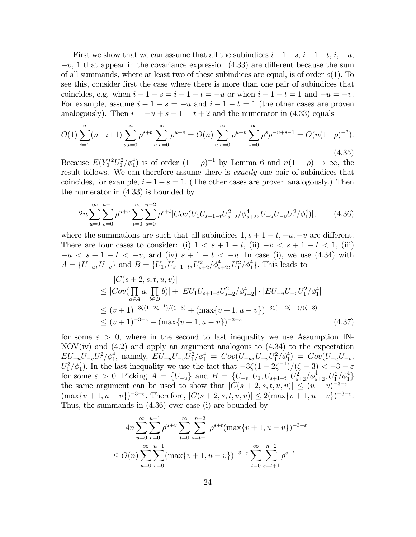First we show that we can assume that all the subindices  $i-1-s$ ,  $i-1-t$ ,  $i, -u$ ,  $-v$ , 1 that appear in the covariance expression (4.33) are different because the sum of all summands, where at least two of these subindices are equal, is of order  $o(1)$ . To see this, consider first the case where there is more than one pair of subindices that coincides, e.g. when  $i - 1 - s = i - 1 - t = -u$  or when  $i - 1 - t = 1$  and  $-u = -v$ . For example, assume  $i - 1 - s = -u$  and  $i - 1 - t = 1$  (the other cases are proven analogously). Then  $i = -u + s + 1 = t + 2$  and the numerator in (4.33) equals

$$
O(1) \sum_{i=1}^{n} (n-i+1) \sum_{s,t=0}^{\infty} \rho^{s+t} \sum_{u,v=0}^{\infty} \rho^{u+v} = O(n) \sum_{u,v=0}^{\infty} \rho^{u+v} \sum_{s=0}^{\infty} \rho^{s} \rho^{-u+s-1} = O(n(1-\rho)^{-3}).
$$
\n(4.35)

Because  $E(Y_0^{*2}U_1^2/\phi_1^4)$  is of order  $(1 - \rho)^{-1}$  by Lemma 6 and  $n(1 - \rho) \to \infty$ , the result follows. We can therefore assume there is *exactly* one pair of subindices that coincides, for example,  $i - 1 - s = 1$ . (The other cases are proven analogously.) Then the numerator in (4.33) is bounded by

$$
2n\sum_{u=0}^{\infty}\sum_{v=0}^{u-1}\rho^{u+v}\sum_{t=0}^{\infty}\sum_{s=0}^{n-2}\rho^{s+t}|Cov(U_1U_{s+1-t}U_{s+2}^2/\phi_{s+2}^4,U_{-u}U_{-v}U_1^2/\phi_1^4)|,\tag{4.36}
$$

where the summations are such that all subindices  $1, s + 1 - t, -u, -v$  are different. There are four cases to consider: (i)  $1 < s + 1 - t$ , (ii)  $-v < s + 1 - t < 1$ , (iii)  $-u < s + 1 - t < -v$ , and (iv)  $s + 1 - t < -u$ . In case (i), we use (4.34) with  $A = \{U_{-u}, U_{-v}\}\$ and  $B = \{U_1, U_{s+1-t}, U_{s+2}^2/\phi_{s+2}^4, U_1^2/\phi_1^4\}$ . This leads to

$$
|C(s+2, s, t, u, v)|
$$
  
\n
$$
\leq |Cov(\prod_{a \in A} a, \prod_{b \in B} b)| + |EU_1U_{s+1-t}U_{s+2}^2/\phi_{s+2}^4| \cdot |EU_{-u}U_{-v}U_1^2/\phi_1^4|
$$
  
\n
$$
\leq (v+1)^{-3\zeta(1-2\zeta^{-1})/(\zeta-3)} + (\max\{v+1, u-v\})^{-3\zeta(1-2\zeta^{-1})/(\zeta-3)}
$$
  
\n
$$
\leq (v+1)^{-3-\varepsilon} + (\max\{v+1, u-v\})^{-3-\varepsilon}
$$
\n(4.37)

for some  $\varepsilon > 0$ , where in the second to last inequality we use Assumption IN- $NOV(iv)$  and  $(4.2)$  and apply an argument analogous to  $(4.34)$  to the expectation  $EU_{-u}U_{-v}U_1^2/\phi_1^4$ , namely,  $EU_{-u}U_{-v}U_1^2/\phi_1^4 = Cov(U_{-u}, U_{-v}U_1^2/\phi_1^4) = Cov(U_{-u}U_{-v},$  $U_1^2/\phi_1^4$ ). In the last inequality we use the fact that  $-3\zeta(1-2\zeta^{-1})/(\zeta-3) < -3 - \varepsilon$ for some  $\varepsilon > 0$ . Picking  $A = \{U_{-u}\}\$ and  $B = \{U_{-v}, U_1, U_{s+1-t}, U_{s+2}^2/\phi_{s+2}^4, U_1^2/\phi_1^4\}$ the same argument can be used to show that  $|C(s + 2, s, t, u, v)| \leq (u - v)^{-3-\epsilon}+$  $(\max\{v+1, u-v\})^{-3-\varepsilon}$ . Therefore,  $|C(s+2, s, t, u, v)| \leq 2(\max\{v+1, u-v\})^{-3-\varepsilon}$ . Thus, the summands in (4.36) over case (i) are bounded by

$$
4n\sum_{u=0}^{\infty}\sum_{v=0}^{u-1}\rho^{u+v}\sum_{t=0}^{\infty}\sum_{s=t+1}^{n-2}\rho^{s+t}(\max\{v+1,u-v\})^{-3-\varepsilon}
$$
  

$$
\leq O(n)\sum_{u=0}^{\infty}\sum_{v=0}^{u-1}(\max\{v+1,u-v\})^{-3-\varepsilon}\sum_{t=0}^{\infty}\sum_{s=t+1}^{n-2}\rho^{s+t}
$$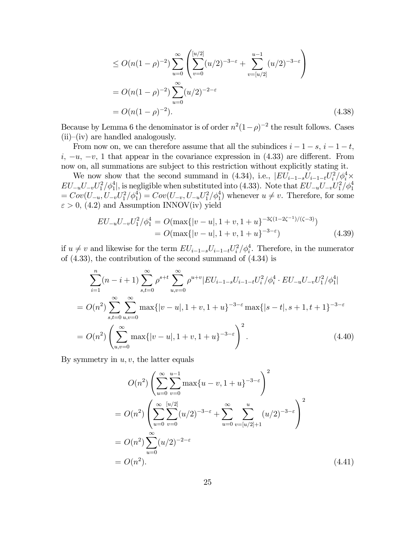$$
\leq O(n(1-\rho)^{-2}) \sum_{u=0}^{\infty} \left( \sum_{v=0}^{\lfloor u/2 \rfloor} (u/2)^{-3-\varepsilon} + \sum_{v=\lfloor u/2 \rfloor}^{u-1} (u/2)^{-3-\varepsilon} \right)
$$
  
=  $O(n(1-\rho)^{-2}) \sum_{u=0}^{\infty} (u/2)^{-2-\varepsilon}$   
=  $O(n(1-\rho)^{-2}).$  (4.38)

Because by Lemma 6 the denominator is of order  $n^2(1-\rho)^{-2}$  the result follows. Cases  $(ii)$ – $(iv)$  are handled analogously.

From now on, we can therefore assume that all the subindices  $i - 1 - s$ ,  $i - 1 - t$ , i,  $-u$ ,  $-v$ , 1 that appear in the covariance expression in (4.33) are different. From now on, all summations are subject to this restriction without explicitly stating it.

We now show that the second summand in (4.34), i.e.,  $|EU_{i-1-s}U_{i-1-t}U_i^2/\phi_i^4 \times$  $EU_{-u}U_{-v}U_1^2/\phi_1^4$ , is negligible when substituted into (4.33). Note that  $EU_{-u}U_{-v}U_1^2/\phi_1^4$  $= Cov(U_{-u}, U_{-v}U_1^2/\phi_1^4) = Cov(U_{-v}, U_{-u}U_1^2/\phi_1^4)$  whenever  $u \neq v$ . Therefore, for some  $\varepsilon > 0$ , (4.2) and Assumption INNOV(iv) yield

$$
EU_{-u}U_{-v}U_1^2/\phi_1^4 = O(\max\{|v-u|, 1+v, 1+u\}^{-3\zeta(1-2\zeta^{-1})/(\zeta-3)})
$$
  
=  $O(\max\{|v-u|, 1+v, 1+u\}^{-3-\epsilon})$  (4.39)

if  $u \neq v$  and likewise for the term  $EU_{i-1-s}U_{i-1-t}U_i^2/\phi_i^4$ . Therefore, in the numerator of (4.33), the contribution of the second summand of (4.34) is

$$
\sum_{i=1}^{n} (n - i + 1) \sum_{s,t=0}^{\infty} \rho^{s+t} \sum_{u,v=0}^{\infty} \rho^{u+v} |EU_{i-1-s}U_{i-1-t}U_i^2/\phi_i^4 \cdot EU_{-u}U_{-v}U_1^2/\phi_1^4|
$$
  
=  $O(n^2) \sum_{s,t=0}^{\infty} \sum_{u,v=0}^{\infty} \max\{|v-u|, 1+v, 1+u\}^{-3-\varepsilon} \max\{|s-t|, s+1, t+1\}^{-3-\varepsilon}$   
=  $O(n^2) \left(\sum_{u,v=0}^{\infty} \max\{|v-u|, 1+v, 1+u\}^{-3-\varepsilon}\right)^2$ . (4.40)

By symmetry in  $u, v$ , the latter equals

$$
O(n^2) \left( \sum_{u=0}^{\infty} \sum_{v=0}^{u-1} \max\{u-v, 1+u\}^{-3-\varepsilon} \right)^2
$$
  
= 
$$
O(n^2) \left( \sum_{u=0}^{\infty} \sum_{v=0}^{[u/2]} (u/2)^{-3-\varepsilon} + \sum_{u=0}^{\infty} \sum_{v=[u/2]+1}^{u} (u/2)^{-3-\varepsilon} \right)^2
$$
  
= 
$$
O(n^2) \sum_{u=0}^{\infty} (u/2)^{-2-\varepsilon}
$$
  
= 
$$
O(n^2).
$$
 (4.41)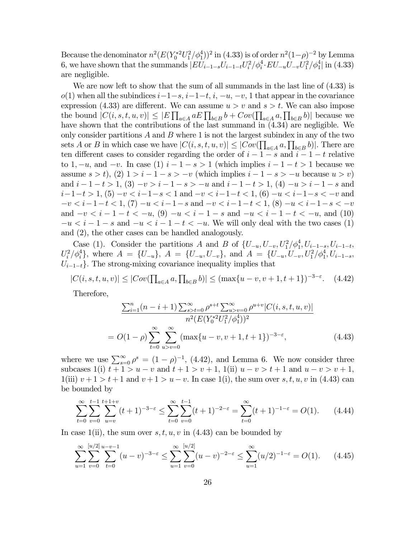Because the denominator  $n^2(E(Y_0^{*2}U_1^2/\phi_1^4))^2$  in (4.33) is of order  $n^2(1-\rho)^{-2}$  by Lemma 6, we have shown that the summands  $|EU_{i-1-s}U_{i-1-t}U_i^2/\phi_i^4 \cdot EU_{-u}U_{-v}U_1^2/\phi_1^4|$  in (4.33) are negligible.

We are now left to show that the sum of all summands in the last line of (4.33) is  $o(1)$  when all the subindices  $i-1-s$ ,  $i-1-t$ ,  $i, -u, -v, 1$  that appear in the covariance expression (4.33) are different. We can assume  $u > v$  and  $s > t$ . We can also impose the bound  $|C(i, s, t, u, v)| \leq |E| \prod_{a \in A} aE \prod_{b \in B} b + Cov(\prod_{a \in A} a, \prod_{b \in B} b)|$  because we have shown that the contributions of the last summand in (4.34) are negligible. We only consider partitions  $A$  and  $B$  where 1 is not the largest subindex in any of the two sets A or B in which case we have  $|C(i, s, t, u, v)| \leq |Cov(\prod_{a \in A} a, \prod_{b \in B} b)|$ . There are ten different cases to consider regarding the order of  $i - 1 - s$  and  $i - 1 - t$  relative to 1,  $-u$ , and  $-v$ . In case (1)  $i-1-s>1$  (which implies  $i-1-t>1$  because we assume  $s > t$ ,  $(2)$   $1 > i - 1 - s > -v$  (which implies  $i - 1 - s > -u$  because  $u > v$ ) and  $i-1-t>1$ ,  $(3) -v>i-1-s>-u$  and  $i-1-t>1$ ,  $(4) -u>i-1-s$  and  $i-1-t > 1$ ,  $(5) -v < i-1-s < 1$  and  $-v < i-1-t < 1$ ,  $(6) -u < i-1-s < -v$  and  $-v < i-1-t < 1, (7) -u < i-1-s$  and  $-v < i-1-t < 1, (8) -u < i-1-s < -v$ and  $-v < i-1-t < -u$ , (9)  $-u < i-1-s$  and  $-u < i-1-t < -u$ , and (10)  $-u < i - 1 - s$  and  $-u < i - 1 - t < -u$ . We will only deal with the two cases (1) and (2), the other cases can be handled analogously.

Case (1). Consider the partitions A and B of  $\{U_{-u}, U_{-v}, U_1^2/\phi_1^4, U_{i-1-s}, U_{i-1-t}, U_i\}$  $U_i^2/\phi_i^4$ , where  $A = \{U_{-u}\}, A = \{U_{-u}, U_{-v}\}, \text{ and } A = \{U_{-u}, U_{-v}, U_1^2/\phi_1^4, U_{i-1-s}, \dots\}$  $U_{i-1-t}$ . The strong-mixing covariance inequality implies that

 $|C(i, s, t, u, v)| \leq |Cov(\prod_{a \in A} a, \prod_{b \in B} b)| \leq (\max\{u - v, v + 1, t + 1\})^{-3-\varepsilon}.$  (4.42)

Therefore,

$$
\frac{\sum_{i=1}^{n} (n-i+1) \sum_{s>t=0}^{\infty} \rho^{s+t} \sum_{u>v=0}^{\infty} \rho^{u+v} |C(i, s, t, u, v)|}{n^2 (E(Y_0^{*2} U_1^2 / \phi_1^4))^2}
$$
  
=  $O(1-\rho) \sum_{t=0}^{\infty} \sum_{u>v=0}^{\infty} (\max\{u-v, v+1, t+1\})^{-3-\epsilon},$  (4.43)

where we use  $\sum_{s=0}^{\infty} \rho^s = (1 - \rho)^{-1}$ , (4.42), and Lemma 6. We now consider three subcases 1(i)  $t + 1 > u - v$  and  $t + 1 > v + 1$ , 1(ii)  $u - v > t + 1$  and  $u - v > v + 1$ ,  $1(iii)$   $v+1 > t+1$  and  $v+1 > u-v$ . In case  $1(i)$ , the sum over s, t, u, v in (4.43) can be bounded by

$$
\sum_{t=0}^{\infty} \sum_{v=0}^{t-1} \sum_{u=v}^{t+1+v} (t+1)^{-3-\varepsilon} \le \sum_{t=0}^{\infty} \sum_{v=0}^{t-1} (t+1)^{-2-\varepsilon} = \sum_{t=0}^{\infty} (t+1)^{-1-\varepsilon} = O(1). \tag{4.44}
$$

In case 1(ii), the sum over  $s, t, u, v$  in (4.43) can be bounded by

$$
\sum_{u=1}^{\infty} \sum_{v=0}^{[u/2]} \sum_{t=0}^{u-v-1} (u-v)^{-3-\varepsilon} \le \sum_{u=1}^{\infty} \sum_{v=0}^{[u/2]} (u-v)^{-2-\varepsilon} \le \sum_{u=1}^{\infty} (u/2)^{-1-\varepsilon} = O(1). \tag{4.45}
$$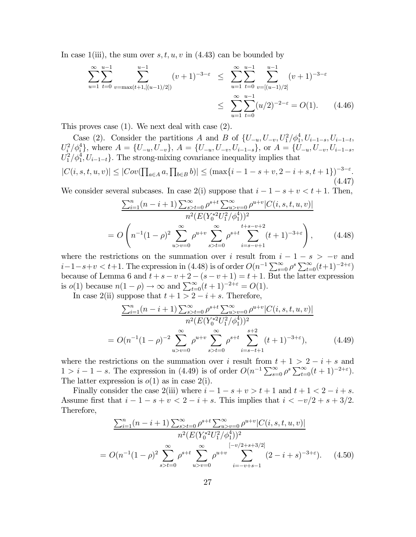In case 1(iii), the sum over  $s, t, u, v$  in (4.43) can be bounded by

$$
\sum_{u=1}^{\infty} \sum_{t=0}^{u-1} \sum_{v=\max(t+1,[(u-1)/2])}^{u-1} (v+1)^{-3-\varepsilon} \leq \sum_{u=1}^{\infty} \sum_{t=0}^{u-1} \sum_{v=[(u-1)/2]}^{u-1} (v+1)^{-3-\varepsilon}
$$
  

$$
\leq \sum_{u=1}^{\infty} \sum_{t=0}^{u-1} (u/2)^{-2-\varepsilon} = O(1). \qquad (4.46)
$$

This proves case (1). We next deal with case (2).

Case (2). Consider the partitions A and B of  $\{U_{-u}, U_{-v}, U_1^2/\phi_1^4, U_{i-1-s}, U_{i-1-t},\}$ U<sup>2</sup> <sup>i</sup> /φ<sup>4</sup> <sup>i</sup> }, where A = {U−<sup>u</sup>, U−<sup>v</sup>}, A = {U−<sup>u</sup>, U−<sup>v</sup>, U<sup>i</sup>−1−<sup>s</sup>}, or A = {U−<sup>u</sup>, U−<sup>v</sup>, U<sup>i</sup>−1−<sup>s</sup>,  $U_1^2/\phi_1^4, U_{i-1-t}$ . The strong-mixing covariance inequality implies that

$$
|C(i, s, t, u, v)| \le |Cov(\prod_{a \in A} a, \prod_{b \in B} b)| \le (\max\{i - 1 - s + v, 2 - i + s, t + 1\})^{-3 - \varepsilon}.
$$
\n(4.47)

We consider several subcases. In case  $2(i)$  suppose that  $i - 1 - s + v < t + 1$ . Then,

$$
\frac{\sum_{i=1}^{n} (n-i+1) \sum_{s>t=0}^{\infty} \rho^{s+t} \sum_{u>v=0}^{\infty} \rho^{u+v} |C(i, s, t, u, v)|}{n^2 (E(Y_0^{*2} U_1^2 / \phi_1^4))^2}
$$
\n
$$
= O\left(n^{-1} (1-\rho)^2 \sum_{u>v=0}^{\infty} \rho^{u+v} \sum_{s>t=0}^{\infty} \rho^{s+t} \sum_{i=s-v+1}^{t+s-v+2} (t+1)^{-3+\varepsilon}\right), \qquad (4.48)
$$

where the restrictions on the summation over i result from  $i - 1 - s > -v$  and  $i-1-s+v < t+1$ . The expression in (4.48) is of order  $O(n^{-1}\sum_{s=0}^{\infty}\rho^{s}\sum_{t=0}^{\infty}(t+1)^{-2+\varepsilon})$ because of Lemma 6 and  $t + s - v + 2 - (s - v + 1) = t + 1$ . But the latter expression is  $o(1)$  because  $n(1-\rho) \to \infty$  and  $\sum_{t=0}^{\infty} (t+1)^{-2+\varepsilon} = O(1)$ .

In case 2(ii) suppose that  $t + 1 > 2 - i + s$ . Therefore,

$$
\frac{\sum_{i=1}^{n} (n-i+1) \sum_{s>t=0}^{\infty} \rho^{s+t} \sum_{u>v=0}^{\infty} \rho^{u+v} |C(i, s, t, u, v)|}{n^2 (E(Y_0^{*2} U_1^2 / \phi_1^4))^2}
$$
  
=  $O(n^{-1}(1-\rho)^{-2} \sum_{u>v=0}^{\infty} \rho^{u+v} \sum_{s>t=0}^{\infty} \rho^{s+t} \sum_{i=s-t+1}^{s+2} (t+1)^{-3+\epsilon}),$  (4.49)

where the restrictions on the summation over i result from  $t + 1 > 2 - i + s$  and  $1 > i - 1 - s$ . The expression in (4.49) is of order  $O(n^{-1} \sum_{s=0}^{\infty} \rho^s \sum_{t=0}^{\infty} (t+1)^{-2+\epsilon})$ . The latter expression is  $o(1)$  as in case  $2(i)$ .

Finally consider the case 2(iii) where  $i - 1 - s + v > t + 1$  and  $t + 1 < 2 - i + s$ . Assume first that  $i - 1 - s + v < 2 - i + s$ . This implies that  $i < -v/2 + s + 3/2$ . Therefore,

$$
\frac{\sum_{i=1}^{n} (n-i+1) \sum_{s>t=0}^{\infty} \rho^{s+t} \sum_{u>v=0}^{\infty} \rho^{u+v} |C(i, s, t, u, v)|}{n^2 (E(Y_0^{*2} U_1^2 / \phi_1^4))^2}
$$
  
=  $O(n^{-1}(1-\rho)^2 \sum_{s>t=0}^{\infty} \rho^{s+t} \sum_{u>v=0}^{\infty} \rho^{u+v} \sum_{i=-v+s-1}^{[-v/2+s+3/2]} (2-i+s)^{-3+\epsilon}).$  (4.50)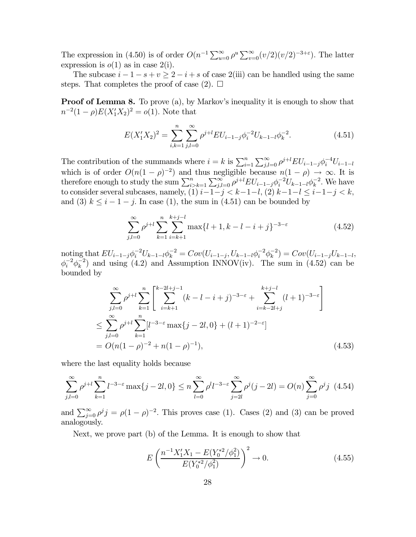The expression in (4.50) is of order  $O(n^{-1}\sum_{u=0}^{\infty}\rho^u\sum_{v=0}^{\infty}(v/2)(v/2)^{-3+\epsilon})$ . The latter expression is  $o(1)$  as in case  $2(i)$ .

The subcase  $i - 1 - s + v \ge 2 - i + s$  of case 2(iii) can be handled using the same steps. That completes the proof of case (2).  $\square$ 

**Proof of Lemma 8.** To prove (a), by Markov's inequality it is enough to show that  $n^{-2}(1-\rho)E(X_1'X_2)^2 = o(1)$ . Note that

$$
E(X_1'X_2)^2 = \sum_{i,k=1}^n \sum_{j,l=0}^\infty \rho^{j+l} E U_{i-1-j} \phi_i^{-2} U_{k-1-l} \phi_k^{-2}.
$$
 (4.51)

The contribution of the summands where  $i = k$  is  $\sum_{i=1}^{n} \sum_{j,l=0}^{\infty} \rho^{j+l} EU_{i-1-j} \phi_i^{-4} U_{i-1-l}$ which is of order  $O(n(1 - \rho)^{-2})$  and thus negligible because  $n(1 - \rho) \to \infty$ . It is therefore enough to study the sum  $\sum_{i>k=1}^{n} \sum_{j,l=0}^{\infty} \rho^{j+l} EU_{i-1-j} \phi_i^{-2} U_{k-1-l} \phi_k^{-2}$ . We have to consider several subcases, namely, (1)  $i-1-j < k-1-l$ , (2)  $k-1-l \leq i-1-j < k$ , and (3)  $k \leq i - 1 - j$ . In case (1), the sum in (4.51) can be bounded by

$$
\sum_{j,l=0}^{\infty} \rho^{j+l} \sum_{k=1}^{n} \sum_{i=k+1}^{k+j-l} \max\{l+1, k-l-i+j\}^{-3-\varepsilon}
$$
 (4.52)

 $\text{noting that } EU_{i-1-j}\phi_i^{-2}U_{k-1-l}\phi_k^{-2} = Cov(U_{i-1-j}, U_{k-1-l}\phi_i^{-2}\phi_k^{-2}) = Cov(U_{i-1-j}U_{k-1-l},$  $\phi_i^{-2} \phi_k^{-2}$  and using (4.2) and Assumption INNOV(iv). The sum in (4.52) can be bounded by

$$
\sum_{j,l=0}^{\infty} \rho^{j+l} \sum_{k=1}^{n} \left[ \sum_{i=k+1}^{k-2l+j-1} (k-l-i+j)^{-3-\epsilon} + \sum_{i=k-2l+j}^{k+j-l} (l+1)^{-3-\epsilon} \right]
$$
  

$$
\leq \sum_{j,l=0}^{\infty} \rho^{j+l} \sum_{k=1}^{n} [l^{-3-\epsilon} \max\{j-2l, 0\} + (l+1)^{-2-\epsilon}]
$$
  

$$
= O(n(1-\rho)^{-2} + n(1-\rho)^{-1}), \qquad (4.53)
$$

where the last equality holds because

$$
\sum_{j,l=0}^{\infty} \rho^{j+l} \sum_{k=1}^{n} l^{-3-\varepsilon} \max\{j-2l, 0\} \le n \sum_{l=0}^{\infty} \rho^l l^{-3-\varepsilon} \sum_{j=2l}^{\infty} \rho^j (j-2l) = O(n) \sum_{j=0}^{\infty} \rho^j j \tag{4.54}
$$

and  $\sum_{j=0}^{\infty} \rho^j j = \rho (1 - \rho)^{-2}$ . This proves case (1). Cases (2) and (3) can be proved analogously.

Next, we prove part (b) of the Lemma. It is enough to show that

$$
E\left(\frac{n^{-1}X_1'X_1 - E(Y_0^{*2}/\phi_1^2)}{E(Y_0^{*2}/\phi_1^2)}\right)^2 \to 0.
$$
\n(4.55)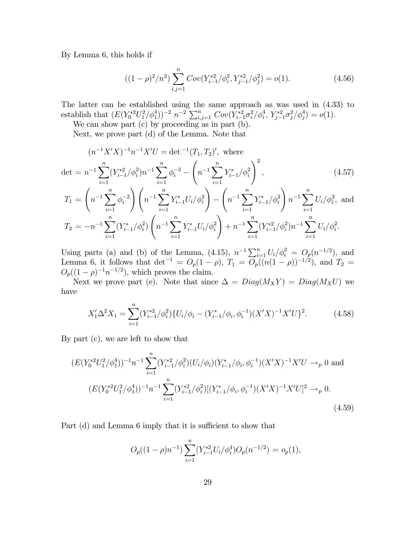By Lemma 6, this holds if

$$
((1 - \rho)^2/n^2) \sum_{i,j=1}^n Cov(Y_{i-1}^{*2}/\phi_i^2, Y_{j-1}^{*2}/\phi_j^2) = o(1).
$$
 (4.56)

The latter can be established using the same approach as was used in (4.33) to establish that  $(E(Y_0^{*2}U_1^2/\phi_1^4))^{-2} n^{-2} \sum_{i,j=1}^n Cov(Y_{i-1}^{*2}\sigma_i^2/\phi_i^4, Y_{j-1}^{*2}\sigma_j^2/\phi_j^4) = o(1)$ .

We can show part (c) by proceeding as in part (b).

Next, we prove part (d) of the Lemma. Note that

$$
(n^{-1}X'X)^{-1}n^{-1}X'U = \det^{-1}(T_1, T_2)', \text{ where}
$$

$$
\det = n^{-1} \sum_{i=1}^n (Y_{i-1}^{*2}/\phi_i^2)n^{-1} \sum_{i=1}^n \phi_i^{-2} - \left(n^{-1} \sum_{i=1}^n Y_{i-1}^{*}/\phi_i^2\right)^2,
$$
(4.57)

$$
T_1 = \left(n^{-1} \sum_{i=1}^n \phi_i^{-2}\right) \left(n^{-1} \sum_{i=1}^n Y_{i-1}^* U_i / \phi_i^2\right) - \left(n^{-1} \sum_{i=1}^n Y_{i-1}^* / \phi_i^2\right) n^{-1} \sum_{i=1}^n U_i / \phi_i^2, \text{ and}
$$
  
\n
$$
T_2 = -n^{-1} \sum_{i=1}^n (Y_{i-1}^* / \phi_i^2) \left(n^{-1} \sum_{i=1}^n Y_{i-1}^* U_i / \phi_i^2\right) + n^{-1} \sum_{i=1}^n (Y_{i-1}^{*2} / \phi_i^2) n^{-1} \sum_{i=1}^n U_i / \phi_i^2.
$$

Using parts (a) and (b) of the Lemma, (4.15),  $n^{-1} \sum_{i=1}^{n} U_i / \phi_i^2 = O_p(n^{-1/2})$ , and Lemma 6, it follows that  $\det^{-1} = O_p(1-\rho)$ ,  $T_1 = O_p((n(1-\rho))^{-1/2})$ , and  $T_2 = O_p(1-\rho)$  $O_p((1-\rho)^{-1}n^{-1/2})$ , which proves the claim.

Next we prove part (e). Note that since  $\Delta = Diag(M_XY) = Diag(M_XU)$  we have

$$
X_1' \Delta^2 X_1 = \sum_{i=1}^n (Y_{i-1}^{*2} / \phi_i^2) \{ U_i / \phi_i - (Y_{i-1}^* / \phi_i, \phi_i^{-1}) (X'X)^{-1} X' U \}^2.
$$
 (4.58)

By part (c), we are left to show that

$$
(E(Y_0^{*2}U_1^2/\phi_1^4))^{-1}n^{-1}\sum_{i=1}^n (Y_{i-1}^{*2}/\phi_i^2)(U_i/\phi_i)(Y_{i-1}^*/\phi_i, \phi_i^{-1})(X'X)^{-1}X'U \to_p 0 \text{ and}
$$
  

$$
(E(Y_0^{*2}U_1^2/\phi_1^4))^{-1}n^{-1}\sum_{i=1}^n (Y_{i-1}^{*2}/\phi_i^2)[(Y_{i-1}^*/\phi_i, \phi_i^{-1})(X'X)^{-1}X'U]^2 \to_p 0.
$$
\n(4.59)

Part (d) and Lemma 6 imply that it is sufficient to show that

$$
O_p((1-\rho)n^{-1})\sum_{i=1}^n (Y_{i-1}^{*2}U_i/\phi_i^4)O_p(n^{-1/2}) = o_p(1),
$$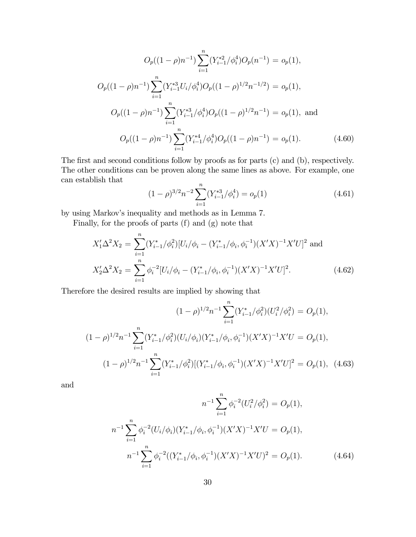$$
O_p((1 - \rho)n^{-1}) \sum_{i=1}^n (Y_{i-1}^{*2}/\phi_i^4) O_p(n^{-1}) = o_p(1),
$$
  
\n
$$
O_p((1 - \rho)n^{-1}) \sum_{i=1}^n (Y_{i-1}^{*3} U_i/\phi_i^4) O_p((1 - \rho)^{1/2} n^{-1/2}) = o_p(1),
$$
  
\n
$$
O_p((1 - \rho)n^{-1}) \sum_{i=1}^n (Y_{i-1}^{*3}/\phi_i^4) O_p((1 - \rho)^{1/2} n^{-1}) = o_p(1),
$$
 and  
\n
$$
O_p((1 - \rho)n^{-1}) \sum_{i=1}^n (Y_{i-1}^{*4}/\phi_i^4) O_p((1 - \rho)n^{-1}) = o_p(1).
$$
 (4.60)

The first and second conditions follow by proofs as for parts (c) and (b), respectively. The other conditions can be proven along the same lines as above. For example, one can establish that

$$
(1 - \rho)^{3/2} n^{-2} \sum_{i=1}^{n} (Y_{i-1}^{*3} / \phi_i^4) = o_p(1)
$$
\n(4.61)

by using Markov's inequality and methods as in Lemma 7.

Finally, for the proofs of parts (f) and (g) note that

$$
X_1' \Delta^2 X_2 = \sum_{i=1}^n (Y_{i-1}^*/\phi_i^2) [U_i/\phi_i - (Y_{i-1}^*/\phi_i, \phi_i^{-1})(X'X)^{-1}X'U]^2 \text{ and}
$$
  
\n
$$
X_2' \Delta^2 X_2 = \sum_{i=1}^n \phi_i^{-2} [U_i/\phi_i - (Y_{i-1}^*/\phi_i, \phi_i^{-1})(X'X)^{-1}X'U]^2.
$$
\n(4.62)

Therefore the desired results are implied by showing that

$$
(1 - \rho)^{1/2} n^{-1} \sum_{i=1}^{n} (Y_{i-1}^*/\phi_i^2)(U_i^2/\phi_i^2) = O_p(1),
$$
  

$$
(1 - \rho)^{1/2} n^{-1} \sum_{i=1}^{n} (Y_{i-1}^*/\phi_i^2)(U_i/\phi_i)(Y_{i-1}^*/\phi_i, \phi_i^{-1})(X'X)^{-1}X'U = O_p(1),
$$
  

$$
(1 - \rho)^{1/2} n^{-1} \sum_{i=1}^{n} (Y_{i-1}^*/\phi_i^2)[(Y_{i-1}^*/\phi_i, \phi_i^{-1})(X'X)^{-1}X'U]^2 = O_p(1),
$$
 (4.63)

and

$$
n^{-1} \sum_{i=1}^{n} \phi_i^{-2} (U_i^2 / \phi_i^2) = O_p(1),
$$
  

$$
n^{-1} \sum_{i=1}^{n} \phi_i^{-2} (U_i / \phi_i) (Y_{i-1}^* / \phi_i, \phi_i^{-1}) (X'X)^{-1} X'U = O_p(1),
$$
  

$$
n^{-1} \sum_{i=1}^{n} \phi_i^{-2} ((Y_{i-1}^* / \phi_i, \phi_i^{-1}) (X'X)^{-1} X'U)^2 = O_p(1).
$$
 (4.64)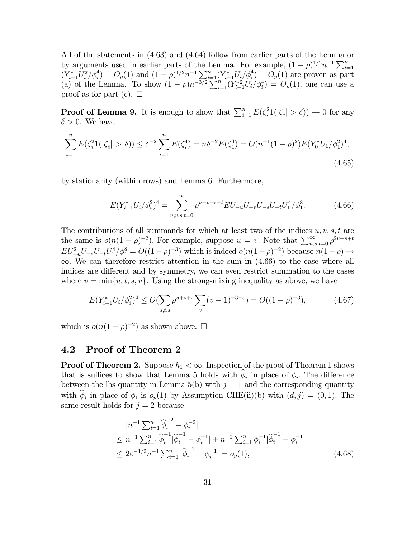All of the statements in (4.63) and (4.64) follow from earlier parts of the Lemma or by arguments used in earlier parts of the Lemma. For example,  $(1 - \rho)^{1/2} n^{-1} \sum_{i=1}^n$  $(Y_{i-1}^*U_i^2/\phi_i^4) = O_p(1)$  and  $(1-\rho)^{1/2}n^{-1}\sum_{i=1}^n (Y_{i-1}^*U_i/\phi_i^4) = O_p(1)$  are proven as part (a) of the Lemma. To show  $(1 - \rho)n^{-3/2} \sum_{i=1}^{n} (Y_{i-1}^{*2}U_i/\phi_i^4) = O_p(1)$ , one can use a proof as for part (c).  $\square$ 

**Proof of Lemma 9.** It is enough to show that  $\sum_{i=1}^{n} E(\zeta_i^2 1(|\zeta_i| > \delta)) \to 0$  for any  $\delta > 0$ . We have

$$
\sum_{i=1}^{n} E(\zeta_i^2 1(|\zeta_i| > \delta)) \le \delta^{-2} \sum_{i=1}^{n} E(\zeta_i^4) = n\delta^{-2} E(\zeta_1^4) = O(n^{-1}(1-\rho)^2) E(Y_0^* U_1/\phi_1^2)^4,
$$
\n(4.65)

by stationarity (within rows) and Lemma 6. Furthermore,

$$
E(Y_{i-1}^* U_i/\phi_i^2)^4 = \sum_{u,v,s,t=0}^{\infty} \rho^{u+v+s+t} EU_{-u} U_{-v} U_{-s} U_{-t} U_1^4/\phi_1^8.
$$
 (4.66)

The contributions of all summands for which at least two of the indices  $u, v, s, t$  are the same is  $o(n(1-\rho)^{-2})$ . For example, suppose  $u = v$ . Note that  $\sum_{u,s,t=0}^{\infty} \rho^{2u+s+t}$  $EU_{-u}^2 U_{-s} U_{-t} U_1^4 / \phi_1^8 = O((1-\rho)^{-3})$  which is indeed  $o(n(1-\rho)^{-2})$  because  $n(1-\rho) \to$  $\infty$ . We can therefore restrict attention in the sum in (4.66) to the case where all indices are different and by symmetry, we can even restrict summation to the cases where  $v = \min\{u, t, s, v\}$ . Using the strong-mixing inequality as above, we have

$$
E(Y_{i-1}^* U_i / \phi_i^2)^4 \le O(\sum_{u,t,s} \rho^{u+s+t} \sum_v (v-1)^{-3-\epsilon}) = O((1-\rho)^{-3}), \tag{4.67}
$$

which is  $o(n(1-\rho)^{-2})$  as shown above.  $\Box$ 

#### 4.2 Proof of Theorem 2

**Proof of Theorem 2.** Suppose  $h_1 < \infty$ . Inspection of the proof of Theorem 1 shows that is suffices to show that Lemma 5 holds with  $\phi_i$  in place of  $\phi_i$ . The difference between the lhs quantity in Lemma 5(b) with  $j = 1$  and the corresponding quantity with  $\hat{\phi}_i$  in place of  $\phi_i$  is  $o_p(1)$  by Assumption CHE(ii)(b) with  $(d, j) = (0, 1)$ . The same result holds for  $j = 2$  because

$$
|n^{-1} \sum_{i=1}^{n} \hat{\phi}_i^{-2} - \phi_i^{-2}|
$$
  
\n
$$
\leq n^{-1} \sum_{i=1}^{n} \hat{\phi}_i^{-1} |\hat{\phi}_i^{-1} - \phi_i^{-1}| + n^{-1} \sum_{i=1}^{n} \phi_i^{-1} |\hat{\phi}_i^{-1} - \phi_i^{-1}|
$$
  
\n
$$
\leq 2\varepsilon^{-1/2} n^{-1} \sum_{i=1}^{n} |\hat{\phi}_i^{-1} - \phi_i^{-1}| = o_p(1),
$$
\n(4.68)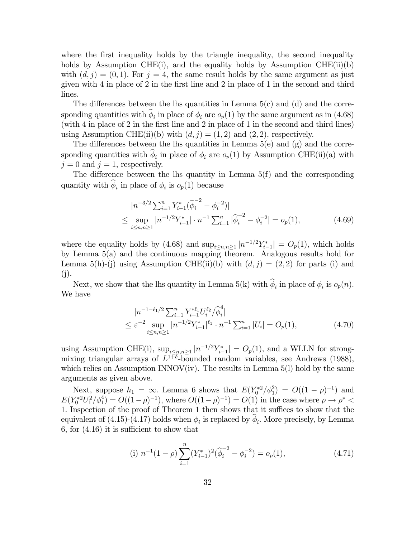where the first inequality holds by the triangle inequality, the second inequality holds by Assumption CHE(i), and the equality holds by Assumption CHE(ii)(b) with  $(d, j) = (0, 1)$ . For  $j = 4$ , the same result holds by the same argument as just given with 4 in place of 2 in the first line and 2 in place of 1 in the second and third lines.

The differences between the lhs quantities in Lemma  $5(c)$  and (d) and the corresponding quantities with  $\hat{\phi}_i$  in place of  $\phi_i$  are  $o_p(1)$  by the same argument as in (4.68) (with 4 in place of 2 in the first line and 2 in place of 1 in the second and third lines) using Assumption CHE(ii)(b) with  $(d, j) = (1, 2)$  and  $(2, 2)$ , respectively.

The differences between the lhs quantities in Lemma  $5(e)$  and  $(g)$  and the corresponding quantities with  $\hat{\phi}_i$  in place of  $\phi_i$  are  $o_p(1)$  by Assumption CHE(ii)(a) with  $j = 0$  and  $j = 1$ , respectively.

The difference between the lhs quantity in Lemma 5(f) and the corresponding quantity with  $\hat{\phi}_i$  in place of  $\phi_i$  is  $o_p(1)$  because

$$
|n^{-3/2} \sum_{i=1}^{n} Y_{i-1}^* (\widehat{\phi}_i^{-2} - \phi_i^{-2})|
$$
  
\n
$$
\leq \sup_{i \leq n, n \geq 1} |n^{-1/2} Y_{i-1}^*| \cdot n^{-1} \sum_{i=1}^{n} |\widehat{\phi}_i^{-2} - \phi_i^{-2}| = o_p(1),
$$
 (4.69)

where the equality holds by (4.68) and  $\sup_{i\leq n,n\geq 1}|n^{-1/2}Y_{i-1}^*|=O_p(1)$ , which holds by Lemma 5(a) and the continuous mapping theorem. Analogous results hold for Lemma 5(h)-(j) using Assumption CHE(ii)(b) with  $(d, j) = (2, 2)$  for parts (i) and  $(j).$ 

Next, we show that the lhs quantity in Lemma 5(k) with  $\hat{\phi}_i$  in place of  $\phi_i$  is  $o_p(n)$ . We have

$$
|n^{-1-\ell_1/2} \sum_{i=1}^n Y_{i-1}^{*\ell_1} U_i^{\ell_2} / \widehat{\phi}_i^4|
$$
  
\n
$$
\leq \varepsilon^{-2} \sup_{i \leq n, n \geq 1} |n^{-1/2} Y_{i-1}^{*}|^{\ell_1} \cdot n^{-1} \sum_{i=1}^n |U_i| = O_p(1),
$$
\n(4.70)

using Assumption CHE(i),  $\sup_{i\leq n,n\geq 1} |n^{-1/2}Y_{i-1}^*| = O_p(1)$ , and a WLLN for strongmixing triangular arrays of  $L^{1+\delta}$ -bounded random variables, see Andrews (1988), which relies on Assumption INNOV(iv). The results in Lemma  $5(1)$  hold by the same arguments as given above.

Next, suppose  $h_1 = \infty$ . Lemma 6 shows that  $E(Y_0^{*2}/\phi_1^2) = O((1 - \rho)^{-1})$  and  $E(Y_0^{*2}U_1^2/\phi_1^4) = O((1-\rho)^{-1}),$  where  $O((1-\rho)^{-1}) = O(1)$  in the case where  $\rho \to \rho^*$ 1. Inspection of the proof of Theorem 1 then shows that it suffices to show that the equivalent of (4.15)-(4.17) holds when  $\phi_i$  is replaced by  $\phi_i$ . More precisely, by Lemma 6, for (4.16) it is sufficient to show that

(i) 
$$
n^{-1}(1-\rho)\sum_{i=1}^{n} (Y_{i-1}^*)^2(\widehat{\phi}_i^{-2} - \phi_i^{-2}) = o_p(1),
$$
 (4.71)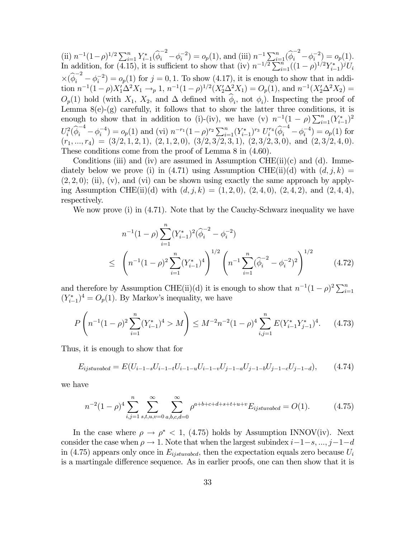(ii)  $n^{-1}(1-\rho)^{1/2}\sum_{i=1}^n Y_{i-1}^*(\hat{\phi}_i^{-2} - \phi_i^{-2}) = o_p(1)$ , and (iii)  $n^{-1}\sum_{i=1}^n (\hat{\phi}_i^{-2} - \phi_i^{-2}) = o_p(1)$ . In addition, for (4.15), it is sufficient to show that (iv)  $n^{-1/2} \sum_{i=1}^{n} ((1-\rho)^{1/2} Y_{i-1}^*)^j U_i$  $\times(\widehat{\phi}_i^{-2} - \phi_i^{-2}) = o_p(1)$  for  $j = 0, 1$ . To show (4.17), it is enough to show that in addition  $n^{-1}(1-\rho)X_1'\Delta^2 X_1 \to_p 1$ ,  $n^{-1}(1-\rho)^{1/2}(X_2'\Delta^2 X_1) = O_p(1)$ , and  $n^{-1}(X_2'\Delta^2 X_2) =$  $O_p(1)$  hold (with  $X_1, X_2$ , and  $\Delta$  defined with  $\hat{\phi}_i$ , not  $\phi_i$ ). Inspecting the proof of Lemma  $8(e)$ - $(g)$  carefully, it follows that to show the latter three conditions, it is enough to show that in addition to (i)-(iv), we have (v)  $n^{-1}(1-\rho)\sum_{i=1}^{n}(Y_{i-1}^*)^2$  $U_i^2(\hat{\phi}_i^{-4} - \phi_i^{-4}) = o_p(1)$  and (vi)  $n^{-r_1}(1-\rho)^{r_2} \sum_{i=1}^n (Y_{i-1}^*)^{r_3} U_i^{r_4}(\hat{\phi}_i^{-4} - \phi_i^{-4}) = o_p(1)$  for  $(r_1, ..., r_4) = (3/2, 1, 2, 1), (2, 1, 2, 0), (3/2, 3/2, 3, 1), (2, 3/2, 3, 0), \text{ and } (2, 3/2, 4, 0).$ These conditions come from the proof of Lemma 8 in (4.60).

Conditions (iii) and (iv) are assumed in Assumption CHE(ii)(c) and (d). Immediately below we prove (i) in (4.71) using Assumption CHE(ii)(d) with  $(d, j, k)$  =  $(2, 2, 0)$ ; (ii), (v), and (vi) can be shown using exactly the same approach by applying Assumption CHE(ii)(d) with  $(d, j, k) = (1, 2, 0), (2, 4, 0), (2, 4, 2),$  and  $(2, 4, 4),$ respectively.

We now prove (i) in  $(4.71)$ . Note that by the Cauchy-Schwarz inequality we have

$$
n^{-1}(1-\rho)\sum_{i=1}^{n}(Y_{i-1}^{*})^{2}(\widehat{\phi}_{i}^{-2}-\phi_{i}^{-2})
$$
  
 
$$
\leq\left(n^{-1}(1-\rho)^{2}\sum_{i=1}^{n}(Y_{i-1}^{*})^{4}\right)^{1/2}\left(n^{-1}\sum_{i=1}^{n}(\widehat{\phi}_{i}^{-2}-\phi_{i}^{-2})^{2}\right)^{1/2}
$$
(4.72)

and therefore by Assumption CHE(ii)(d) it is enough to show that  $n^{-1}(1-\rho)^2\sum_{i=1}^n$  $(Y_{i-1}^*)^4 = O_p(1)$ . By Markov's inequality, we have

$$
P\left(n^{-1}(1-\rho)^2\sum_{i=1}^n (Y_{i-1}^*)^4 > M\right) \le M^{-2}n^{-2}(1-\rho)^4\sum_{i,j=1}^n E(Y_{i-1}^*Y_{j-1}^*)^4. \tag{4.73}
$$

Thus, it is enough to show that for

$$
E_{ijstuvabcd} = E(U_{i-1-s}U_{i-1-t}U_{i-1-u}U_{i-1-v}U_{j-1-a}U_{j-1-b}U_{j-1-c}U_{j-1-d}),
$$
 (4.74)

we have

$$
n^{-2}(1-\rho)^4 \sum_{i,j=1}^n \sum_{s,t,u,v=0}^\infty \sum_{a,b,c,d=0}^\infty \rho^{a+b+c+d+s+t+u+v} E_{ijstuvabcd} = O(1). \tag{4.75}
$$

In the case where  $\rho \to \rho^*$  < 1, (4.75) holds by Assumption INNOV(iv). Next consider the case when  $\rho \to 1$ . Note that when the largest subindex  $i-1-s, ..., j-1-d$ in (4.75) appears only once in  $E_{ijstwabcd}$ , then the expectation equals zero because  $U_i$ is a martingale difference sequence. As in earlier proofs, one can then show that it is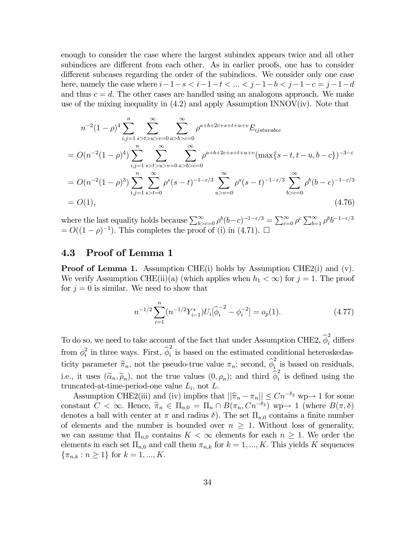enough to consider the case where the largest subindex appears twice and all other subindices are different from each other. As in earlier proofs, one has to consider different subcases regarding the order of the subindices. We consider only one case here, namely the case where  $i-1-s < i-1-t < \ldots < j-1-b < j-1-c = j-1-d$ and thus  $c = d$ . The other cases are handled using an analogous approach. We make use of the mixing inequality in  $(4.2)$  and apply Assumption INNOV(iv). Note that

$$
n^{-2}(1-\rho)^4 \sum_{i,j=1}^n \sum_{s>t>u>v=0}^\infty \sum_{a>b>c=0}^\infty \rho^{a+b+2c+s+t+u+v} E_{ijstuvabc}
$$
  
=  $O(n^{-2}(1-\rho)^4) \sum_{i,j=1}^n \sum_{s>t>u>v=0}^\infty \sum_{a>b>c=0}^\infty \rho^{a+b+2c+s+t+u+v} (\max\{s-t,t-u,b-c\})^{-3-\varepsilon}$   
=  $O(n^{-2}(1-\rho)^3) \sum_{i,j=1}^n \sum_{s>t=0}^\infty \rho^s (s-t)^{-1-\varepsilon/3} \sum_{u>v=0}^\infty \rho^s (s-t)^{-1-\varepsilon/3} \sum_{b>c=0}^\infty \rho^b (b-c)^{-1-\varepsilon/3}$   
=  $O(1),$  (4.76)

where the last equality holds because  $\sum_{b>c=0}^{\infty} \rho^b (b-c)^{-1-\varepsilon/3} = \sum_{c=0}^{\infty} \rho^c \sum_{b=1}^{\infty} \rho^b b^{-1-\varepsilon/3}$  $= O((1 - \rho)^{-1})$ . This completes the proof of (i) in (4.71).  $\Box$ 

#### 4.3 Proof of Lemma 1

**Proof of Lemma 1.** Assumption CHE(i) holds by Assumption CHE2(i) and (v). We verify Assumption CHE(ii)(a) (which applies when  $h_1 < \infty$ ) for  $j = 1$ . The proof for  $j = 0$  is similar. We need to show that

$$
n^{-1/2} \sum_{i=1}^{n} (n^{-1/2} Y_{i-1}^*) U_i [\hat{\phi}_i^{-2} - \phi_i^{-2}] = o_p(1). \tag{4.77}
$$

To do so, we need to take account of the fact that under Assumption CHE2,  $\hat{\phi}_i^2$  differs from  $\phi_i^2$  in three ways. First,  $\hat{\phi}_i^2$  is based on the estimated conditional heteroskedasticity parameter  $\tilde{\pi}_n$ , not the pseudo-true value  $\pi_n$ ; second,  $\hat{\phi}_i^2$  is based on residuals, i.e., it uses  $(\tilde{\alpha}_n, \tilde{\rho}_n)$ , not the true values  $(0, \rho_n)$ ; and third  $\hat{\phi}_i^2$  is defined using the truncated-at-time-period-one value  $L_i$ , not  $L$ .

Assumption CHE2(iii) and (iv) implies that  $||\hat{\pi}_n - \pi_n|| \leq Cn^{-\delta_2}$  wp $\rightarrow$  1 for some constant  $C < \infty$ . Hence,  $\tilde{\pi}_n \in \Pi_{n,0} = \Pi_n \cap B(\pi_n, Cn^{-\delta_2})$  wp $\rightarrow 1$  (where  $B(\pi, \delta)$ ) denotes a ball with center at  $\pi$  and radius  $\delta$ ). The set  $\Pi_{n,0}$  contains a finite number of elements and the number is bounded over  $n \geq 1$ . Without loss of generality, we can assume that  $\Pi_{n,0}$  contains  $K < \infty$  elements for each  $n \geq 1$ . We order the elements in each set  $\Pi_{n,0}$  and call them  $\pi_{n,k}$  for  $k = 1, ..., K$ . This yields K sequences  $\{\pi_{n,k} : n \geq 1\}$  for  $k = 1, ..., K$ .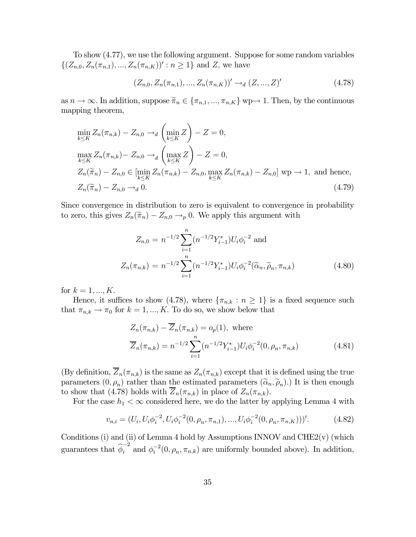To show (4.77), we use the following argument. Suppose for some random variables  $\{(Z_{n,0}, Z_n(\pi_{n,1}), ..., Z_n(\pi_{n,K}))': n \geq 1\}$  and Z, we have

$$
(Z_{n,0}, Z_n(\pi_{n,1}), ..., Z_n(\pi_{n,K}))' \to_d (Z, ..., Z)'
$$
\n(4.78)

as  $n \to \infty$ . In addition, suppose  $\widetilde{\pi}_n \in {\{\pi_{n,1}, ..., \pi_{n,K}\}}$  wp $\to$  1. Then, by the continuous mapping theorem,

$$
\min_{k \le K} Z_n(\pi_{n,k}) - Z_{n,0} \to_d \left( \min_{k \le K} Z \right) - Z = 0,
$$
\n
$$
\max_{k \le K} Z_n(\pi_{n,k}) - Z_{n,0} \to_d \left( \max_{k \le K} Z \right) - Z = 0,
$$
\n
$$
Z_n(\widetilde{\pi}_n) - Z_{n,0} \in \left[ \min_{k \le K} Z_n(\pi_{n,k}) - Z_{n,0}, \max_{k \le K} Z_n(\pi_{n,k}) - Z_{n,0} \right] \text{ wp} \to 1, \text{ and hence,}
$$
\n
$$
Z_n(\widetilde{\pi}_n) - Z_{n,0} \to_d 0.
$$
\n(4.79)

Since convergence in distribution to zero is equivalent to convergence in probability to zero, this gives  $Z_n(\tilde{\pi}_n) - Z_{n,0} \to_p 0$ . We apply this argument with

$$
Z_{n,0} = n^{-1/2} \sum_{i=1}^{n} (n^{-1/2} Y_{i-1}^*) U_i \phi_i^{-2} \text{ and}
$$
  

$$
Z_n(\pi_{n,k}) = n^{-1/2} \sum_{i=1}^{n} (n^{-1/2} Y_{i-1}^*) U_i \phi_i^{-2}(\tilde{\alpha}_n, \tilde{\rho}_n, \pi_{n,k})
$$
(4.80)

for  $k = 1, ..., K$ .

Hence, it suffices to show (4.78), where  $\{\pi_{n,k} : n \geq 1\}$  is a fixed sequence such that  $\pi_{n,k} \to \pi_0$  for  $k = 1, ..., K$ . To do so, we show below that

$$
Z_n(\pi_{n,k}) - \overline{Z}_n(\pi_{n,k}) = o_p(1), \text{ where}
$$
  

$$
\overline{Z}_n(\pi_{n,k}) = n^{-1/2} \sum_{i=1}^n (n^{-1/2} Y_{i-1}^*) U_i \phi_i^{-2}(0, \rho_n, \pi_{n,k})
$$
(4.81)

(By definition,  $\overline{Z}_n(\pi_{n,k})$  is the same as  $Z_n(\pi_{n,k})$  except that it is defined using the true parameters  $(0, \rho_n)$  rather than the estimated parameters  $(\tilde{\alpha}_n, \tilde{\rho}_n)$ .) It is then enough to show that (4.78) holds with  $\overline{Z}_n(\pi_{n,k})$  in place of  $Z_n(\pi_{n,k})$ .

For the case  $h_1 < \infty$  considered here, we do the latter by applying Lemma 4 with

$$
v_{n,i} = (U_i, U_i \phi_i^{-2}, U_i \phi_i^{-2}(0, \rho_n, \pi_{n,1}), \dots, U_i \phi_i^{-2}(0, \rho_n, \pi_{n,K})))'. \tag{4.82}
$$

Conditions (i) and (ii) of Lemma 4 hold by Assumptions INNOV and  $CHE2(v)$  (which guarantees that  $\hat{\phi}_i^{-2}$  and  $\phi_i^{-2}(0, \rho_n, \pi_{n,k})$  are uniformly bounded above). In addition,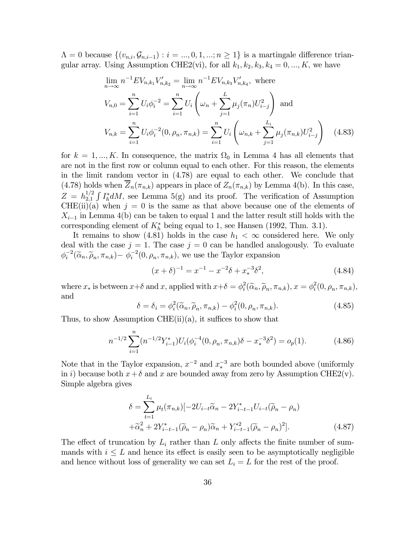$\Lambda = 0$  because  $\{(v_{n,i}, \mathcal{G}_{n,i-1}) : i = ..., 0, 1, ..., n \geq 1\}$  is a martingale difference triangular array. Using Assumption CHE2(vi), for all  $k_1, k_2, k_3, k_4 = 0, ..., K$ , we have

$$
\lim_{n \to \infty} n^{-1} E V_{n,k_1} V'_{n,k_2} = \lim_{n \to \infty} n^{-1} E V_{n,k_3} V'_{n,k_4}, \text{ where}
$$
\n
$$
V_{n,0} = \sum_{i=1}^n U_i \phi_i^{-2} = \sum_{i=1}^n U_i \left( \omega_n + \sum_{j=1}^L \mu_j(\pi_n) U_{i-j}^2 \right) \text{ and}
$$
\n
$$
V_{n,k} = \sum_{i=1}^n U_i \phi_i^{-2} (0, \rho_n, \pi_{n,k}) = \sum_{i=1}^n U_i \left( \omega_{n,k} + \sum_{j=1}^{L_i} \mu_j(\pi_{n,k}) U_{i-j}^2 \right) \quad (4.83)
$$

for  $k = 1, ..., K$ . In consequence, the matrix  $\Omega_0$  in Lemma 4 has all elements that are not in the first row or column equal to each other. For this reason, the elements in the limit random vector in (4.78) are equal to each other. We conclude that (4.78) holds when  $\overline{Z}_n(\pi_{n,k})$  appears in place of  $Z_n(\pi_{n,k})$  by Lemma 4(b). In this case,  $Z = h_{2,1}^{1/2} \int I_h^* dM$ , see Lemma 5(g) and its proof. The verification of Assumption  $CHE(ii)(a)$  when  $j = 0$  is the same as that above because one of the elements of  $X_{i-1}$  in Lemma 4(b) can be taken to equal 1 and the latter result still holds with the corresponding element of  $K<sub>h</sub><sup>*</sup>$  being equal to 1, see Hansen (1992, Thm. 3.1).

It remains to show (4.81) holds in the case  $h_1 < \infty$  considered here. We only deal with the case  $j = 1$ . The case  $j = 0$  can be handled analogously. To evaluate  $\phi_i^{-2}(\tilde{\alpha}_n, \tilde{\rho}_n, \pi_{n,k}) - \phi_i^{-2}(0, \rho_n, \pi_{n,k})$ , we use the Taylor expansion

$$
(x+\delta)^{-1} = x^{-1} - x^{-2}\delta + x_*^{-3}\delta^2,
$$
\n(4.84)

where  $x_*$  is between  $x+\delta$  and  $x$ , applied with  $x+\delta = \phi_i^2(\tilde{\alpha}_n, \tilde{\rho}_n, \pi_{n,k}), x = \phi_i^2(0, \rho_n, \pi_{n,k}),$ and

$$
\delta = \delta_i = \phi_i^2(\widetilde{\alpha}_n, \widetilde{\rho}_n, \pi_{n,k}) - \phi_i^2(0, \rho_n, \pi_{n,k}).
$$
\n(4.85)

Thus, to show Assumption CHE $(ii)(a)$ , it suffices to show that

$$
n^{-1/2} \sum_{i=1}^{n} (n^{-1/2} Y_{i-1}^*) U_i(\phi_i^{-4}(0, \rho_n, \pi_{n,k}) \delta - x_*^{-3} \delta^2) = o_p(1).
$$
 (4.86)

Note that in the Taylor expansion,  $x^{-2}$  and  $x_*^{-3}$  are both bounded above (uniformly in i) because both  $x+\delta$  and x are bounded away from zero by Assumption CHE2(v). Simple algebra gives

$$
\delta = \sum_{t=1}^{L_i} \mu_t(\pi_{n,k}) [-2U_{i-t}\widetilde{\alpha}_n - 2Y_{i-t-1}^* U_{i-t}(\widetilde{\rho}_n - \rho_n) + \widetilde{\alpha}_n^2 + 2Y_{i-t-1}^*(\widetilde{\rho}_n - \rho_n)\widetilde{\alpha}_n + Y_{i-t-1}^{*2}(\widetilde{\rho}_n - \rho_n)^2].
$$
\n(4.87)

The effect of truncation by  $L_i$  rather than L only affects the finite number of summands with  $i \leq L$  and hence its effect is easily seen to be asymptotically negligible and hence without loss of generality we can set  $L_i = L$  for the rest of the proof.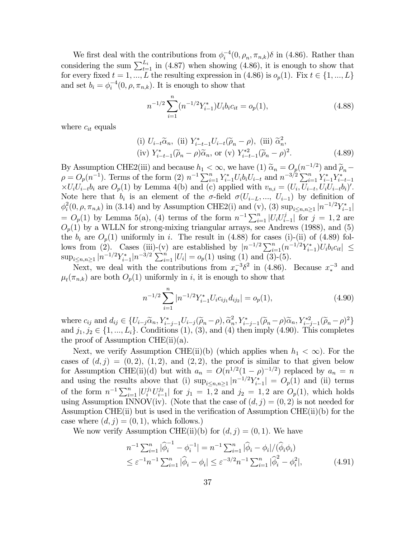We first deal with the contributions from  $\phi_i^{-4}(0, \rho_n, \pi_{n,k})\delta$  in (4.86). Rather than considering the sum  $\sum_{t=1}^{L_i}$  in (4.87) when showing (4.86), it is enough to show that for every fixed  $t = 1, ..., L$  the resulting expression in (4.86) is  $o_p(1)$ . Fix  $t \in \{1, ..., L\}$ and set  $b_i = \phi_i^{-4}(0, \rho, \pi_{n,k})$ . It is enough to show that

$$
n^{-1/2} \sum_{i=1}^{n} (n^{-1/2} Y_{i-1}^*) U_i b_i c_{it} = o_p(1),
$$
\n(4.88)

where  $c_{it}$  equals

(i) 
$$
U_{i-t}\widetilde{\alpha}_n
$$
, (ii)  $Y_{i-t-1}^*U_{i-t}(\widetilde{\rho}_n - \rho)$ , (iii)  $\widetilde{\alpha}_n^2$ ,  
(iv)  $Y_{i-t-1}^*(\widetilde{\rho}_n - \rho)\widetilde{\alpha}_n$ , or (v)  $Y_{i-t-1}^{*2}(\widetilde{\rho}_n - \rho)^2$ . (4.89)

By Assumption CHE2(iii) and because  $h_1 < \infty$ , we have  $(1)$   $\widetilde{\alpha}_n = O_p(n^{-1/2})$  and  $\widetilde{\rho}_n \rho = O_p(n^{-1})$ . Terms of the form  $(2) n^{-1} \sum_{i=1}^n Y_{i-1}^* U_i b_i U_{i-t}$  and  $n^{-3/2} \sum_{i=1}^n Y_{i-1}^* Y_{i-t-1}^*$  $\times U_iU_{i-t}b_i$  are  $O_p(1)$  by Lemma 4(b) and (c) applied with  $v_{n,i} = (U_i, U_{i-t}, U_iU_{i-t}b_i)'$ . Note here that  $b_i$  is an element of the  $\sigma$ -field  $\sigma(U_{i-L},..., U_{i-1})$  by definition of  $\phi_i^2(0, \rho, \pi_{n,k})$  in (3.14) and by Assumption CHE2(i) and (v), (3)  $\sup_{i \leq n,n \geq 1} |n^{-1/2}Y_{i-1}^*|$  $= O_p(1)$  by Lemma 5(a), (4) terms of the form  $n^{-1} \sum_{i=1}^n |U_i U_{i-1}^j|$  for  $j = 1, 2$  are  $O_p(1)$  by a WLLN for strong-mixing triangular arrays, see Andrews (1988), and (5) the  $b_i$  are  $O_p(1)$  uniformly in i. The result in (4.88) for cases (i)-(ii) of (4.89) follows from (2). Cases (iii)-(v) are established by  $|n^{-1/2}\sum_{i=1}^n (n^{-1/2}Y_{i-1}^*)U_ib_ic_{it}| \le$  $\sup_{i\leq n,n\geq 1}|n^{-1/2}Y_{i-1}^*|n^{-3/2}\sum_{i=1}^n|U_i|=o_p(1)$  using (1) and (3)-(5).

Next, we deal with the contributions from  $x_*^{-3}\delta^2$  in (4.86). Because  $x_*^{-3}$  and  $\mu_t(\pi_{n,k})$  are both  $O_p(1)$  uniformly in i, it is enough to show that

$$
n^{-1/2} \sum_{i=1}^{n} |n^{-1/2} Y_{i-1}^* U_i c_{ij_1} d_{ij_2}| = o_p(1), \qquad (4.90)
$$

where  $c_{ij}$  and  $d_{ij} \in \{U_{i-j}\widetilde{\alpha}_n, Y_{i-j-1}^*U_{i-j}(\widetilde{\rho}_n - \rho), \widetilde{\alpha}_n^2, Y_{i-j-1}^*(\widetilde{\rho}_n - \rho)\widetilde{\alpha}_n, Y_{i-j-1}^{*2}(\widetilde{\rho}_n - \rho)^2\}$ and  $j_1, j_2 \in \{1, ..., L_i\}$ . Conditions  $(1), (3),$  and  $(4)$  then imply  $(4.90)$ . This completes the proof of Assumption CHE $(ii)(a)$ .

Next, we verify Assumption CHE(ii)(b) (which applies when  $h_1 < \infty$ ). For the cases of  $(d, j) = (0, 2), (1, 2),$  and  $(2, 2),$  the proof is similar to that given below for Assumption CHE(ii)(d) but with  $a_n = O(n^{1/2}(1-\rho)^{-1/2})$  replaced by  $a_n = n$ and using the results above that (i)  $\sup_{i\leq n,n\geq 1} |n^{-1/2}Y_{i-1}^*| = O_p(1)$  and (ii) terms of the form  $n^{-1} \sum_{i=1}^n |U_i^{j_1} U_{i-1}^{j_2}|$  for  $j_1 = 1, 2$  and  $j_2 = 1, 2$  are  $O_p(1)$ , which holds using Assumption INNOV(iv). (Note that the case of  $(d, j) = (0, 2)$  is not needed for Assumption CHE(ii) but is used in the verification of Assumption CHE(ii)(b) for the case where  $(d, j) = (0, 1)$ , which follows.)

We now verify Assumption CHE(ii)(b) for  $(d, j) = (0, 1)$ . We have

$$
n^{-1} \sum_{i=1}^{n} |\widehat{\phi}_i^{-1} - \phi_i^{-1}| = n^{-1} \sum_{i=1}^{n} |\widehat{\phi}_i - \phi_i| / (\widehat{\phi}_i \phi_i)
$$
  

$$
\leq \varepsilon^{-1} n^{-1} \sum_{i=1}^{n} |\widehat{\phi}_i - \phi_i| \leq \varepsilon^{-3/2} n^{-1} \sum_{i=1}^{n} |\widehat{\phi}_i^{2} - \phi_i^{2}|,
$$
(4.91)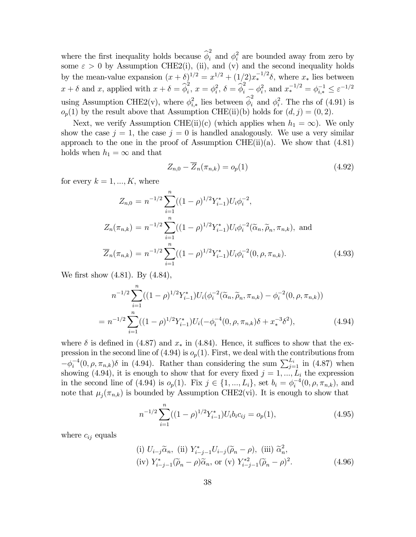where the first inequality holds because  $\hat{\phi}_i^2$  and  $\phi_i^2$  are bounded away from zero by some  $\varepsilon > 0$  by Assumption CHE2(i), (ii), and (v) and the second inequality holds by the mean-value expansion  $(x + \delta)^{1/2} = x^{1/2} + (1/2)x_*^{-1/2}\delta$ , where  $x_*$  lies between  $x + \delta$  and x, applied with  $x + \delta = \hat{\phi}_i^2$ ,  $x = \phi_i^2$ ,  $\delta = \hat{\phi}_i^2 - \phi_i^2$ , and  $x_*^{-1/2} = \phi_{i,*}^{-1} \leq \varepsilon^{-1/2}$ using Assumption CHE2(v), where  $\phi_{i,*}^2$  lies between  $\hat{\phi}_i^2$  and  $\phi_i^2$ . The rhs of (4.91) is  $o_p(1)$  by the result above that Assumption CHE(ii)(b) holds for  $(d, j) = (0, 2)$ .

Next, we verify Assumption CHE(ii)(c) (which applies when  $h_1 = \infty$ ). We only show the case  $j = 1$ , the case  $j = 0$  is handled analogously. We use a very similar approach to the one in the proof of Assumption CHE $(ii)(a)$ . We show that  $(4.81)$ holds when  $h_1 = \infty$  and that

$$
Z_{n,0} - \overline{Z}_n(\pi_{n,k}) = o_p(1) \tag{4.92}
$$

for every  $k = 1, ..., K$ , where

$$
Z_{n,0} = n^{-1/2} \sum_{i=1}^{n} ((1 - \rho)^{1/2} Y_{i-1}^*) U_i \phi_i^{-2},
$$
  
\n
$$
Z_n(\pi_{n,k}) = n^{-1/2} \sum_{i=1}^{n} ((1 - \rho)^{1/2} Y_{i-1}^*) U_i \phi_i^{-2}(\widetilde{\alpha}_n, \widetilde{\rho}_n, \pi_{n,k}),
$$
 and  
\n
$$
\overline{Z}_n(\pi_{n,k}) = n^{-1/2} \sum_{i=1}^{n} ((1 - \rho)^{1/2} Y_{i-1}^*) U_i \phi_i^{-2} (0, \rho, \pi_{n,k}).
$$
\n(4.93)

We first show (4.81). By (4.84),

$$
n^{-1/2} \sum_{i=1}^{n} ((1-\rho)^{1/2} Y_{i-1}^{*}) U_i(\phi_i^{-2}(\widetilde{\alpha}_n, \widetilde{\rho}_n, \pi_{n,k}) - \phi_i^{-2}(0, \rho, \pi_{n,k}))
$$
  
= 
$$
n^{-1/2} \sum_{i=1}^{n} ((1-\rho)^{1/2} Y_{i-1}^{*}) U_i(-\phi_i^{-4}(0, \rho, \pi_{n,k})\delta + x_{*}^{-3}\delta^2),
$$
 (4.94)

where  $\delta$  is defined in (4.87) and  $x_*$  in (4.84). Hence, it suffices to show that the expression in the second line of  $(4.94)$  is  $o_p(1)$ . First, we deal with the contributions from  $-\phi_i^{-4}(0,\rho,\pi_{n,k})\delta$  in (4.94). Rather than considering the sum  $\sum_{j=1}^{L_i}$  in (4.87) when showing (4.94), it is enough to show that for every fixed  $j = 1, ..., L_i$  the expression in the second line of (4.94) is  $o_p(1)$ . Fix  $j \in \{1, ..., L_i\}$ , set  $b_i = \phi_i^{-4}(0, \rho, \pi_{n,k})$ , and note that  $\mu_i(\pi_{n,k})$  is bounded by Assumption CHE2(vi). It is enough to show that

$$
n^{-1/2} \sum_{i=1}^{n} ((1-\rho)^{1/2} Y_{i-1}^*) U_i b_i c_{ij} = o_p(1), \qquad (4.95)
$$

where  $c_{ij}$  equals

(i) 
$$
U_{i-j}\widetilde{\alpha}_n
$$
, (ii)  $Y_{i-j-1}^*U_{i-j}(\widetilde{\rho}_n - \rho)$ , (iii)  $\widetilde{\alpha}_n^2$ ,  
(iv)  $Y_{i-j-1}^*(\widetilde{\rho}_n - \rho)\widetilde{\alpha}_n$ , or (v)  $Y_{i-j-1}^{*2}(\widetilde{\rho}_n - \rho)^2$ . (4.96)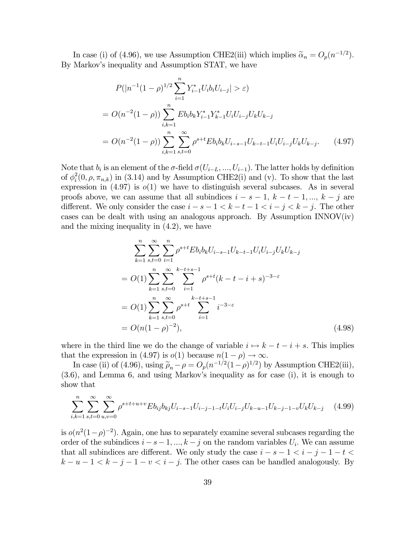In case (i) of (4.96), we use Assumption CHE2(iii) which implies  $\tilde{\alpha}_n = O_p(n^{-1/2})$ . By Markov's inequality and Assumption STAT, we have

$$
P(|n^{-1}(1-\rho)^{1/2}\sum_{i=1}^{n} Y_{i-1}^{*}U_{i}b_{i}U_{i-j}| > \varepsilon)
$$
  
=  $O(n^{-2}(1-\rho))\sum_{i,k=1}^{n} Eb_{i}b_{k}Y_{i-1}^{*}Y_{k-1}^{*}U_{i}U_{i-j}U_{k}U_{k-j}$   
=  $O(n^{-2}(1-\rho))\sum_{i,k=1}^{n}\sum_{s,t=0}^{\infty}\rho^{s+t}Eb_{i}b_{k}U_{i-s-1}U_{k-t-1}U_{i}U_{i-j}U_{k}U_{k-j}.$  (4.97)

Note that  $b_i$  is an element of the  $\sigma$ -field  $\sigma(U_{i-L},...,U_{i-1})$ . The latter holds by definition of  $\phi_i^2(0, \rho, \pi_{n,k})$  in (3.14) and by Assumption CHE2(i) and (v). To show that the last expression in  $(4.97)$  is  $o(1)$  we have to distinguish several subcases. As in several proofs above, we can assume that all subindices  $i - s - 1$ ,  $k - t - 1$ , ...,  $k - j$  are different. We only consider the case  $i - s - 1 < k - t - 1 < i - j < k - j$ . The other cases can be dealt with using an analogous approach. By Assumption  $INNOV(iv)$ and the mixing inequality in (4.2), we have

$$
\sum_{k=1}^{n} \sum_{s,t=0}^{\infty} \sum_{i=1}^{n} \rho^{s+t} E b_i b_k U_{i-s-1} U_{k-t-1} U_i U_{i-j} U_k U_{k-j}
$$
  
=  $O(1) \sum_{k=1}^{n} \sum_{s,t=0}^{\infty} \sum_{i=1}^{k-t+s-1} \rho^{s+t} (k-t-i+s)^{-3-\varepsilon}$   
=  $O(1) \sum_{k=1}^{n} \sum_{s,t=0}^{\infty} \rho^{s+t} \sum_{i=1}^{k-t+s-1} i^{-3-\varepsilon}$   
=  $O(n(1-\rho)^{-2}),$  (4.98)

where in the third line we do the change of variable  $i \mapsto k - t - i + s$ . This implies that the expression in (4.97) is  $o(1)$  because  $n(1 - \rho) \to \infty$ .

In case (ii) of (4.96), using  $\tilde{\rho}_n - \rho = O_p(n^{-1/2}(1-\rho)^{1/2})$  by Assumption CHE2(iii), (3.6), and Lemma 6, and using Markov's inequality as for case (i), it is enough to show that

$$
\sum_{i,k=1}^{n} \sum_{s,t=0}^{\infty} \sum_{u,v=0}^{\infty} \rho^{s+t+u+v} E b_{ij} b_{kj} U_{i-s-1} U_{i-j-1-t} U_i U_{i-j} U_{k-u-1} U_{k-j-1-v} U_k U_{k-j} \tag{4.99}
$$

is  $o(n^2(1-\rho)^{-2})$ . Again, one has to separately examine several subcases regarding the order of the subindices  $i - s - 1, ..., k - j$  on the random variables  $U_i$ . We can assume that all subindices are different. We only study the case  $i - s - 1 < i - j - 1 - t <$  $k - u - 1 < k - j - 1 - v < i - j$ . The other cases can be handled analogously. By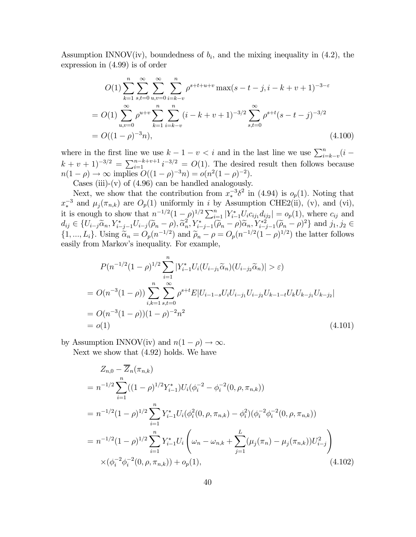Assumption INNOV(iv), boundedness of  $b_i$ , and the mixing inequality in (4.2), the expression in (4.99) is of order

$$
O(1) \sum_{k=1}^{n} \sum_{s,t=0}^{\infty} \sum_{u,v=0}^{\infty} \sum_{i=k-v}^{n} \rho^{s+t+u+v} \max(s-t-j, i-k+v+1)^{-3-\varepsilon}
$$
  
= 
$$
O(1) \sum_{u,v=0}^{\infty} \rho^{u+v} \sum_{k=1}^{n} \sum_{i=k-v}^{n} (i-k+v+1)^{-3/2} \sum_{s,t=0}^{\infty} \rho^{s+t} (s-t-j)^{-3/2}
$$
  
= 
$$
O((1-\rho)^{-3}n), \qquad (4.100)
$$

where in the first line we use  $k - 1 - v < i$  and in the last line we use  $\sum_{i=k-v}^{n} (i (k + v + 1)^{-3/2} = \sum_{i=1}^{n-k+v+1} i^{-3/2} = O(1)$ . The desired result then follows because  $n(1 - \rho) \to \infty$  implies  $O((1 - \rho)^{-3}n) = o(n^2(1 - \rho)^{-2}).$ 

Cases (iii)-(v) of  $(4.96)$  can be handled analogously.

Next, we show that the contribution from  $x_*^{-3}\delta^2$  in (4.94) is  $o_p(1)$ . Noting that  $x_*^{-3}$  and  $\mu_j(\pi_{n,k})$  are  $O_p(1)$  uniformly in i by Assumption CHE2(ii), (v), and (vi), it is enough to show that  $n^{-1/2}(1-\rho)^{1/2}\sum_{i=1}^n |Y_{i-1}^*U_i c_{ij_1}d_{ij_2}| = o_p(1)$ , where  $c_{ij}$  and  $d_{ij} \in \{U_{i-j}\widetilde{\alpha}_n, Y_{i-j-1}^*U_{i-j}(\widetilde{\rho}_n - \rho), \widetilde{\alpha}_n^2, Y_{i-j-1}^*(\widetilde{\rho}_n - \rho)\widetilde{\alpha}_n, Y_{i-j-1}^{*2}(\widetilde{\rho}_n - \rho)^2\}$  and  $j_1, j_2 \in$  $\{1, ..., L_i\}$ . Using  $\widetilde{\alpha}_n = O_p(n^{-1/2})$  and  $\widetilde{\rho}_n - \rho = O_p(n^{-1/2}(1-\rho)^{1/2})$  the latter follows easily from Markov's inequality. For example,

$$
P(n^{-1/2}(1-\rho)^{1/2}\sum_{i=1}^{n}|Y_{i-1}^{*}U_{i}(U_{i-j_{1}}\widetilde{\alpha}_{n})(U_{i-j_{2}}\widetilde{\alpha}_{n})| > \varepsilon)
$$
  
=  $O(n^{-3}(1-\rho))\sum_{i,k=1}^{n}\sum_{s,t=0}^{\infty}\rho^{s+t}E|U_{i-1-s}U_{i}U_{i-j_{1}}U_{i-j_{2}}U_{k-1-t}U_{k}U_{k-j_{1}}U_{k-j_{2}}|$   
=  $O(n^{-3}(1-\rho))(1-\rho)^{-2}n^{2}$   
=  $o(1)$  (4.101)

by Assumption INNOV(iv) and  $n(1 - \rho) \rightarrow \infty$ . Next we show that (4.92) holds. We have

$$
Z_{n,0} - \overline{Z}_n(\pi_{n,k})
$$
  
=  $n^{-1/2} \sum_{i=1}^n ((1-\rho)^{1/2} Y_{i-1}^*) U_i(\phi_i^{-2} - \phi_i^{-2}(0, \rho, \pi_{n,k}))$   
=  $n^{-1/2} (1-\rho)^{1/2} \sum_{i=1}^n Y_{i-1}^* U_i(\phi_i^2(0, \rho, \pi_{n,k}) - \phi_i^2)(\phi_i^{-2} \phi_i^{-2}(0, \rho, \pi_{n,k}))$   
=  $n^{-1/2} (1-\rho)^{1/2} \sum_{i=1}^n Y_{i-1}^* U_i \left( \omega_n - \omega_{n,k} + \sum_{j=1}^L (\mu_j(\pi_n) - \mu_j(\pi_{n,k})) U_{i-j}^2 \right)$   
 $\times (\phi_i^{-2} \phi_i^{-2}(0, \rho, \pi_{n,k})) + o_p(1),$  (4.102)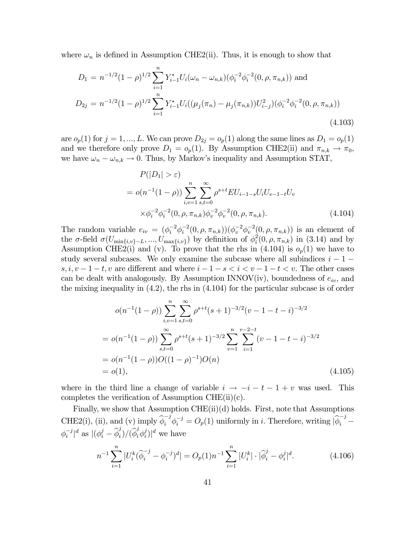where  $\omega_n$  is defined in Assumption CHE2(ii). Thus, it is enough to show that

$$
D_1 = n^{-1/2} (1 - \rho)^{1/2} \sum_{i=1}^n Y_{i-1}^* U_i(\omega_n - \omega_{n,k}) (\phi_i^{-2} \phi_i^{-2} (0, \rho, \pi_{n,k})) \text{ and}
$$
  
\n
$$
D_{2j} = n^{-1/2} (1 - \rho)^{1/2} \sum_{i=1}^n Y_{i-1}^* U_i((\mu_j(\pi_n) - \mu_j(\pi_{n,k})) U_{i-j}^2) (\phi_i^{-2} \phi_i^{-2} (0, \rho, \pi_{n,k}))
$$
\n(4.103)

are  $o_p(1)$  for  $j = 1, ..., L$ . We can prove  $D_{2j} = o_p(1)$  along the same lines as  $D_1 = o_p(1)$ and we therefore only prove  $D_1 = o_p(1)$ . By Assumption CHE2(ii) and  $\pi_{n,k} \to \pi_0$ , we have  $\omega_n - \omega_{n,k} \to 0$ . Thus, by Markov's inequality and Assumption STAT,

$$
P(|D_1| > \varepsilon)
$$
  
=  $o(n^{-1}(1 - \rho)) \sum_{i,v=1}^{n} \sum_{s,t=0}^{\infty} \rho^{s+t} EU_{i-1-s}U_iU_{v-1-t}U_v$   
 $\times \phi_i^{-2} \phi_i^{-2}(0, \rho, \pi_{n,k}) \phi_v^{-2} \phi_v^{-2}(0, \rho, \pi_{n,k}).$  (4.104)

The random variable  $e_{iv} = (\phi_i^{-2} \phi_i^{-2}(0, \rho, \pi_{n,k})) (\phi_v^{-2} \phi_v^{-2}(0, \rho, \pi_{n,k}))$  is an element of the  $\sigma$ -field  $\sigma(U_{\min\{i,v\}-L},...,U_{\max\{i,v\}})$  by definition of  $\phi_i^2(0,\rho,\pi_{n,k})$  in (3.14) and by Assumption CHE2(i) and (v). To prove that the rhs in (4.104) is  $o_p(1)$  we have to study several subcases. We only examine the subcase where all subindices  $i - 1$  $s, i, v - 1 - t, v$  are different and where  $i - 1 - s < i < v - 1 - t < v$ . The other cases can be dealt with analogously. By Assumption INNOV(iv), boundedness of  $e_{iv}$ , and the mixing inequality in (4.2), the rhs in (4.104) for the particular subcase is of order

$$
o(n^{-1}(1-\rho)) \sum_{i,v=1}^{n} \sum_{s,t=0}^{\infty} \rho^{s+t} (s+1)^{-3/2} (v-1-t-i)^{-3/2}
$$
  
= 
$$
o(n^{-1}(1-\rho)) \sum_{s,t=0}^{\infty} \rho^{s+t} (s+1)^{-3/2} \sum_{v=1}^{n} \sum_{i=1}^{v-2-t} (v-1-t-i)^{-3/2}
$$
  
= 
$$
o(n^{-1}(1-\rho))O((1-\rho)^{-1})O(n)
$$
  
= 
$$
o(1), \qquad (4.105)
$$

where in the third line a change of variable  $i \rightarrow -i - t - 1 + v$  was used. This completes the verification of Assumption CHE $(ii)(c)$ .

Finally, we show that Assumption CHE $(ii)(d)$  holds. First, note that Assumptions CHE2(i), (ii), and (v) imply  $\hat{\phi}_i^{-j} \phi_i^{-j} = O_p(1)$  uniformly in *i*. Therefore, writing  $|\hat{\phi}_i^{-j} \phi_i^{-j} |^{d}$  as  $|(\phi_i^j - \widehat{\phi}_i^j)/(\widehat{\phi}_i^j \phi_i^j)|^d$  we have

$$
n^{-1} \sum_{i=1}^{n} |U_i^k (\hat{\phi}_i^{-j} - \phi_i^{-j})^d| = O_p(1) n^{-1} \sum_{i=1}^{n} |U_i^k| \cdot |\hat{\phi}_i^j - \phi_i^j|^d.
$$
 (4.106)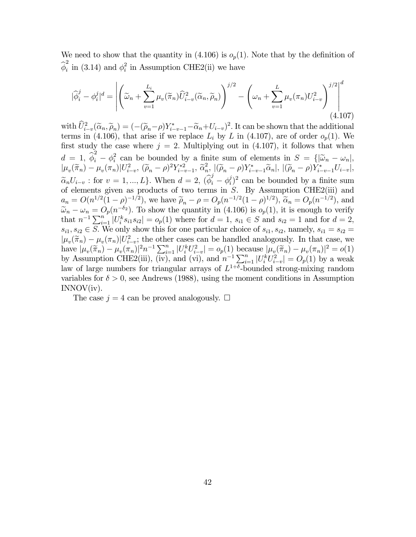We need to show that the quantity in  $(4.106)$  is  $o_p(1)$ . Note that by the definition of  $\widehat{\phi}_i^2$  in (3.14) and  $\phi_i^2$  in Assumption CHE2(ii) we have

$$
|\widehat{\phi}_i^j - \phi_i^j|^d = \left| \left( \widetilde{\omega}_n + \sum_{v=1}^{L_i} \mu_v(\widetilde{\pi}_n) \widehat{U}_{i-v}^2(\widetilde{\alpha}_n, \widetilde{\rho}_n) \right)^{j/2} - \left( \omega_n + \sum_{v=1}^L \mu_v(\pi_n) U_{i-v}^2 \right)^{j/2} \right|^d \tag{4.107}
$$

with  $\hat{U}_{i-v}^2(\tilde{\alpha}_n, \tilde{\rho}_n) = (-(\tilde{\rho}_n - \rho)Y_{i-v-1}^* - \tilde{\alpha}_n + U_{i-v})^2$ . It can be shown that the additional terms in (4.106), that arise if we replace  $L_i$  by L in (4.107), are of order  $o_p(1)$ . We first study the case where  $j = 2$ . Multiplying out in (4.107), it follows that when  $d = 1, \hat{\phi}_i^2 - \phi_i^2$  can be bounded by a finite sum of elements in  $S = \{|\tilde{\omega}_n - \omega_n|,$  $|\mu_v(\widetilde{\pi}_n) - \mu_v(\pi_n)|U_{i-v}^2$ ,  $(\widetilde{\rho}_n - \rho)^2 Y_{i-v-1}^{*2}$ ,  $\widetilde{\alpha}_n^2$ ,  $|(\widetilde{\rho}_n - \rho)Y_{i-v-1}^* \widetilde{\alpha}_n|$ ,  $|(\widetilde{\rho}_n - \rho)Y_{i-v-1}^* U_{i-v}|$ ,  $\widetilde{\alpha}_n U_{i-v}$ : for  $v = 1, ..., L$ . When  $d = 2, (\widehat{\phi}_i^j - \phi_i^j)^2$  can be bounded by a finite sum of elements given as products of two terms in  $S$ . By Assumption CHE2(iii) and  $a_n = O(n^{1/2}(1-\rho)^{-1/2})$ , we have  $\tilde{\rho}_n - \rho = O_p(n^{-1/2}(1-\rho)^{1/2})$ ,  $\tilde{\alpha}_n = O_p(n^{-1/2})$ , and  $\tilde{\omega}_n - \omega_n = O_p(n^{-\delta_2})$ . To show the quantity in (4.106) is  $o_p(1)$ , it is enough to verify that  $n^{-1} \sum_{i=1}^{n} |U_i^k s_{i1} s_{i2}| = o_p(1)$  where for  $d = 1$ ,  $s_{i1} \in S$  and  $s_{i2} = 1$  and for  $d = 2$ ,  $s_{i1}, s_{i2} \in S$ . We only show this for one particular choice of  $s_{i1}, s_{i2}$ , namely,  $s_{i1} = s_{i2} =$  $|\mu_v(\widetilde{\pi}_n) - \mu_v(\pi_n)|U_{i-v}^2$ ; the other cases can be handled analogously. In that case, we have  $|\mu_v(\tilde{\pi}_n) - \mu_v(\pi_n)|^2 n^{-1} \sum_{i=1}^n |U_i^k U_{i-v}^2| = o_p(1)$  because  $|\mu_v(\tilde{\pi}_n) - \mu_v(\pi_n)|^2 = o(1)$ by Assumption CHE2(iii), (iv), and (vi), and  $n^{-1}\sum_{i=1}^n |U_i^k U_{i-v}^2| = O_p(1)$  by a weak law of large numbers for triangular arrays of  $L^{1+\delta}$ -bounded strong-mixing random variables for  $\delta > 0$ , see Andrews (1988), using the moment conditions in Assumption INNOV(iv).

The case  $j = 4$  can be proved analogously.  $\Box$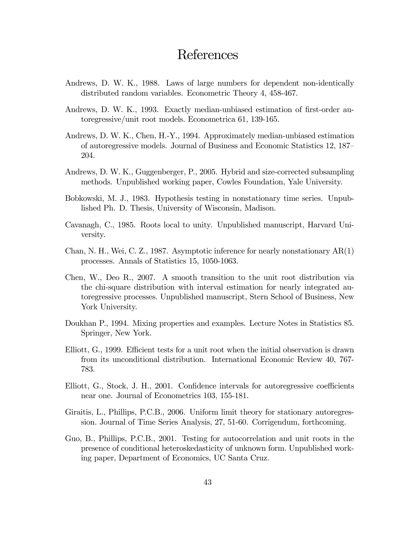# References

- Andrews, D. W. K., 1988. Laws of large numbers for dependent non-identically distributed random variables. Econometric Theory 4, 458-467.
- Andrews, D. W. K., 1993. Exactly median-unbiased estimation of first-order autoregressive/unit root models. Econometrica 61, 139-165.
- Andrews, D. W. K., Chen, H.-Y., 1994. Approximately median-unbiased estimation of autoregressive models. Journal of Business and Economic Statistics 12, 187— 204.
- Andrews, D. W. K., Guggenberger, P., 2005. Hybrid and size-corrected subsampling methods. Unpublished working paper, Cowles Foundation, Yale University.
- Bobkowski, M. J., 1983. Hypothesis testing in nonstationary time series. Unpublished Ph. D. Thesis, University of Wisconsin, Madison.
- Cavanagh, C., 1985. Roots local to unity. Unpublished manuscript, Harvard University.
- Chan, N. H., Wei, C. Z., 1987. Asymptotic inference for nearly nonstationary AR(1) processes. Annals of Statistics 15, 1050-1063.
- Chen, W., Deo R., 2007. A smooth transition to the unit root distribution via the chi-square distribution with interval estimation for nearly integrated autoregressive processes. Unpublished manuscript, Stern School of Business, New York University.
- Doukhan P., 1994. Mixing properties and examples. Lecture Notes in Statistics 85. Springer, New York.
- Elliott, G., 1999. Efficient tests for a unit root when the initial observation is drawn from its unconditional distribution. International Economic Review 40, 767- 783.
- Elliott, G., Stock, J. H., 2001. Confidence intervals for autoregressive coefficients near one. Journal of Econometrics 103, 155-181.
- Giraitis, L., Phillips, P.C.B., 2006. Uniform limit theory for stationary autoregression. Journal of Time Series Analysis, 27, 51-60. Corrigendum, forthcoming.
- Guo, B., Phillips, P.C.B., 2001. Testing for autocorrelation and unit roots in the presence of conditional heteroskedasticity of unknown form. Unpublished working paper, Department of Economics, UC Santa Cruz.